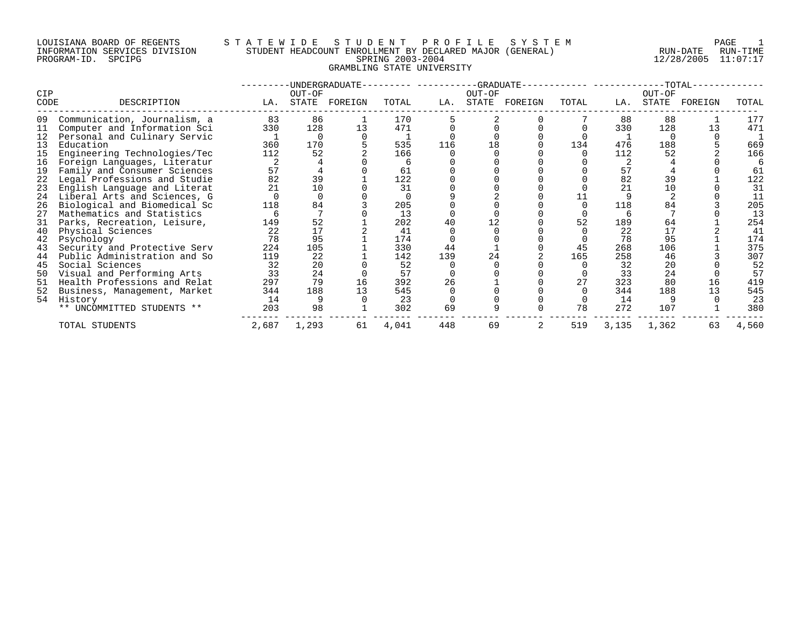#### LOUISIANA BOARD OF REGENTS S T A T E W I D E S T U D E N T P R O F I L E S Y S T E M PAGE 1 INFORMATION SERVICES DIVISION STUDENT HEADCOUNT ENROLLMENT BY DECLARED MAJOR (GENERAL) RUN-DATE RUN-TIME PROGRAM-ID. SPCIPG SPRING 2003-2004 12/28/2005 11:07:17 GRAMBLING STATE UNIVERSITY

| CIP  |                              |       | OUT-OF   | -UNDERGRADUATE- |       |     | OUT-OF | -GRADUATE--   |       |       | OUT-OF | $-TOTAL-$ |       |
|------|------------------------------|-------|----------|-----------------|-------|-----|--------|---------------|-------|-------|--------|-----------|-------|
| CODE | DESCRIPTION                  | LA.   | STATE    | FOREIGN         | TOTAL | LA. |        | STATE FOREIGN | TOTAL | LA.   | STATE  | FOREIGN   | TOTAL |
| 09   | Communication, Journalism, a | 83    | 86       |                 | 170   |     |        |               |       | 88    | 88     |           | 177   |
| 11   | Computer and Information Sci | 330   | 128      | 13              | 471   |     |        |               |       | 330   | 128    | 13        | 471   |
| 12   | Personal and Culinary Servic |       | $\Omega$ |                 |       |     |        |               |       |       |        |           |       |
| 13   | Education                    | 360   | 170      |                 | 535   | 116 |        |               | 134   | 476   | 188    |           | 669   |
| 15   | Engineering Technologies/Tec | 112   | 52       |                 | 166   |     |        |               |       | 112   | 52     |           | 166   |
| 16   | Foreign Languages, Literatur |       |          |                 |       |     |        |               |       |       |        |           |       |
| 19   | Family and Consumer Sciences | 57    |          |                 | 61    |     |        |               |       | 57    |        |           | 61    |
| 22   | Legal Professions and Studie | 82    | 39       |                 | 122   |     |        |               |       | 82    | 39     |           | 122   |
| 23   | English Language and Literat | 21    | 10       |                 | 31    |     |        |               |       | 21    | 10     |           | 31    |
| 24   | Liberal Arts and Sciences, G |       |          |                 |       |     |        |               |       |       |        |           | 11    |
| 26   | Biological and Biomedical Sc | 118   | 84       |                 | 205   |     |        |               |       | 118   | 84     |           | 205   |
| 27   | Mathematics and Statistics   |       |          |                 | 13    |     |        |               |       | 6     |        |           | 13    |
| 31   | Parks, Recreation, Leisure,  | 149   | 52       |                 | 202   | 40  |        |               | 52    | 189   | 64     |           | 254   |
| 40   | Physical Sciences            | 22    |          |                 | 41    |     |        |               |       | 22    | 17     |           | 41    |
| 42   | Psychology                   | 78    | 95       |                 | 174   |     |        |               |       | 78    | 95     |           | 174   |
| 43   | Security and Protective Serv | 224   | 105      |                 | 330   | 44  |        |               | 45    | 268   | 106    |           | 375   |
| 44   | Public Administration and So | 119   | 22       |                 | 142   | 139 | 24     |               | 165   | 258   | 46     |           | 307   |
| 45   | Social Sciences              | 32    | 20       |                 | 52    |     |        |               |       | 32    | 20     |           | 52    |
| 50   | Visual and Performing Arts   | 33    | 24       |                 | 57    |     |        |               |       | 33    | 24     |           | 57    |
| 51   | Health Professions and Relat | 297   | 79       | 16              | 392   | 26  |        |               | 27    | 323   | 80     | 16        | 419   |
| 52   | Business, Management, Market | 344   | 188      | 13              | 545   |     |        |               |       | 344   | 188    | 13        | 545   |
| 54   | History                      | 14    |          |                 | 23    |     |        |               |       | 14    |        |           | 23    |
|      | ** UNCOMMITTED STUDENTS **   | 203   | 98       |                 | 302   | 69  |        |               | 78    | 272   | 107    |           | 380   |
|      | TOTAL STUDENTS               | 2,687 | 1,293    | 61              | 4,041 | 448 | 69     |               | 519   | 3,135 | 1,362  | 63        | 4,560 |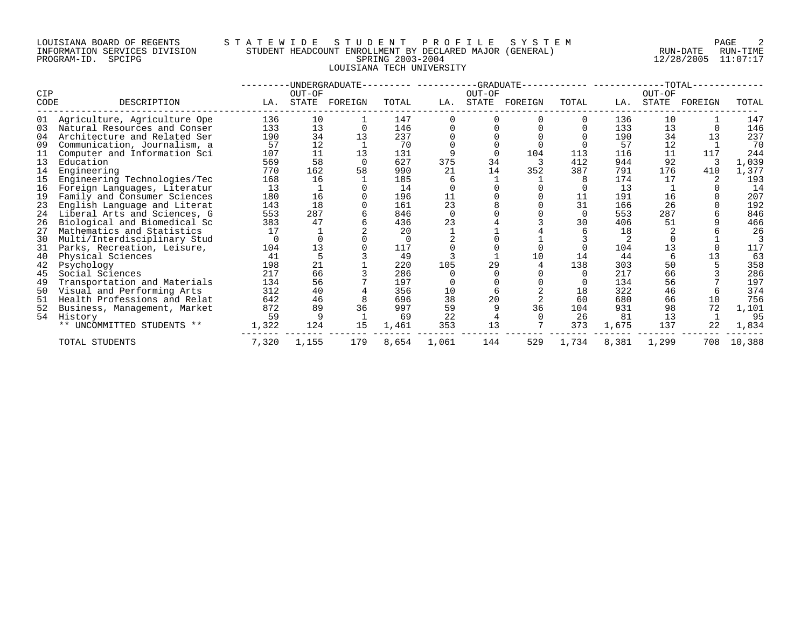#### LOUISIANA BOARD OF REGENTS S T A T E W I D E S T U D E N T P R O F I L E S Y S T E M PAGE 2 INFORMATION SERVICES DIVISION STUDENT HEADCOUNT ENROLLMENT BY DECLARED MAJOR (GENERAL) RUN-DATE RUN-TIME PROGRAM-ID. SPCIPG SPRING 2003-2004 12/28/2005 11:07:17 LOUISIANA TECH UNIVERSITY

|                |                              |       |        | -UNDERGRADUATE- |       |       |        | --GRADUATE-- |       |       |        | $-TOTAL-$ |        |
|----------------|------------------------------|-------|--------|-----------------|-------|-------|--------|--------------|-------|-------|--------|-----------|--------|
| CIP            |                              |       | OUT-OF |                 |       |       | OUT-OF |              |       |       | OUT-OF |           |        |
| CODE           | DESCRIPTION                  | LA.   | STATE  | FOREIGN         | TOTAL | LA.   | STATE  | FOREIGN      | TOTAL | LA.   | STATE  | FOREIGN   | TOTAL  |
| 01             | Agriculture, Agriculture Ope | 136   | 10     |                 | 147   |       |        |              |       | 136   | 10     |           | 147    |
| 0 <sub>3</sub> | Natural Resources and Conser | 133   | 13     |                 | 146   |       |        |              |       | 133   | 13     |           | 146    |
| 04             | Architecture and Related Ser | 190   | 34     | 1 3             | 237   |       |        |              |       | 190   | 34     | 13        | 237    |
| 09             | Communication, Journalism, a | 57    | 12     |                 | 70    |       |        |              |       | 57    | 12     |           | 70     |
| 11             | Computer and Information Sci | 107   | 11     | 13              | 131   |       |        | 104          | 113   | 116   | 11     | 117       | 244    |
| 13             | Education                    | 569   | 58     |                 | 627   | 375   | 34     |              | 412   | 944   | 92     |           | 1,039  |
| 14             | Engineering                  | 770   | 162    | 58              | 990   | 21    | 14     | 352          | 387   | 791   | 176    | 410       | 1,377  |
| 15             | Engineering Technologies/Tec | 168   | 16     |                 | 185   |       |        |              |       | 174   | 17     |           | 193    |
| 16             | Foreign Languages, Literatur | 13    |        |                 | 14    |       |        |              |       | 13    |        |           | 14     |
| 19             | Family and Consumer Sciences | 180   | 16     |                 | 196   | 11    |        |              | 11    | 191   | 16     |           | 207    |
| 23             | English Language and Literat | 143   | 18     |                 | 161   | 23    |        |              | 31    | 166   | 26     |           | 192    |
| 24             | Liberal Arts and Sciences, G | 553   | 287    |                 | 846   |       |        |              |       | 553   | 287    |           | 846    |
| 26             | Biological and Biomedical Sc | 383   | 47     |                 | 436   | 23    |        |              | 30    | 406   | 51     |           | 466    |
| 27             | Mathematics and Statistics   |       |        |                 | 20    |       |        |              |       | 18    |        |           | 26     |
| 30             | Multi/Interdisciplinary Stud |       |        |                 |       |       |        |              |       |       |        |           |        |
| 31             | Parks, Recreation, Leisure,  | 104   | 13     |                 | 117   |       |        |              |       | 104   | 13     |           | 117    |
| 40             | Physical Sciences            | 41    |        |                 | 49    |       |        | 10           | 14    | 44    |        |           | 63     |
| 42             | Psychology                   | 198   | 21     |                 | 220   | 105   | 29     |              | 138   | 303   | 50     |           | 358    |
| 45             | Social Sciences              | 217   | 66     |                 | 286   |       |        |              |       | 217   | 66     |           | 286    |
| 49             | Transportation and Materials | 134   | 56     |                 | 197   |       |        |              |       | 134   | 56     |           | 197    |
| 50             | Visual and Performing Arts   | 312   | 40     |                 | 356   | 10    |        |              | 18    | 322   | 46     |           | 374    |
| 51             | Health Professions and Relat | 642   | 46     |                 | 696   | 38    | 20     |              | 60    | 680   | 66     | 10        | 756    |
| 52             | Business, Management, Market | 872   | 89     | 36              | 997   | 59    |        | 36           | 104   | 931   | 98     | 72        | 1,101  |
| 54             | History                      | 59    |        |                 | 69    | 22    |        |              | 26    | 81    | 13     |           | 95     |
|                | ** UNCOMMITTED STUDENTS **   | 1,322 | 124    | 15              | 1,461 | 353   | 13     |              | 373   | 1,675 | 137    | 22        | 1,834  |
|                | TOTAL STUDENTS               | 7,320 | 1,155  | 179             | 8,654 | 1,061 | 144    | 529          | 1,734 | 8,381 | 1,299  | 708       | 10,388 |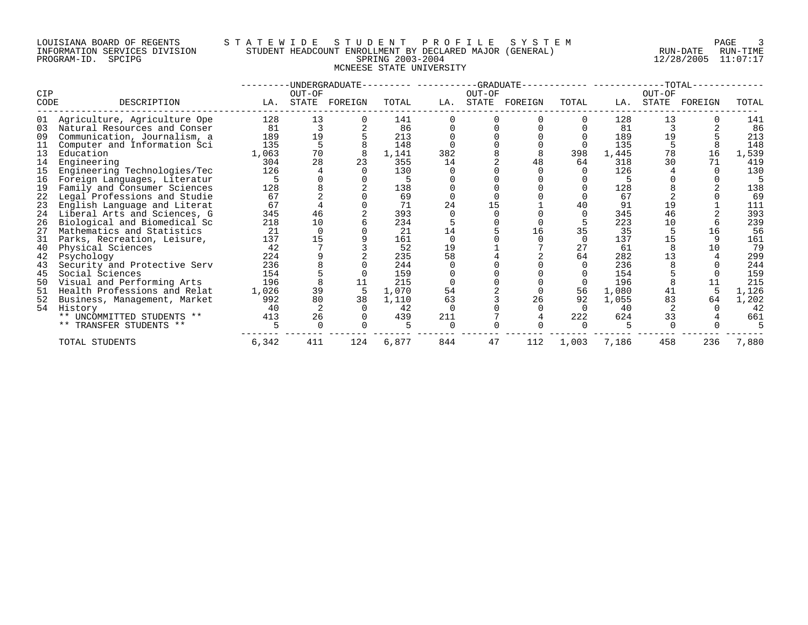# LOUISIANA BOARD OF REGENTS STA TEWIDE STUDENT PROFILE SYSTEM NAGE 3 INFORMATION SERVICES DIVISION STUDENT HEADCOUNT ENROLLMENT BY DECLARED MAJOR (GENERAL) RUN-DATE RUN-TIME RUN-TIME<br>PROGRAM-ID. SPCIPG 11:07:17 MCNEESE STATE UNIVERSITY

PROGRAM-ID. SPCIPG SPRING 2003-2004 12/28/2005 11:07:17

|             |                              |       |                 | -UNDERGRADUATE- |       |     |                 | --GRADUATE-- |          |       |                 | -TOTAL- |       |
|-------------|------------------------------|-------|-----------------|-----------------|-------|-----|-----------------|--------------|----------|-------|-----------------|---------|-------|
| CIP<br>CODE | DESCRIPTION                  | LA.   | OUT-OF<br>STATE | FOREIGN         | TOTAL | LA. | OUT-OF<br>STATE | FOREIGN      | TOTAL    | LA.   | OUT-OF<br>STATE | FOREIGN | TOTAL |
| 01          | Agriculture, Agriculture Ope | 128   | 13              |                 | 141   |     |                 |              |          | 128   | 13              |         | 141   |
| 03          | Natural Resources and Conser | 81    |                 |                 | 86    |     |                 |              |          | 81    |                 |         | 86    |
| 09          | Communication, Journalism, a | 189   | 19              |                 | 213   |     |                 |              |          | 189   | 19              |         | 213   |
| 11          | Computer and Information Sci | 135   |                 |                 | 148   |     |                 |              |          | 135   |                 |         | 148   |
| 13          | Education                    | 1,063 | 70              |                 | 1,141 | 382 |                 |              | 398      | 1,445 | 78              | 16      | 1,539 |
| 14          | Engineering                  | 304   | 28              | 23              | 355   | 14  |                 | 48           | 64       | 318   | 30              | 71      | 419   |
| 15          | Engineering Technologies/Tec | 126   |                 |                 | 130   |     |                 |              |          | 126   |                 |         | 130   |
| 16          | Foreign Languages, Literatur |       |                 |                 |       |     |                 |              |          |       |                 |         |       |
| 19          | Family and Consumer Sciences | 128   |                 |                 | 138   |     |                 |              |          | 128   |                 |         | 138   |
| 22          | Legal Professions and Studie | 67    |                 |                 | 69    |     |                 |              |          | 67    |                 |         | 69    |
| 23          | English Language and Literat | 67    |                 |                 | 71    | 24  |                 |              | 40       | 91    | 19              |         | 111   |
| 24          | Liberal Arts and Sciences, G | 345   | 46              |                 | 393   |     |                 |              |          | 345   | 46              |         | 393   |
| 26          | Biological and Biomedical Sc | 218   | 10              |                 | 234   |     |                 |              |          | 223   | 10              |         | 239   |
| 27          | Mathematics and Statistics   | 21    |                 |                 | 21    | 14  |                 | 16           | 35       | 35    |                 | 16      | 56    |
| 31          | Parks, Recreation, Leisure,  | 137   | 15              |                 | 161   |     |                 |              |          | 137   | 15              |         | 161   |
| 40          | Physical Sciences            | 42    |                 |                 | 52    | 19  |                 |              | 27       | 61    |                 | 10      | 79    |
| 42          | Psychology                   | 224   |                 |                 | 235   | 58  |                 |              | 64       | 282   | 13              |         | 299   |
| 43          | Security and Protective Serv | 236   |                 |                 | 244   |     |                 |              |          | 236   |                 |         | 244   |
| 45          | Social Sciences              | 154   |                 |                 | 159   |     |                 |              |          | 154   |                 |         | 159   |
| 50          | Visual and Performing Arts   | 196   |                 | 11              | 215   |     |                 |              |          | 196   |                 |         | 215   |
| 51          | Health Professions and Relat | 1,026 | 39              |                 | 1,070 | 54  |                 |              | 56       | 1,080 | 41              |         | 1,126 |
| 52          | Business, Management, Market | 992   | 80              | 38              | 1,110 | 63  |                 | 26           | 92       | 1,055 | 83              | 64      | 1,202 |
| 54          | History                      | 40    |                 |                 | 42    |     |                 |              | $\Omega$ | 40    |                 |         | 42    |
|             | ** UNCOMMITTED STUDENTS **   | 413   | 26              |                 | 439   | 211 |                 |              | 222      | 624   | 33              |         | 661   |
|             | ** TRANSFER STUDENTS **      |       |                 |                 |       |     |                 |              |          |       |                 |         |       |
|             | TOTAL STUDENTS               | 6,342 | 411             | 124             | 6,877 | 844 | 47              | 112          | 1,003    | 7,186 | 458             | 236     | 7,880 |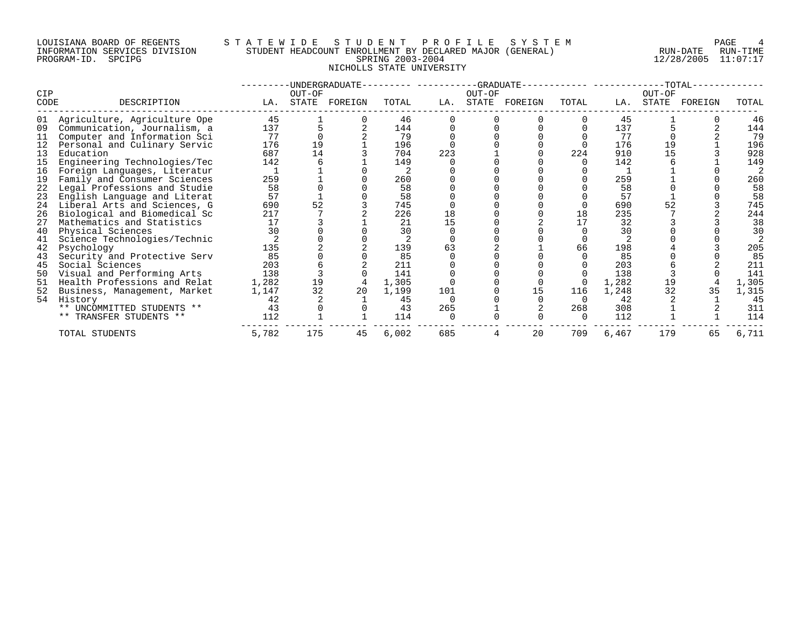#### LOUISIANA BOARD OF REGENTS S T A T E W I D E S T U D E N T P R O F I L E S Y S T E M PAGE 4 INFORMATION SERVICES DIVISION STUDENT HEADCOUNT ENROLLMENT BY DECLARED MAJOR (GENERAL) RUN-DATE RUN-TIME PROGRAM-ID. SPCIPG SPRING 2003-2004 12/28/2005 11:07:17 NICHOLLS STATE UNIVERSITY

| CIP  |                              |       | OUT-OF | -UNDERGRADUATE- |       |     | OUT-OF | -GRADUATE-- |          |       | OUT-OF | $-TOTAL-$ |       |
|------|------------------------------|-------|--------|-----------------|-------|-----|--------|-------------|----------|-------|--------|-----------|-------|
| CODE | DESCRIPTION                  | LA.   | STATE  | FOREIGN         | TOTAL | LA. | STATE  | FOREIGN     | TOTAL    | LA.   | STATE  | FOREIGN   | TOTAL |
| 01   | Agriculture, Agriculture Ope | 45    |        |                 | 46    |     |        |             |          | 45    |        |           | 46    |
| 09   | Communication, Journalism, a | 137   |        |                 | 144   |     |        |             |          | 137   |        |           | 144   |
| 11   | Computer and Information Sci | 77    |        |                 | 79    |     |        |             |          | 77    |        |           | 79    |
|      | Personal and Culinary Servic | 176   | 19     |                 | 196   |     |        |             |          | 176   | 19     |           | 196   |
| 13   | Education                    | 687   | 14     |                 | 704   | 223 |        |             | 224      | 910   | 15     |           | 928   |
| 15   | Engineering Technologies/Tec | 142   |        |                 | 149   |     |        |             |          | 142   |        |           | 149   |
| 16   | Foreign Languages, Literatur |       |        |                 |       |     |        |             |          |       |        |           |       |
| 19   | Family and Consumer Sciences | 259   |        |                 | 260   |     |        |             |          | 259   |        |           | 260   |
| 22   | Legal Professions and Studie | 58    |        |                 | 58    |     |        |             |          | 58    |        |           | 58    |
| 23   | English Language and Literat | 57    |        |                 | 58    |     |        |             |          | 57    |        |           | 58    |
| 24   | Liberal Arts and Sciences, G | 690   | 52     |                 | 745   |     |        |             |          | 690   |        |           | 745   |
| 26   | Biological and Biomedical Sc | 217   |        |                 | 226   | 18  |        |             | 18       | 235   |        |           | 244   |
| 27   | Mathematics and Statistics   | 17    |        |                 | 21    | 15  |        |             | 17       | 32    |        |           | 38    |
| 40   | Physical Sciences            | 30    |        |                 | 30    |     |        |             |          | 30    |        |           | 30    |
| 41   | Science Technologies/Technic |       |        |                 |       |     |        |             |          |       |        |           |       |
| 42   | Psychology                   | 135   |        |                 | 139   | 63  |        |             | 66       | 198   |        |           | 205   |
| 43   | Security and Protective Serv | 85    |        |                 | 85    |     |        |             |          | 85    |        |           | 85    |
| 45   | Social Sciences              | 203   |        |                 | 211   |     |        |             |          | 203   |        |           | 211   |
| 50   | Visual and Performing Arts   | 138   |        |                 | 141   |     |        |             |          | 138   |        |           | 141   |
| 51   | Health Professions and Relat | 1,282 | 19     |                 | 1,305 |     |        |             |          | 1,282 | 19     |           | 1,305 |
| 52   | Business, Management, Market | 1,147 | 32     | 20              | 1,199 | 101 |        | 15          | 116      | 1,248 | 32     | 35        | 1,315 |
| 54   | History                      | 42    |        |                 | 45    |     |        |             |          | 42    |        |           | 45    |
|      | ** UNCOMMITTED STUDENTS **   | 43    |        |                 | 43    | 265 |        |             | 268      | 308   |        |           | 311   |
|      | ** TRANSFER STUDENTS **      | 112   |        |                 | 114   |     |        |             | $\Omega$ | 112   |        |           | 114   |
|      | TOTAL STUDENTS               | 5,782 | 175    | 45              | 6,002 | 685 |        | 20          | 709      | 6,467 | 179    | 65        | 6,711 |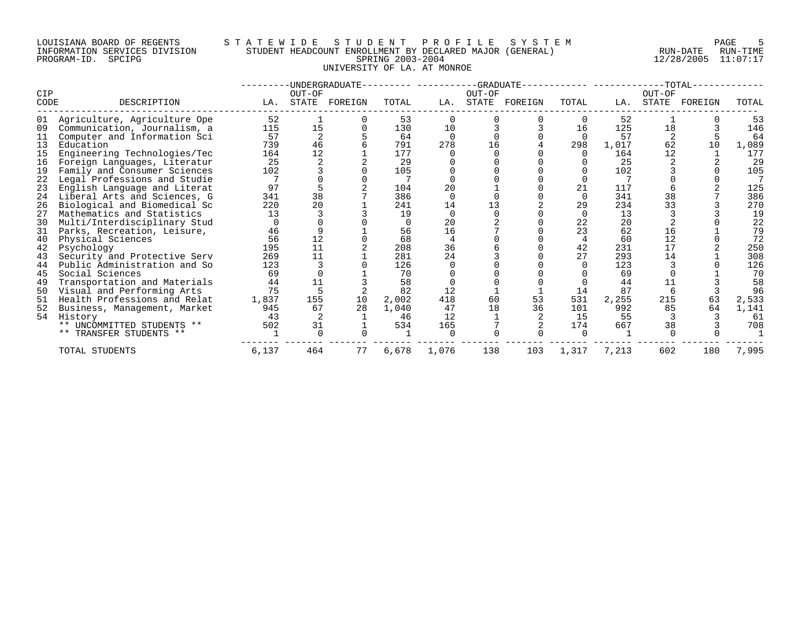#### LOUISIANA BOARD OF REGENTS S T A T E W I D E S T U D E N T P R O F I L E S Y S T E M PAGE 5 INFORMATION SERVICES DIVISION STUDENT HEADCOUNT ENROLLMENT BY DECLARED MAJOR (GENERAL) RUN-DATE RUN-TIME PROGRAM-ID. SPCIPG SPRING 2003-2004 12/28/2005 11:07:17 UNIVERSITY OF LA. AT MONROE

|             |                              |       |                 | -UNDERGRADUATE- |       |          |        | $-GRADUATE--$ |              |       |                 | $-TOTAL-$ |       |
|-------------|------------------------------|-------|-----------------|-----------------|-------|----------|--------|---------------|--------------|-------|-----------------|-----------|-------|
| CIP<br>CODE | DESCRIPTION                  | LA.   | OUT-OF<br>STATE | FOREIGN         | TOTAL | LA.      | OUT-OF | STATE FOREIGN | TOTAL        | LA.   | OUT-OF<br>STATE | FOREIGN   | TOTAL |
| 01          | Agriculture, Agriculture Ope | 52    |                 |                 | 53    |          |        |               |              | 52    |                 |           | 53    |
| 09          | Communication, Journalism, a | 115   | 15              |                 | 130   | 10       |        |               | 16           | 125   | 18              |           | 146   |
| 11          | Computer and Information Sci | 57    |                 |                 | 64    |          |        |               | $\Omega$     | 57    |                 |           | 64    |
| 13          | Education                    | 739   | 46              |                 | 791   | 278      | 16     |               | 298          | 1,017 | 62              | 10        | 1,089 |
| 15          | Engineering Technologies/Tec | 164   | 12              |                 | 177   |          |        |               |              | 164   | 12              |           | 177   |
| 16          | Foreign Languages, Literatur | 25    |                 |                 | 29    |          |        |               |              | 25    |                 |           | 29    |
| 19          | Family and Consumer Sciences | 102   |                 |                 | 105   |          |        |               |              | 102   |                 |           | 105   |
| 22          | Legal Professions and Studie |       |                 |                 |       |          |        |               |              |       |                 |           |       |
| 23          | English Language and Literat | 97    |                 |                 | 104   | 20       |        |               | 21           | 117   |                 |           | 125   |
| 24          | Liberal Arts and Sciences, G | 341   | 38              |                 | 386   | $\Omega$ |        |               | $\Omega$     | 341   | 38              |           | 386   |
| 26          | Biological and Biomedical Sc | 220   | 20              |                 | 241   | 14       | 13     |               | 29           | 234   | 33              |           | 270   |
| 27          | Mathematics and Statistics   | 13    |                 |                 | 19    |          |        |               |              | 13    |                 |           | 19    |
| 30          | Multi/Interdisciplinary Stud |       |                 |                 |       | 20       |        |               | 22           | 20    |                 |           | 22    |
| 31          | Parks, Recreation, Leisure,  | 46    |                 |                 | 56    | 16       |        |               | 23           | 62    | 16              |           | 79    |
| 40          | Physical Sciences            | 56    | 12              |                 | 68    |          |        |               |              | 60    | 12              |           | 72    |
| 42          | Psychology                   | 195   | 11              |                 | 208   | 36       |        |               | 42           | 231   | 17              |           | 250   |
| 43          | Security and Protective Serv | 269   | 11              |                 | 281   | 24       |        |               | 27           | 293   | 14              |           | 308   |
| 44          | Public Administration and So | 123   |                 |                 | 126   |          |        |               |              | 123   |                 |           | 126   |
| 45          | Social Sciences              | 69    |                 |                 | 70    |          |        |               |              | 69    |                 |           | 70    |
| 49          | Transportation and Materials | 44    | 11              |                 | 58    |          |        |               |              | 44    |                 |           | 58    |
| 50          | Visual and Performing Arts   | 75    |                 |                 | 82    | 12       |        |               | 14           | 87    |                 |           | 96    |
| 51          | Health Professions and Relat | 1,837 | 155             | 10              | 2,002 | 418      | 60     | 53            | 531          | 2,255 | 215             | 63        | 2,533 |
| 52          | Business, Management, Market | 945   | 67              | 28              | 1,040 | 47       | 18     | 36            | 101          | 992   | 85              | 64        | 1,141 |
| 54          | History                      | 43    |                 |                 | 46    | 12       |        |               | 15           | 55    |                 |           | 61    |
|             | ** UNCOMMITTED STUDENTS **   | 502   | 31              |                 | 534   | 165      |        |               | 174          | 667   | 38              |           | 708   |
|             | ** TRANSFER STUDENTS **      |       | $\cap$          |                 |       |          |        |               | <sup>n</sup> |       |                 |           |       |
|             | TOTAL STUDENTS               | 6,137 | 464             | 77              | 6,678 | 1,076    | 138    | 103           | 1,317        | 7,213 | 602             | 180       | 7,995 |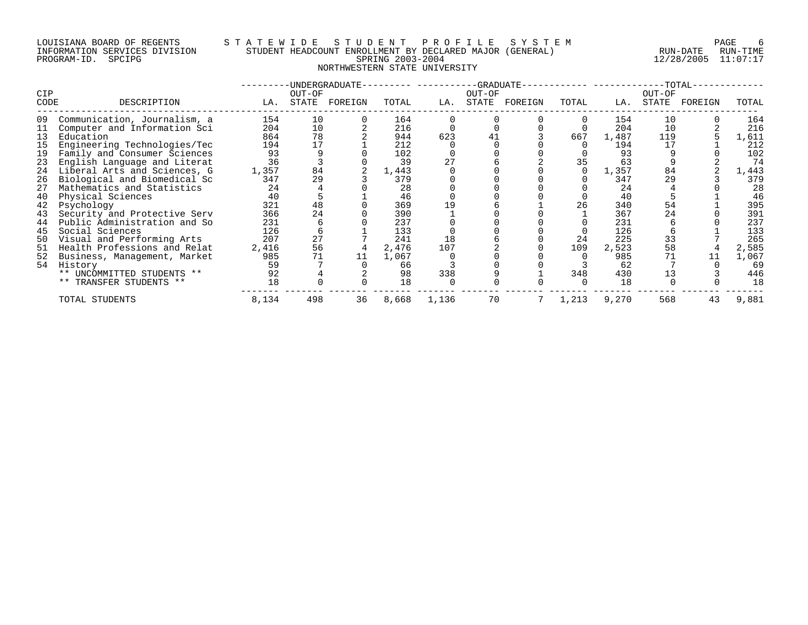#### LOUISIANA BOARD OF REGENTS S T A T E W I D E S T U D E N T P R O F I L E S Y S T E M PAGE 6 INFORMATION SERVICES DIVISION STUDENT HEADCOUNT ENROLLMENT BY DECLARED MAJOR (GENERAL) RUN-DATE RUN-TIME PROGRAM-ID. SPCIPG SPRING 2003-2004 12/28/2005 11:07:17 NORTHWESTERN STATE UNIVERSITY

|                    |                              |       |                 | -UNDERGRADUATE- |       |       |        | $-GRADUATE--$ |       |       | --TOTAL- |               |       |
|--------------------|------------------------------|-------|-----------------|-----------------|-------|-------|--------|---------------|-------|-------|----------|---------------|-------|
| <b>CIP</b><br>CODE | DESCRIPTION                  | LA.   | OUT-OF<br>STATE | FOREIGN         | TOTAL | LA.   | OUT-OF | STATE FOREIGN | TOTAL | LA.   | OUT-OF   | STATE FOREIGN | TOTAL |
|                    |                              |       |                 |                 |       |       |        |               |       |       |          |               |       |
| 09                 | Communication, Journalism, a | 154   | 10              |                 | 164   |       |        |               |       | 154   | 10       |               | 164   |
| 11                 | Computer and Information Sci | 204   | 10              |                 | 216   |       |        |               |       | 204   | 10       |               | 216   |
| 13                 | Education                    | 864   | 78              |                 | 944   | 623   |        |               | 667   | 1,487 | 119      |               | 1,611 |
| 15                 | Engineering Technologies/Tec | 194   | 17              |                 | 212   |       |        |               |       | 194   | 17       |               | 212   |
| 19                 | Family and Consumer Sciences | 93    |                 |                 | 102   |       |        |               |       | 93    |          |               | 102   |
| 23                 | English Language and Literat | 36    |                 |                 | 39    | 27    |        |               | 35    | 63    |          |               | 74    |
| 24                 | Liberal Arts and Sciences, G | 1,357 | 84              |                 | 1,443 |       |        |               |       | 1,357 | 84       |               | 1,443 |
| 26                 | Biological and Biomedical Sc | 347   | 29              |                 | 379   |       |        |               |       | 347   | 29       |               | 379   |
| 27                 | Mathematics and Statistics   | 24    |                 |                 | 28    |       |        |               |       | 24    |          |               | 28    |
| 40                 | Physical Sciences            | 40    |                 |                 | 46    |       |        |               |       | 40    |          |               | 46    |
| 42                 | Psychology                   | 321   | 48              |                 | 369   | 19    |        |               | 26    | 340   | 54       |               | 395   |
| 43                 | Security and Protective Serv | 366   | 24              |                 | 390   |       |        |               |       | 367   | 24       |               | 391   |
| 44                 | Public Administration and So | 231   |                 |                 | 237   |       |        |               |       | 231   |          |               | 237   |
| 45                 | Social Sciences              | 126   |                 |                 | 133   |       |        |               |       | 126   |          |               | 133   |
| 50                 | Visual and Performing Arts   | 207   | 27              |                 | 241   | 18    |        |               | 24    | 225   | 33       |               | 265   |
| 51                 | Health Professions and Relat | 2,416 | 56              |                 | 2,476 | 107   |        |               | 109   | 2,523 | 58       |               | 2,585 |
| 52                 | Business, Management, Market | 985   |                 | 11              | 1,067 |       |        |               |       | 985   |          |               | 1,067 |
|                    | 54 History                   | 59    |                 |                 | 66    |       |        |               |       | 62    |          |               | 69    |
|                    | ** UNCOMMITTED STUDENTS **   | 92    |                 |                 | 98    | 338   |        |               | 348   | 430   |          |               | 446   |
|                    | ** TRANSFER STUDENTS **      | 18    |                 |                 | 18    |       |        |               |       | 18    |          |               | 18    |
|                    | TOTAL STUDENTS               | 8,134 | 498             | 36              | 8,668 | 1,136 | 70     |               | 1,213 | 9,270 | 568      | 43            | 9,881 |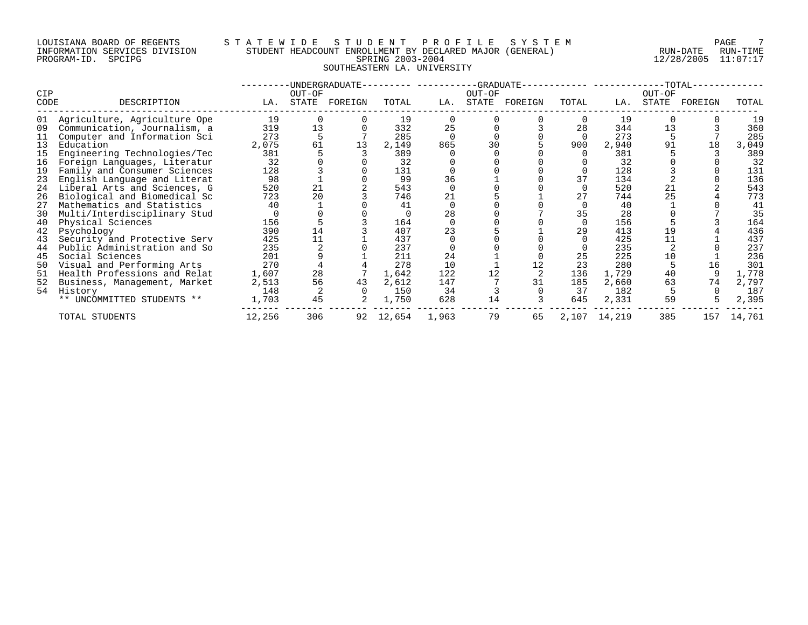# LOUISIANA BOARD OF REGENTS STATEWIDE STUDE STUDENT PROFILE SYSTEM FAGE 7<br>INFORMATION SERVICES DIVISION STUDENT HEADCOUNT ENROLLMENT BY DECLARED MAJOR (GENERAL) RUN-DATE RUN-TIME INFORMATION SERVICES DIVISION STUDENT HEADCOUNT ENROLLMENT BY DECLARED MAJOR (GENERAL) RUN-DATE RUN-TIME RUN-TIME<br>PROGRAM-ID. SPCIPG 11:07:17 PROGRAM-ID. SPCIPG SPRING 2003-2004 12/28/2005 11:07:17 SOUTHEASTERN LA. UNIVERSITY

|             |                              |        |                 | UNDERGRADUATE- |        |       |        | -GRADUATE--   |       |        |         | -TOTAL-       |        |
|-------------|------------------------------|--------|-----------------|----------------|--------|-------|--------|---------------|-------|--------|---------|---------------|--------|
| CIP<br>CODE | DESCRIPTION                  | LA.    | OUT-OF<br>STATE | FOREIGN        | TOTAL  | LA.   | OUT-OF | STATE FOREIGN | TOTAL | LA.    | OUT-OF  | STATE FOREIGN | TOTAL  |
|             |                              |        |                 |                |        |       |        |               |       |        |         |               |        |
| 01          | Agriculture, Agriculture Ope | 19     |                 |                | 19     |       |        |               | 0     | 19     |         |               | 19     |
| 09          | Communication, Journalism, a | 319    | 13              |                | 332    | 25    |        |               | 28    | 344    | 13      |               | 360    |
| 11          | Computer and Information Sci | 273    |                 |                | 285    |       |        |               |       | 273    |         |               | 285    |
| 13          | Education                    | 2,075  | 61              | 13             | 2,149  | 865   | 30     |               | 900   | 2,940  | 91      | 18            | 3,049  |
| 15          | Engineering Technologies/Tec | 381    |                 |                | 389    |       |        |               |       | 381    |         |               | 389    |
| 16          | Foreign Languages, Literatur | 32     |                 |                | 32     |       |        |               |       | 32     |         |               | 32     |
| 19          | Family and Consumer Sciences | 128    |                 |                | 131    |       |        |               |       | 128    |         |               | 131    |
| 23          | English Language and Literat | 98     |                 |                | 99     | 36    |        |               | 37    | 134    |         |               | 136    |
| 24          | Liberal Arts and Sciences, G | 520    | 21              |                | 543    |       |        |               |       | 520    | $^{21}$ |               | 543    |
| 26          | Biological and Biomedical Sc | 723    | 20              |                | 746    | 21    |        |               | 27    | 744    | 25      |               | 773    |
| 27          | Mathematics and Statistics   | 40     |                 |                | 41     |       |        |               |       | 40     |         |               | 41     |
| 30          | Multi/Interdisciplinary Stud |        |                 |                |        | 28    |        |               | 35    | 28     |         |               | 35     |
| 40          | Physical Sciences            | 156    |                 |                | 164    |       |        |               |       | 156    |         |               | 164    |
| 42          | Psychology                   | 390    | 14              |                | 407    | 23    |        |               | 29    | 413    | 19      |               | 436    |
| 43          | Security and Protective Serv | 425    | 11              |                | 437    |       |        |               |       | 425    | 11      |               | 437    |
| 44          | Public Administration and So | 235    |                 |                | 237    |       |        |               |       | 235    |         |               | 237    |
| 45          | Social Sciences              | 201    |                 |                | 211    | 24    |        |               | 25    | 225    | 10      |               | 236    |
| 50          | Visual and Performing Arts   | 270    |                 |                | 278    | 10    |        |               | 23    | 280    |         | 16            | 301    |
| 51          | Health Professions and Relat | 1,607  | 28              |                | 1,642  | 122   |        |               | 136   | 1,729  | 40      |               | 1,778  |
| 52          | Business, Management, Market | 2,513  | 56              | 43             | 2,612  | 147   |        | 31            | 185   | 2,660  | 63      | 74            | 2,797  |
|             | 54 History                   | 148    |                 |                | 150    | 34    |        |               | 37    | 182    |         |               | 187    |
|             | ** UNCOMMITTED STUDENTS **   | 1,703  | 45              |                | 1,750  | 628   | 14     |               | 645   | 2,331  | 59      |               | 2,395  |
|             | TOTAL STUDENTS               | 12,256 | 306             | 92             | 12,654 | 1,963 | 79     | 65            | 2,107 | 14,219 | 385     | 157           | 14,761 |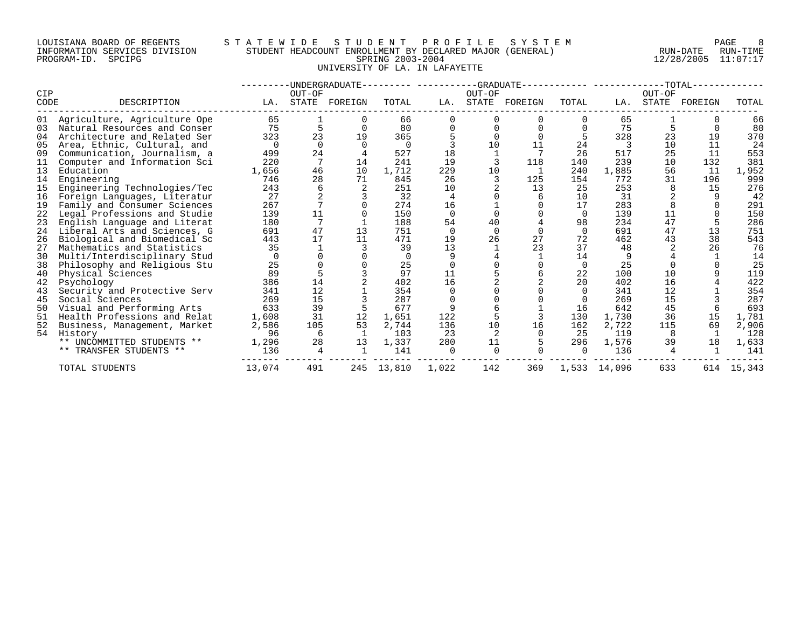#### LOUISIANA BOARD OF REGENTS S T A T E W I D E S T U D E N T P R O F I L E S Y S T E M PAGE 8 INFORMATION SERVICES DIVISION STUDENT HEADCOUNT ENROLLMENT BY DECLARED MAJOR (GENERAL) RUN-DATE RUN-TIME PROGRAM-ID. SPCIPG SPRING 2003-2004 12/28/2005 11:07:17 UNIVERSITY OF LA. IN LAFAYETTE

|      |                              |          |          | UNDERGRADUATE |          |          | -GRADUATE |         |          |              |        | -TOTAL- |        |
|------|------------------------------|----------|----------|---------------|----------|----------|-----------|---------|----------|--------------|--------|---------|--------|
| CIP  |                              |          | OUT-OF   |               |          |          | OUT-OF    |         |          |              | OUT-OF |         |        |
| CODE | DESCRIPTION                  | LA.      | STATE    | FOREIGN       | TOTAL    | LA.      | STATE     | FOREIGN | TOTAL    | LA.          | STATE  | FOREIGN | TOTAL  |
| 01   | Agriculture, Agriculture Ope | 65       |          |               | 66       |          |           |         |          | 65           |        |         | 66     |
| 03   | Natural Resources and Conser | 75       |          |               | 80       |          |           |         |          | 75           |        |         | 80     |
| 04   | Architecture and Related Ser | 323      | 23       | 19            | 365      |          |           |         |          | 328          | 23     | 19      | 370    |
| 05   | Area, Ethnic, Cultural, and  | $\Omega$ | $\Omega$ |               | 0        |          | 10        | 11      | 24       | 3            | 10     | 11      | 24     |
| 09   | Communication, Journalism, a | 499      | 24       |               | 527      | 18       |           |         | 26       | 517          | 25     | 11      | 553    |
| 11   | Computer and Information Sci | 220      |          | 14            | 241      | 19       |           | 118     | 140      | 239          | 10     | 132     | 381    |
| 13   | Education                    | 1,656    | 46       | 10            | 1,712    | 229      | 10        |         | 240      | 1,885        | 56     | 11      | 1,952  |
| 14   | Engineering                  | 746      | 28       | 71            | 845      | 26       |           | 125     | 154      | 772          | 31     | 196     | 999    |
| 15   | Engineering Technologies/Tec | 243      |          |               | 251      | 10       |           | 13      | 25       | 253          |        | 15      | 276    |
| 16   | Foreign Languages, Literatur | 27       |          |               | 32       | 4        |           |         | 10       | 31           |        |         | 42     |
| 19   | Family and Consumer Sciences | 267      |          |               | 274      | 16       |           |         | 17       | 283          |        |         | 291    |
| 22   | Legal Professions and Studie | 139      | 11       |               | 150      | $\cap$   |           |         | $\Omega$ | 139          | 11     |         | 150    |
| 23   | English Language and Literat | 180      |          |               | 188      | 54       | 40        |         | 98       | 234          | 47     |         | 286    |
| 24   | Liberal Arts and Sciences, G | 691      | 47       | 13            | 751      | $\Omega$ |           |         | $\Omega$ | 691          | 47     | 13      | 751    |
| 26   | Biological and Biomedical Sc | 443      | 17       | 11            | 471      | 19       | 26        | 27      | 72       | 462          | 43     | 38      | 543    |
| 27   | Mathematics and Statistics   | 35       |          |               | 39       | 13       |           | 23      | 37       | 48           |        | 26      | 76     |
| 30   | Multi/Interdisciplinary Stud |          |          |               | $\Omega$ |          |           |         | 14       | 9            |        |         | 14     |
| 38   | Philosophy and Religious Stu | 25       |          |               | 25       |          |           |         | 0        | 25           |        |         | 25     |
| 40   | Physical Sciences            | 89       |          |               | 97       | 11       |           |         | 22       | 100          | 10     |         | 119    |
| 42   | Psychology                   | 386      | 14       |               | 402      | 16       |           |         | 20       | 402          | 16     |         | 422    |
| 43   | Security and Protective Serv | 341      | 12       |               | 354      |          |           |         | $\Omega$ | 341          | 12     |         | 354    |
| 45   | Social Sciences              | 269      | 15       |               | 287      |          |           |         |          | 269          | 15     |         | 287    |
| 50   | Visual and Performing Arts   | 633      | 39       |               | 677      |          |           |         | 16       | 642          | 45     |         | 693    |
| 51   | Health Professions and Relat | 1,608    | 31       | 12            | 1,651    | 122      |           |         | 130      | 1,730        | 36     | 15      | 1,781  |
| 52   | Business, Management, Market | 2,586    | 105      | 53            | 2,744    | 136      | 10        | 16      | 162      | 2,722        | 115    | 69      | 2,906  |
| 54   | History                      | 96       | 6        | 1             | 103      | 23       |           |         | 25       | 119          |        |         | 128    |
|      | ** UNCOMMITTED STUDENTS **   | 1,296    | 28       | 13            | 1,337    | 280      | 11        |         | 296      | 1,576        | 39     | 18      | 1,633  |
|      | ** TRANSFER STUDENTS **      | 136      | 4        |               | 141      | $\cap$   |           |         | $\Omega$ | 136          |        |         | 141    |
|      | TOTAL STUDENTS               | 13,074   | 491      | 245           | 13,810   | 1,022    | 142       | 369     |          | 1,533 14,096 | 633    | 614     | 15,343 |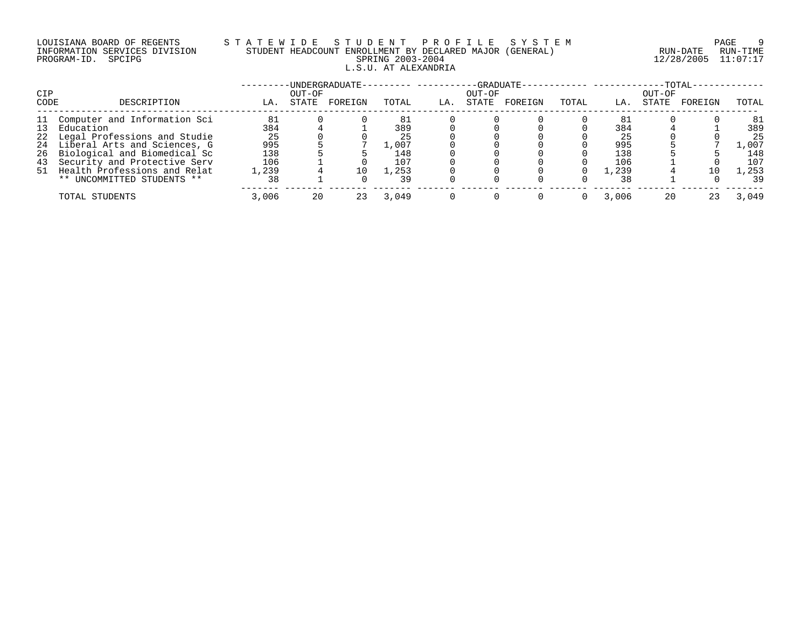# LOUISIANA BOARD OF REGENTS S T A T E W I D E S T U D E N T P R O F I L E S Y S T E M PAGE 9 INFORMATION SERVICES DIVISION STUDENT HEADCOUNT ENROLLMENT BY DECLARED MAJOR (GENERAL) RUN-DATE RUN-TIME PROGRAM-ID. SPCIPG SPRING 2003-2004 12/28/2005 11:07:17 L.S.U. AT ALEXANDRIA

|      |                                 |       |        | ·UNDERGRADUATE- |       |     |        | -GRADUATE- |       |         |        | -TOTAL- |       |
|------|---------------------------------|-------|--------|-----------------|-------|-----|--------|------------|-------|---------|--------|---------|-------|
| CIP  |                                 |       | OUT-OF |                 |       |     | OUT-OF |            |       |         | OUT-OF |         |       |
| CODE | DESCRIPTION                     | LA.   | STATE  | FOREIGN         | TOTAL | LA. | STATE  | FOREIGN    | TOTAL | LA.     | STATE  | FOREIGN | TOTAL |
|      | 11 Computer and Information Sci | 81    |        |                 |       |     |        |            |       | -81     |        |         | 81    |
| 13   | Education                       | 384   |        |                 | 389   |     |        |            |       | 384     |        |         | 389   |
|      | 22 Legal Professions and Studie | 25    |        |                 | 25    |     |        |            |       | 25      |        |         | 25    |
|      | 24 Liberal Arts and Sciences, G | 995   |        |                 | 1,007 |     |        |            |       | 995     |        |         | 007   |
|      | 26 Biological and Biomedical Sc | 138   |        |                 | 148   |     |        |            |       | 138     |        |         | 148   |
| 43   | Security and Protective Serv    | 106   |        |                 | 107   |     |        |            |       | 106     |        |         | 107   |
|      | 51 Health Professions and Relat | 1,239 |        | 10              | 1,253 |     |        |            |       | . . 239 |        | 10      | 1,253 |
|      | ** UNCOMMITTED STUDENTS **      | 38    |        |                 | 39    |     |        |            |       | 38      |        |         | 39    |
|      | TOTAL STUDENTS                  | 3,006 | 20     | 23              | 3,049 |     |        |            |       | 3,006   | 20     |         | 3,049 |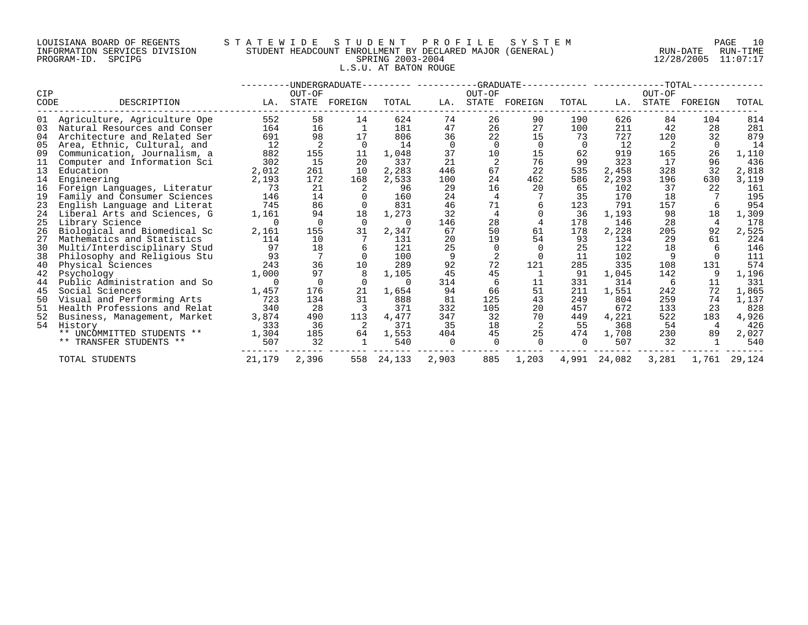#### LOUISIANA BOARD OF REGENTS S T A T E W I D E S T U D E N T P R O F I L E S Y S T E M PAGE 10 INFORMATION SERVICES DIVISION STUDENT HEADCOUNT ENROLLMENT BY DECLARED MAJOR (GENERAL) RUN-DATE RUN-TIME PROGRAM-ID. SPCIPG SPRING 2003-2004 12/28/2005 11:07:17 L.S.U. AT BATON ROUGE

|      |                              |        |          | -UNDERGRADUATE- |          |          |        | -GRADUATE-- |          |        |        | $-TOTAL-$ |        |
|------|------------------------------|--------|----------|-----------------|----------|----------|--------|-------------|----------|--------|--------|-----------|--------|
| CIP  |                              |        | OUT-OF   |                 |          |          | OUT-OF |             |          |        | OUT-OF |           |        |
| CODE | DESCRIPTION                  | LA.    | STATE    | FOREIGN         | TOTAL    | LA.      | STATE  | FOREIGN     | TOTAL    | LA.    | STATE  | FOREIGN   | TOTAL  |
| 01   | Agriculture, Agriculture Ope | 552    | 58       | 14              | 624      | 74       | 26     | 90          | 190      | 626    | 84     | 104       | 814    |
| 03   | Natural Resources and Conser | 164    | 16       | 1               | 181      | 47       | 26     | 27          | 100      | 211    | 42     | 28        | 281    |
| 04   | Architecture and Related Ser | 691    | 98       | 17              | 806      | 36       | 22     | 15          | 73       | 727    | 120    | 32        | 879    |
| 05   | Area, Ethnic, Cultural, and  | 12     |          | $\Omega$        | 14       | $\Omega$ |        | $\Omega$    | $\Omega$ | 12     |        | $\Omega$  | 14     |
| 09   | Communication, Journalism, a | 882    | 155      | 11              | 1,048    | 37       | 10     | 15          | 62       | 919    | 165    | 26        | 1,110  |
| 11   | Computer and Information Sci | 302    | 15       | 20              | 337      | 21       |        | 76          | 99       | 323    | 17     | 96        | 436    |
| 13   | Education                    | 2,012  | 261      | 10              | 2,283    | 446      | 67     | 22          | 535      | 2,458  | 328    | 32        | 2,818  |
| 14   | Engineering                  | 2,193  | 172      | 168             | 2,533    | 100      | 24     | 462         | 586      | 2,293  | 196    | 630       | 3,119  |
| 16   | Foreign Languages, Literatur | 73     | 21       |                 | 96       | 29       | 16     | 20          | 65       | 102    | 37     | 22        | 161    |
| 19   | Family and Consumer Sciences | 146    | 14       |                 | 160      | 24       | 4      |             | 35       | 170    | 18     |           | 195    |
| 23   | English Language and Literat | 745    | 86       |                 | 831      | 46       | 71     |             | 123      | 791    | 157    |           | 954    |
| 24   | Liberal Arts and Sciences, G | 1,161  | 94       | 18              | 1,273    | 32       |        |             | 36       | 1,193  | 98     | 18        | 1,309  |
| 25   | Library Science              |        |          | $\Omega$        | $\Omega$ | 146      | 28     |             | 178      | 146    | 28     | 4         | 178    |
| 26   | Biological and Biomedical Sc | 2,161  | 155      | 31              | 2,347    | 67       | 50     | 61          | 178      | 2,228  | 205    | 92        | 2,525  |
| 27   | Mathematics and Statistics   | 114    | 10       |                 | 131      | 20       | 19     | 54          | 93       | 134    | 29     | 61        | 224    |
| 30   | Multi/Interdisciplinary Stud | 97     | 18       |                 | 121      | 25       |        |             | 25       | 122    | 18     |           | 146    |
| 38   | Philosophy and Religious Stu | 93     |          |                 | 100      | 9        |        |             | 11       | 102    |        |           | 111    |
| 40   | Physical Sciences            | 243    | 36       | 10              | 289      | 92       | 72     | 121         | 285      | 335    | 108    | 131       | 574    |
| 42   | Psychology                   | 1,000  | 97       |                 | 1,105    | 45       | 45     |             | 91       | 1,045  | 142    |           | 1,196  |
| 44   | Public Administration and So |        | $\Omega$ |                 | $\Omega$ | 314      |        | 11          | 331      | 314    | -6     | 11        | 331    |
| 45   | Social Sciences              | 1,457  | 176      | 21              | 1,654    | 94       | 66     | 51          | 211      | 1,551  | 242    | 72        | 1,865  |
| 50   | Visual and Performing Arts   | 723    | 134      | 31              | 888      | 81       | 125    | 43          | 249      | 804    | 259    | 74        | 1,137  |
| 51   | Health Professions and Relat | 340    | 28       |                 | 371      | 332      | 105    | 20          | 457      | 672    | 133    | 23        | 828    |
| 52   | Business, Management, Market | 3,874  | 490      | 113             | 4,477    | 347      | 32     | 70          | 449      | 4,221  | 522    | 183       | 4,926  |
| 54   | History                      | 333    | 36       |                 | 371      | 35       | 18     |             | 55       | 368    | 54     | 4         | 426    |
|      | ** UNCOMMITTED STUDENTS **   | 1,304  | 185      | 64              | 1,553    | 404      | 45     | 25          | 474      | 1,708  | 230    | 89        | 2,027  |
|      | ** TRANSFER STUDENTS **      | 507    | 32       |                 | 540      |          |        |             | $\Omega$ | 507    | 32     |           | 540    |
|      | TOTAL STUDENTS               | 21,179 | 2,396    | 558             | 24,133   | 2,903    | 885    | 1,203       | 4,991    | 24,082 | 3,281  | 1,761     | 29,124 |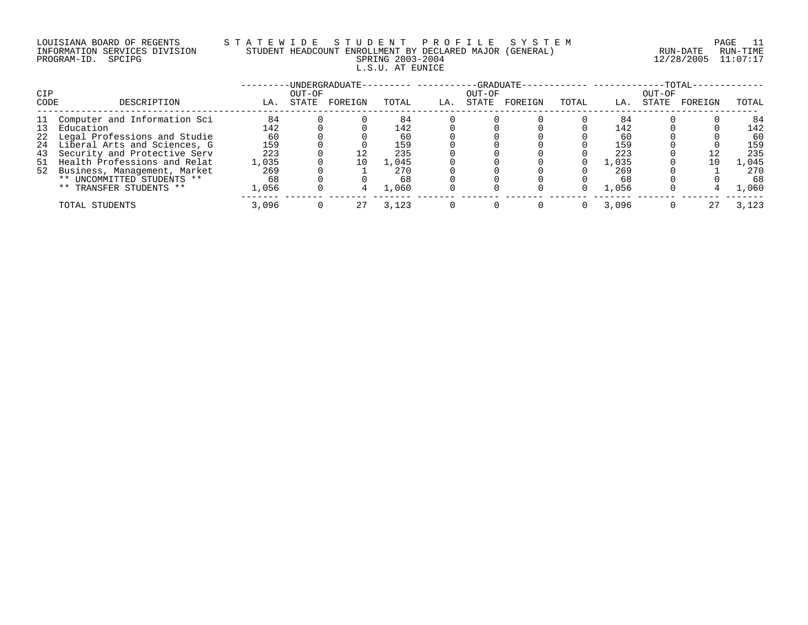# LOUISIANA BOARD OF REGENTS S T A T E W I D E S T U D E N T P R O F I L E S Y S T E M PAGE 11 INFORMATION SERVICES DIVISION STUDENT HEADCOUNT ENROLLMENT BY DECLARED MAJOR (GENERAL) RUN-DATE RUN-TIME PROGRAM-ID. SPCIPG SPRING 2003-2004 12/28/2005 11:07:17 L.S.U. AT EUNICE

| CIP  |                                 |       | OUT-OF | -UNDERGRADUATE- |       |     | OUT-OF | -GRADUATE- |       |       | OUT-OF | $-TOTAL-$ |       |
|------|---------------------------------|-------|--------|-----------------|-------|-----|--------|------------|-------|-------|--------|-----------|-------|
| CODE | DESCRIPTION                     | LA.   | STATE  | FOREIGN         | TOTAL | LA. | STATE  | FOREIGN    | TOTAL | LA.   | STATE  | FOREIGN   | TOTAL |
|      | 11 Computer and Information Sci | 84    |        |                 | 84    |     |        |            |       | 84    |        |           | 84    |
|      | 13 Education                    | 142   |        |                 | 142   |     |        |            |       | 142   |        |           | 142   |
|      | 22 Legal Professions and Studie | 60    |        |                 | 60    |     |        |            |       | 60    |        |           | 60    |
|      | 24 Liberal Arts and Sciences, G | 159   |        |                 | 159   |     |        |            |       | 159   |        |           | 159   |
| 43   | Security and Protective Serv    | 223   |        |                 | 235   |     |        |            |       | 223   |        |           | 235   |
|      | 51 Health Professions and Relat | 1,035 |        | 10              | 1,045 |     |        |            |       | 1,035 |        | 10        | 1,045 |
|      | 52 Business, Management, Market | 269   |        |                 | 270   |     |        |            |       | 269   |        |           | 270   |
|      | ** UNCOMMITTED STUDENTS **      | 68    |        |                 | 68    |     |        |            |       | 68    |        |           | 68    |
|      | ** TRANSFER STUDENTS **         | 1,056 |        |                 | 1,060 |     |        |            |       | 1,056 |        |           | ,060  |
|      | TOTAL STUDENTS                  | 3,096 |        | 27              | 3,123 |     |        |            |       | 3,096 |        | 27        | 3,123 |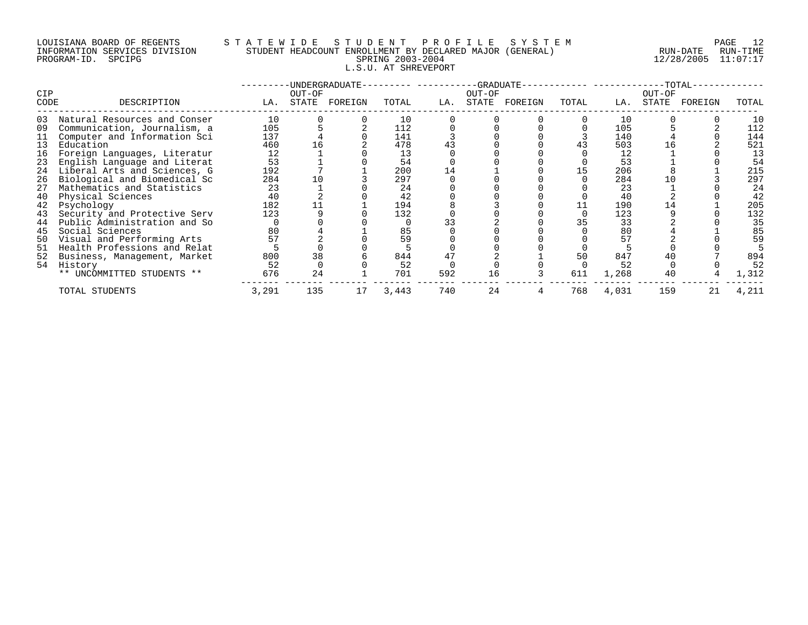#### LOUISIANA BOARD OF REGENTS S T A T E W I D E S T U D E N T P R O F I L E S Y S T E M PAGE 12 INFORMATION SERVICES DIVISION STUDENT HEADCOUNT ENROLLMENT BY DECLARED MAJOR (GENERAL) RUN-DATE RUN-TIME PROGRAM-ID. SPCIPG SPRING 2003-2004 12/28/2005 11:07:17 L.S.U. AT SHREVEPORT

|      |                              |       |        | -UNDERGRADUATE- |       |     |        | $-GRADUATE -$ |       |       |        | -TOTAL- |       |
|------|------------------------------|-------|--------|-----------------|-------|-----|--------|---------------|-------|-------|--------|---------|-------|
| CIP  |                              |       | OUT-OF |                 |       |     | OUT-OF |               |       |       | OUT-OF |         |       |
| CODE | DESCRIPTION                  | LA.   | STATE  | FOREIGN         | TOTAL | LA. | STATE  | FOREIGN       | TOTAL | LA.   | STATE  | FOREIGN | TOTAL |
| 03   | Natural Resources and Conser | 10    |        |                 | 10    |     |        |               |       | 10    |        |         | 10    |
| 09   | Communication, Journalism, a | 105   |        |                 | 112   |     |        |               |       | 105   |        |         | 112   |
|      | Computer and Information Sci | 137   |        |                 | 141   |     |        |               |       | 140   |        |         | 144   |
| 13   | Education                    | 460   |        |                 | 478   | 43  |        |               |       | 503   |        |         | 521   |
| 16   | Foreign Languages, Literatur | 12    |        |                 | 13    |     |        |               |       | 12    |        |         | 13    |
| 23   | English Language and Literat | 53    |        |                 | 54    |     |        |               |       | 53    |        |         | 54    |
| 24   | Liberal Arts and Sciences, G | 192   |        |                 | 200   | 14  |        |               |       | 206   |        |         | 215   |
| 26   | Biological and Biomedical Sc | 284   |        |                 | 297   |     |        |               |       | 284   |        |         | 297   |
| 27   | Mathematics and Statistics   | 23    |        |                 | 24    |     |        |               |       | 23    |        |         | 24    |
| 40   | Physical Sciences            | 40    |        |                 | 42    |     |        |               |       | 40    |        |         | 42    |
| 42   | Psychology                   | 182   |        |                 | 194   |     |        |               |       | 190   |        |         | 205   |
| 43   | Security and Protective Serv | 123   |        |                 | 132   |     |        |               |       | 123   |        |         | 132   |
| 44   | Public Administration and So |       |        |                 |       |     |        |               |       | 33    |        |         | 35    |
| 45   | Social Sciences              | 80    |        |                 | 85    |     |        |               |       | 80    |        |         | 85    |
| 50   | Visual and Performing Arts   |       |        |                 | 59    |     |        |               |       | 57    |        |         | 59    |
| 51   | Health Professions and Relat |       |        |                 |       |     |        |               |       |       |        |         |       |
| 52   | Business, Management, Market | 800   | 38     |                 | 844   | 47  |        |               | 50    | 847   |        |         | 894   |
| 54   | History                      | 52    |        |                 | 52    |     |        |               |       | 52    |        |         | 52    |
|      | ** UNCOMMITTED STUDENTS **   | 676   | 24     |                 | 701   | 592 | 16     |               | 611   | 1,268 | 40     |         | 1,312 |
|      | TOTAL STUDENTS               | 3,291 | 135    | 17              | 3,443 | 740 | 24     |               | 768   | 4,031 | 159    | 21      | 4,211 |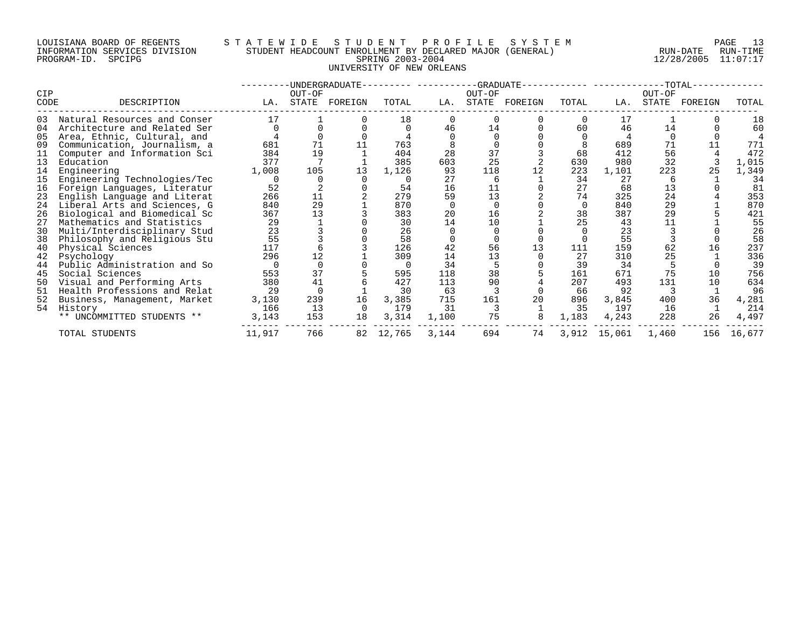# LOUISIANA BOARD OF REGENTS STATEWIDE STUDE STUDENT PROFILE SYSTEM FAGE 13<br>INFORMATION SERVICES DIVISION STUDENT HEADCOUNT ENROLLMENT BY DECLARED MAJOR (GENERAL) RUN-DATE RUN-TIME INFORMATION SERVICES DIVISION STUDENT HEADCOUNT ENROLLMENT BY DECLARED MAJOR (GENERAL)<br>PROGRAM-ID. SPCIPG RUN-DATE RUN-RUN-SPRING 2003-2004 UNIVERSITY OF NEW ORLEANS

PROGRAM-ID. SPCIPG SPRING 2003-2004 12/28/2005 11:07:17

| CIP  |                              |        | OUT-OF   | -UNDERGRADUATE- |        |       | OUT-OF | -GRADUATE------------ -------- |          |              | $--TOTAL-$<br>OUT-OF |         |        |
|------|------------------------------|--------|----------|-----------------|--------|-------|--------|--------------------------------|----------|--------------|----------------------|---------|--------|
| CODE | DESCRIPTION                  | LA.    | STATE    | FOREIGN         | TOTAL  | LA.   |        | STATE FOREIGN                  | TOTAL    | LA.          | STATE                | FOREIGN | TOTAL  |
| 03   | Natural Resources and Conser | 17     |          |                 | 18     |       |        |                                |          | 17           |                      |         | 18     |
| 04   | Architecture and Related Ser |        |          |                 |        | 46    | 14     |                                | 60       | 46           | 14                   |         | 60     |
| 05   | Area, Ethnic, Cultural, and  |        |          |                 |        |       |        |                                |          |              |                      |         |        |
| 09   | Communication, Journalism, a | 681    | 71       |                 | 763    |       |        |                                |          | 689          | 71                   |         | 771    |
| 11   | Computer and Information Sci | 384    | 19       |                 | 404    | 28    | 37     |                                | 68       | 412          | 56                   |         | 472    |
| 13   | Education                    | 377    |          |                 | 385    | 603   | 25     |                                | 630      | 980          | 32                   |         | 1,015  |
| 14   | Engineering                  | 1,008  | 105      | 13              | 1,126  | 93    | 118    | 12                             | 223      | 1,101        | 223                  |         | 1,349  |
| 15   | Engineering Technologies/Tec |        |          |                 |        | 27    | 6      |                                | 34       | 27           |                      |         | 34     |
| 16   | Foreign Languages, Literatur | 52     |          |                 | 54     | 16    | 11     |                                | 27       | 68           | 13                   |         | 81     |
| 23   | English Language and Literat | 266    | 11       |                 | 279    | 59    | 13     |                                | 74       | 325          | 24                   |         | 353    |
| 24   | Liberal Arts and Sciences, G | 840    | 29       |                 | 870    |       |        |                                | $\Omega$ | 840          | 29                   |         | 870    |
| 26   | Biological and Biomedical Sc | 367    | 13       |                 | 383    | 20    | 16     |                                | 38       | 387          | 29                   |         | 421    |
| 27   | Mathematics and Statistics   | 29     |          |                 | 30     | 14    | 10     |                                | 25       | 43           | 11                   |         | 55     |
| 30   | Multi/Interdisciplinary Stud | 23     |          |                 | 26     |       |        |                                |          | 23           |                      |         | 26     |
| 38   | Philosophy and Religious Stu | 55     |          |                 | 58     |       |        |                                |          | 55           |                      |         | 58     |
| 40   | Physical Sciences            | 117    |          |                 | 126    | 42    | 56     |                                | 111      | 159          | 62                   | 16      | 237    |
| 42   | Psychology                   | 296    | 12       |                 | 309    | 14    | 13     |                                | 27       | 310          | 25                   |         | 336    |
| 44   | Public Administration and So |        |          |                 |        | 34    |        |                                | 39       | 34           |                      |         | 39     |
| 45   | Social Sciences              | 553    | 37       |                 | 595    | 118   | 38     |                                | 161      | 671          | 75                   | 10      | 756    |
| 50   | Visual and Performing Arts   | 380    | 41       |                 | 427    | 113   | 90     |                                | 207      | 493          | 131                  | 10      | 634    |
| 51   | Health Professions and Relat | 29     | $\Omega$ |                 | 30     | 63    |        |                                | 66       | 92           |                      |         | 96     |
| 52   | Business, Management, Market | 3,130  | 239      | 16              | 3,385  | 715   | 161    | 20                             | 896      | 3,845        | 400                  | 36      | 4,281  |
| 54   | History                      | 166    | 13       | $\Omega$        | 179    | 31    |        |                                | 35       | 197          | 16                   |         | 214    |
|      | ** UNCOMMITTED STUDENTS **   | 3,143  | 153      | 18              | 3,314  | 1,100 | 75     |                                | 1,183    | 4,243        | 228                  | 26      | 4,497  |
|      | TOTAL STUDENTS               | 11,917 | 766      | 82              | 12,765 | 3,144 | 694    | 74                             |          | 3,912 15,061 | 1,460                | 156     | 16,677 |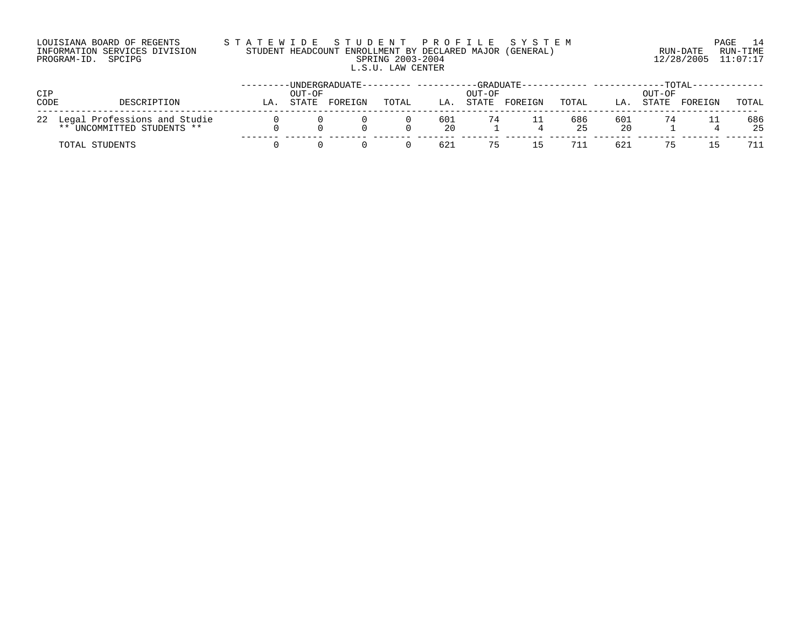# LOUISIANA BOARD OF REGENTS S T A T E W I D E S T U D E N T P R O F I L E S Y S T E M PAGE 14 INFORMATION SERVICES DIVISION STUDENT HEADCOUNT ENROLLMENT BY DECLARED MAJOR (GENERAL) RUN-DATE RUN-TIME PROGRAM-ID. SPCIPG SPRING 2003-2004 12/28/2005 11:07:17 L.S.U. LAW CENTER

| <b>CIP</b><br>CODE | DESCRIPTION                                                         | LA | OUT-OF<br>STATE | UNDERGRADUATE--<br>FOREIGN | TOTAL | LA.       | -GRADUATE-<br>OUT-OF<br>STATE | FOREIGN | TOTAL     | LA        | OUT-OF<br>STATE | TOTAL<br>FOREIGN | TOTAL     |
|--------------------|---------------------------------------------------------------------|----|-----------------|----------------------------|-------|-----------|-------------------------------|---------|-----------|-----------|-----------------|------------------|-----------|
|                    | 22 Legal Professions and Studie<br>UNCOMMITTED STUDENTS **<br>$***$ |    |                 |                            |       | 601<br>20 |                               |         | 686<br>25 | 601<br>20 |                 |                  | 686<br>25 |
|                    | TOTAL STUDENTS                                                      |    |                 |                            |       | 621       | 75                            | 15      | 711       | 621       | 75              |                  |           |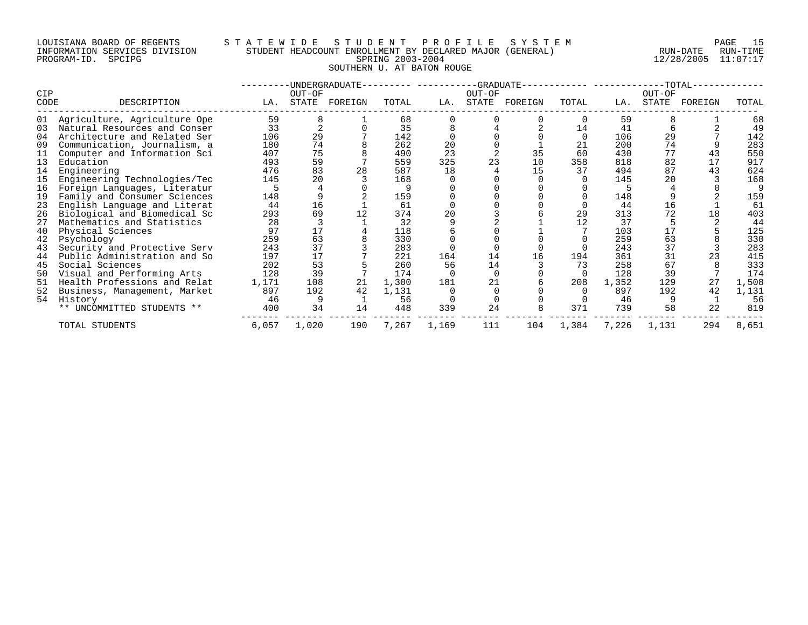# LOUISIANA BOARD OF REGENTS STATEWIDE STUDE STUDENT PROFILE SYSTEM PAGE 15<br>INFORMATION SERVICES DIVISION STUDENT HEADCOUNT ENROLLMENT BY DECLARED MAJOR (GENERAL) RUN-DATE RUN-TIME INFORMATION SERVICES DIVISION STUDENT HEADCOUNT ENROLLMENT BY DECLARED MAJOR (GENERAL)<br>PROGRAM-ID. SPCIPG RUN-DATE RUN-SPRING 2003-2004 SOUTHERN U. AT BATON ROUGE

PROGRAM-ID. SPCIPG SPRING 2003-2004 12/28/2005 11:07:17

| CIP  |                              |       | OUT-OF | -UNDERGRADUATE- |       |       | OUT-OF | -GRADUATE-- |          |       | OUT-OF | $-TOTAL-$ |       |
|------|------------------------------|-------|--------|-----------------|-------|-------|--------|-------------|----------|-------|--------|-----------|-------|
| CODE | DESCRIPTION                  | LA.   | STATE  | FOREIGN         | TOTAL | LA.   | STATE  | FOREIGN     | TOTAL    | LA.   | STATE  | FOREIGN   | TOTAL |
| 01   | Agriculture, Agriculture Ope | 59    |        |                 | 68    |       |        |             |          | 59    |        |           | 68    |
| 03   | Natural Resources and Conser | 33    |        |                 | 35    |       |        |             | 14       | 41    |        |           | 49    |
| 04   | Architecture and Related Ser | 106   | 29     |                 | 142   |       |        |             | $\Omega$ | 106   | 29     |           | 142   |
| 09   | Communication, Journalism, a | 180   | 74     |                 | 262   | 20    |        |             | 21       | 200   | 74     |           | 283   |
| 11   | Computer and Information Sci | 407   | 75     |                 | 490   | 23    |        | 35          | 60       | 430   | 77     | 43        | 550   |
| 13   | Education                    | 493   | 59     |                 | 559   | 325   |        | 10          | 358      | 818   | 82     | 17        | 917   |
| 14   | Engineering                  | 476   | 83     | 28              | 587   | 18    |        | 15          | 37       | 494   | 87     | 43        | 624   |
| 15   | Engineering Technologies/Tec | 145   | 20     |                 | 168   |       |        |             |          | 145   | 20     |           | 168   |
| 16   | Foreign Languages, Literatur |       |        |                 |       |       |        |             |          |       |        |           |       |
| 19   | Family and Consumer Sciences | 148   |        |                 | 159   |       |        |             |          | 148   |        |           | 159   |
| 23   | English Language and Literat | 44    | 16     |                 | 61    |       |        |             |          | 44    | 16     |           | 61    |
| 26   | Biological and Biomedical Sc | 293   | 69     |                 | 374   | 20    |        |             | 29       | 313   | 72     | 18        | 403   |
| 27   | Mathematics and Statistics   | 28    |        |                 | 32    |       |        |             | 12       | 37    |        |           | 44    |
| 40   | Physical Sciences            | 97    |        |                 | 118   |       |        |             |          | 103   | 17     |           | 125   |
| 42   | Psychology                   | 259   | 63     |                 | 330   |       |        |             |          | 259   | 63     |           | 330   |
| 43   | Security and Protective Serv | 243   | 37     |                 | 283   |       |        |             |          | 243   | 37     |           | 283   |
| 44   | Public Administration and So | 197   |        |                 | 221   | 164   | 14     | 16          | 194      | 361   | 31     |           | 415   |
| 45   | Social Sciences              | 202   | 53     |                 | 260   | 56    | 14     |             | 73       | 258   | 67     |           | 333   |
| 50   | Visual and Performing Arts   | 128   | 39     |                 | 174   |       |        |             |          | 128   | 39     |           | 174   |
| 51   | Health Professions and Relat | 1,171 | 108    | 21              | 1,300 | 181   |        |             | 208      | 1,352 | 129    | 27        | 1,508 |
| 52   | Business, Management, Market | 897   | 192    | 42              | 1,131 |       |        |             |          | 897   | 192    | 42        | 1,131 |
| 54   | History                      | 46    |        |                 | 56    |       |        |             |          | 46    |        |           | 56    |
|      | ** UNCOMMITTED STUDENTS **   | 400   | 34     | 14              | 448   | 339   | 24     |             | 371      | 739   | 58     | 22        | 819   |
|      | TOTAL STUDENTS               | 6,057 | 1,020  | 190             | 7,267 | 1,169 | 111    | 104         | 1,384    | 7,226 | 1,131  | 294       | 8,651 |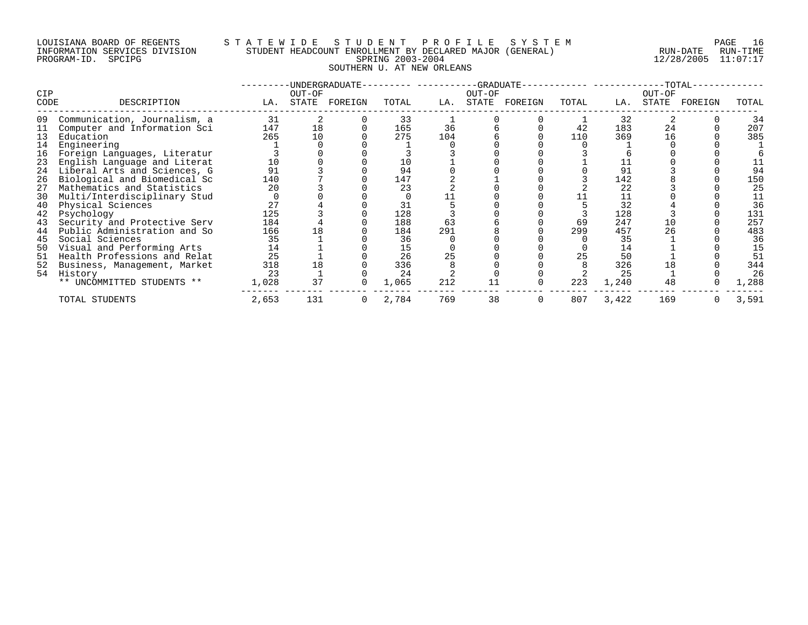#### LOUISIANA BOARD OF REGENTS S T A T E W I D E S T U D E N T P R O F I L E S Y S T E M PAGE 16 INFORMATION SERVICES DIVISION STUDENT HEADCOUNT ENROLLMENT BY DECLARED MAJOR (GENERAL) RUN-DATE RUN-TIME PROGRAM-ID. SPCIPG SPRING 2003-2004 12/28/2005 11:07:17 SOUTHERN U. AT NEW ORLEANS

|             |                              |       |                 | -UNDERGRADUATE- |       |     |                 | -GRADUATE-- |       |       |                 | $-TOTAL-$ |       |
|-------------|------------------------------|-------|-----------------|-----------------|-------|-----|-----------------|-------------|-------|-------|-----------------|-----------|-------|
| CIP<br>CODE | DESCRIPTION                  | LA.   | OUT-OF<br>STATE | FOREIGN         | TOTAL | LA. | OUT-OF<br>STATE | FOREIGN     | TOTAL | LA.   | OUT-OF<br>STATE | FOREIGN   | TOTAL |
| 09          | Communication, Journalism, a | 31    |                 |                 | 33    |     |                 |             |       | 32    |                 |           | 34    |
| 11          | Computer and Information Sci | 147   | 18              |                 | 165   | 36  |                 |             | 42    | 183   | 24              |           | 207   |
| 13          | Education                    | 265   | 10              |                 | 275   | 104 |                 |             | 110   | 369   | 16              |           | 385   |
| 14          | Engineering                  |       |                 |                 |       |     |                 |             |       |       |                 |           |       |
| 16          | Foreign Languages, Literatur |       |                 |                 |       |     |                 |             |       |       |                 |           |       |
| 23          | English Language and Literat |       |                 |                 | 10    |     |                 |             |       |       |                 |           |       |
| 24          | Liberal Arts and Sciences, G | 91    |                 |                 | 94    |     |                 |             |       | 91    |                 |           | 94    |
| 26          | Biological and Biomedical Sc | 140   |                 |                 | 147   |     |                 |             |       | 142   |                 |           | 150   |
| 27          | Mathematics and Statistics   | 20    |                 |                 | 23    |     |                 |             |       | 22    |                 |           | 25    |
| 30          | Multi/Interdisciplinary Stud |       |                 |                 |       |     |                 |             |       | 11    |                 |           |       |
| 40          | Physical Sciences            | 27    |                 |                 |       |     |                 |             |       | 32    |                 |           | 36    |
| 42          | Psychology                   | 125   |                 |                 | 128   |     |                 |             |       | 128   |                 |           | 131   |
| 43          | Security and Protective Serv | 184   |                 |                 | 188   | 63  |                 |             | 69    | 247   | 10              |           | 257   |
|             | Public Administration and So | 166   | 18              |                 | 184   | 291 |                 |             | 299   | 457   | 26              |           | 483   |
| 45          | Social Sciences              | 35    |                 |                 | 36    |     |                 |             |       | 35    |                 |           | 36    |
| 50          | Visual and Performing Arts   | 14    |                 |                 | 15    |     |                 |             |       | 14    |                 |           | 15    |
| 51          | Health Professions and Relat | 25    |                 |                 | 26    | 25  |                 |             | 25    | 50    |                 |           | 51    |
| 52          | Business, Management, Market | 318   | 18              |                 | 336   |     |                 |             |       | 326   |                 |           | 344   |
| 54          | History                      | 23    |                 |                 | 24    |     |                 |             |       | 25    |                 |           | 26    |
|             | ** UNCOMMITTED STUDENTS **   | 1,028 | 37              |                 | 1,065 | 212 |                 |             | 223   | 1,240 | 48              |           | 1,288 |
|             | TOTAL STUDENTS               | 2,653 | 131             |                 | 2,784 | 769 | 38              |             | 807   | 3,422 | 169             |           | 3,591 |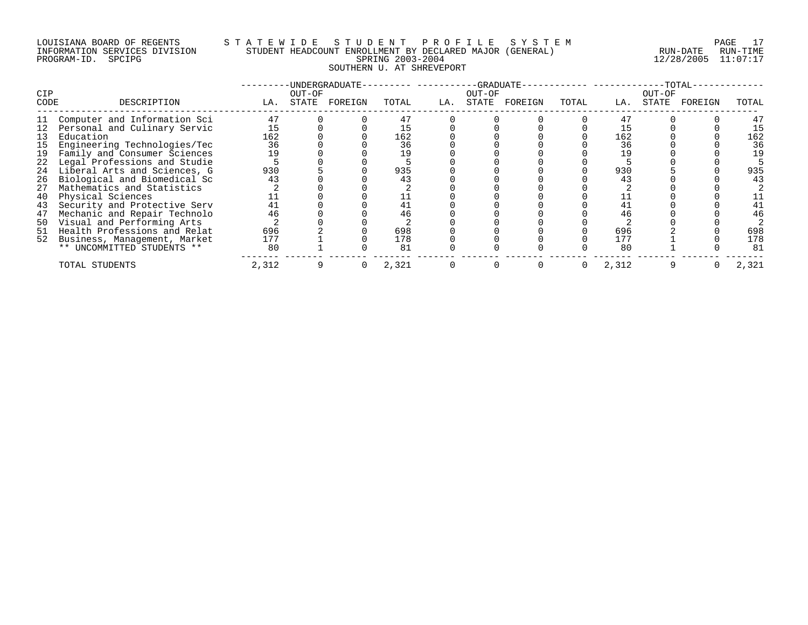### LOUISIANA BOARD OF REGENTS S T A T E W I D E S T U D E N T P R O F I L E S Y S T E M PAGE 17 INFORMATION SERVICES DIVISION STUDENT HEADCOUNT ENROLLMENT BY DECLARED MAJOR (GENERAL) RUN-DATE RUN-TIME PROGRAM-ID. SPCIPG SPRING 2003-2004 12/28/2005 11:07:17 SOUTHERN U. AT SHREVEPORT

| <b>CIP</b> |                                 |       | OUT-OF | -UNDERGRADUATE- |       |     | $-GRADUATE$<br>OUT-OF |         |       |       | OUT-OF | -TOTAL· |       |
|------------|---------------------------------|-------|--------|-----------------|-------|-----|-----------------------|---------|-------|-------|--------|---------|-------|
| CODE       | DESCRIPTION                     | LA.   | STATE  | FOREIGN         | TOTAL | LA. | STATE                 | FOREIGN | TOTAL | LA.   | STATE  | FOREIGN | TOTAL |
|            | Computer and Information Sci    | 47    |        |                 |       |     |                       |         |       | 47    |        |         | 47    |
|            | 12 Personal and Culinary Servic |       |        |                 |       |     |                       |         |       |       |        |         | 15    |
| 13         | Education                       | 162   |        |                 | 162   |     |                       |         |       | 162   |        |         | 162   |
| 15         | Engineering Technologies/Tec    | 36    |        |                 | 36    |     |                       |         |       | 36    |        |         | 36    |
| 19         | Family and Consumer Sciences    |       |        |                 | 19    |     |                       |         |       | 19    |        |         | 19    |
|            | 22 Legal Professions and Studie |       |        |                 |       |     |                       |         |       |       |        |         |       |
| 24         | Liberal Arts and Sciences, G    | 930   |        |                 | 935   |     |                       |         |       | 930   |        |         | 935   |
| 26         | Biological and Biomedical Sc    | 43    |        |                 |       |     |                       |         |       | 43    |        |         | 43    |
| 27         | Mathematics and Statistics      |       |        |                 |       |     |                       |         |       |       |        |         |       |
| 40         | Physical Sciences               |       |        |                 |       |     |                       |         |       |       |        |         |       |
| 43         | Security and Protective Serv    | 41    |        |                 |       |     |                       |         |       | 41    |        |         |       |
| 47         | Mechanic and Repair Technolo    | 46    |        |                 | 46    |     |                       |         |       | 46    |        |         | 46    |
| 50         | Visual and Performing Arts      |       |        |                 |       |     |                       |         |       |       |        |         |       |
|            | 51 Health Professions and Relat | 696   |        |                 | 698   |     |                       |         |       | 696   |        |         | 698   |
|            | 52 Business, Management, Market | 177   |        |                 | 178   |     |                       |         |       | 177   |        |         | 178   |
|            | ** UNCOMMITTED STUDENTS **      | 80    |        |                 | 81    |     |                       |         |       | 80    |        |         | 81    |
|            | TOTAL STUDENTS                  | 2,312 |        |                 | 2,321 |     |                       |         |       | 2,312 |        |         | 2,321 |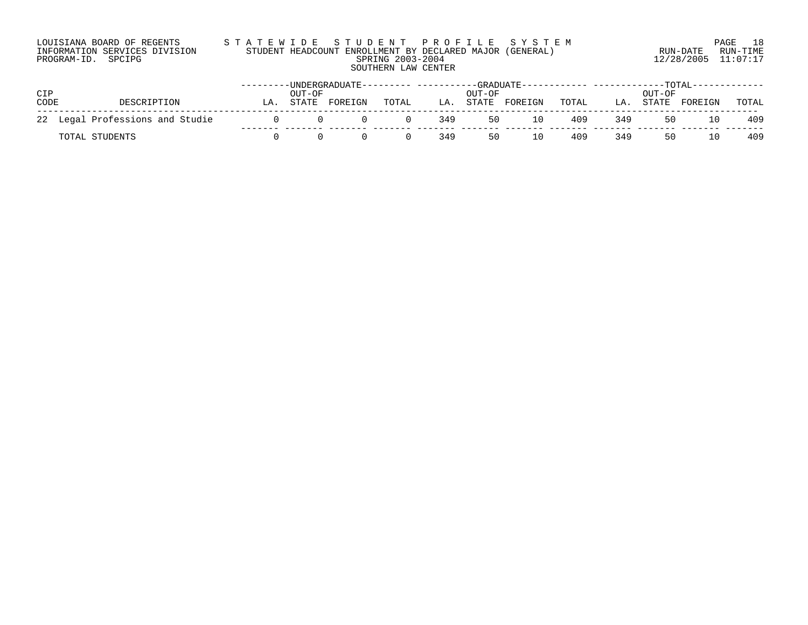| LOUISIANA BOARD OF REGENTS    | STATEWIDE STUDENT PROFILE SYSTEM                         |                     | 18<br>PAGE |
|-------------------------------|----------------------------------------------------------|---------------------|------------|
| INFORMATION SERVICES DIVISION | STUDENT HEADCOUNT ENROLLMENT BY DECLARED MAJOR (GENERAL) | RUN-DATE            | RUN-TIMF   |
| PROGRAM-ID. SPCIPG            | SPRING 2003-2004                                         | 12/28/2005 11:07:17 |            |
|                               | SOUTHERN LAW CENTER                                      |                     |            |

|      |                                 |    |        |         |          |     |        |               |       |     | -TOTAI |         |       |
|------|---------------------------------|----|--------|---------|----------|-----|--------|---------------|-------|-----|--------|---------|-------|
| CIP  |                                 |    | OUT-OF |         |          |     | OUL-OE |               |       |     | OUL-OE |         |       |
| CODE | DESCRIPTION                     | LA | STATE  | FOREIGN | TOTAL    | LA. |        | STATE FOREIGN | TOTAL | LA. | STATE  | FOREIGN | TOTAL |
|      | 22 Legal Professions and Studie |    |        | (1)     | $\Omega$ | 349 | 50     | 10            | 409   | 349 | 50     | 10      | -409  |
|      | TOTAL STUDENTS                  |    |        |         | 0        | 349 | 50     | 10            | 409   | 349 | 50     | 10      | 409   |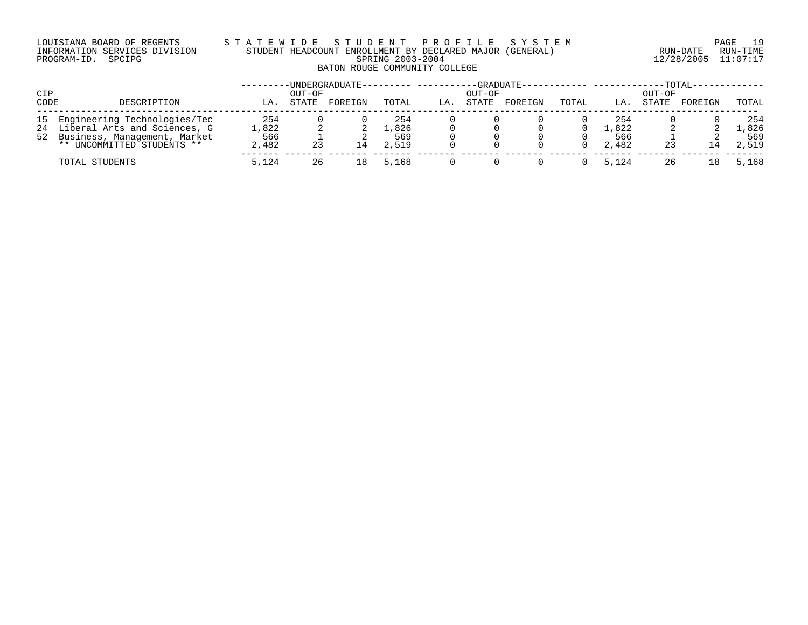#### LOUISIANA BOARD OF REGENTS S T A T E W I D E S T U D E N T P R O F I L E S Y S T E M PAGE 19 INFORMATION SERVICES DIVISION STUDENT HEADCOUNT ENROLLMENT BY DECLARED MAJOR (GENERAL) RUN-DATE RUN-TIME PROGRAM-ID. SPCIPG SPRING 2003-2004 12/28/2005 11:07:17 BATON ROUGE COMMUNITY COLLEGE

| CIP  |                                 |       | OUT-OF | -UNDERGRADUATE- |       |     | OUT-OF | -GRADUATE- |       |       | OUT-OF | -TOTAL- |       |
|------|---------------------------------|-------|--------|-----------------|-------|-----|--------|------------|-------|-------|--------|---------|-------|
| CODE | DESCRIPTION                     | LA.   | STATE  | FOREIGN         | TOTAL | LA. | STATE  | FOREIGN    | TOTAL | LA.   | STATE  | FOREIGN | TOTAL |
|      | 15 Engineering Technologies/Tec | 254   |        |                 | 254   |     |        |            |       | 254   |        |         | 254   |
|      | 24 Liberal Arts and Sciences, G | ,822  |        |                 | ⊥,826 |     |        |            |       | 1,822 |        |         | .,826 |
|      | 52 Business, Management, Market | 566   |        |                 | 569   |     |        |            |       | 566   |        |         | 569   |
|      | ** UNCOMMITTED STUDENTS **      | 2,482 | 23     | ⊥4              | 2,519 |     |        |            |       | 2,482 |        | 14      | 2,519 |
|      | TOTAL STUDENTS                  | 5,124 | 26     | ⊥8.             | 5,168 |     |        |            |       | 5,124 | 26     | 18      | 5,168 |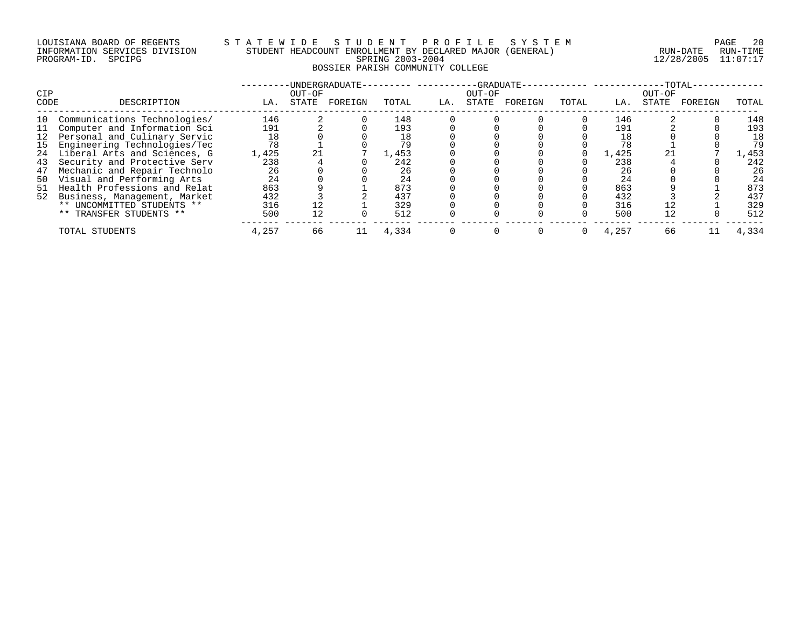# LOUISIANA BOARD OF REGENTS STATEWIDE STUDE NT PROFILE SYSTEM PAGE 20<br>INFORMATION SERVICES DIVISION STUDENT HEADCOUNT ENROLLMENT BY DECLARED MAJOR (GENERAL) INFORMATION SERVICES DIVISION STUDENT HEADCOUNT ENROLLMENT BY DECLARED MAJOR (GENERAL)<br>PROGRAM-ID. SPCIPG RUN-DATE RUN-RUN-SPRING 2003-2004 BOSSIER PARISH COMMUNITY COLLEGE

PROGRAM-ID. SPCIPG SPRING 2003-2004 12/28/2005 11:07:17

| <b>CIP</b> |                                 |       | OUT-OF | -UNDERGRADUATE- |       |     | -GRADUATE-<br>OUT-OF |         |       |       | OUT-OF | $-TOTAL-$ |       |
|------------|---------------------------------|-------|--------|-----------------|-------|-----|----------------------|---------|-------|-------|--------|-----------|-------|
| CODE       | DESCRIPTION                     | LA.   | STATE  | FOREIGN         | TOTAL | LA. | STATE                | FOREIGN | TOTAL | LA.   | STATE  | FOREIGN   | TOTAL |
| 10         | Communications Technologies/    | 146   |        |                 | 148   |     |                      |         |       | 146   |        |           | 148   |
| -11        | Computer and Information Sci    | 191   |        |                 | 193   |     |                      |         |       | 191   |        |           | 193   |
|            | 12 Personal and Culinary Servic | 18    |        |                 | 18    |     |                      |         |       | 18    |        |           | 18    |
| 15         | Engineering Technologies/Tec    | 78    |        |                 | 79    |     |                      |         |       | 78    |        |           | 79    |
| 24         | Liberal Arts and Sciences, G    | 1,425 | 21     |                 | 1,453 |     |                      |         |       | 1,425 |        |           | 1,453 |
| 43         | Security and Protective Serv    | 238   |        |                 | 242   |     |                      |         |       | 238   |        |           | 242   |
| 47         | Mechanic and Repair Technolo    | 26    |        |                 | 26    |     |                      |         |       | 26    |        |           | 26    |
| 50         | Visual and Performing Arts      | 24    |        |                 | 24    |     |                      |         |       | 24    |        |           | 24    |
| 51         | Health Professions and Relat    | 863   |        |                 | 873   |     |                      |         |       | 863   |        |           | 873   |
|            | 52 Business, Management, Market | 432   |        |                 | 437   |     |                      |         |       | 432   |        |           | 437   |
|            | ** UNCOMMITTED STUDENTS **      | 316   | 12     |                 | 329   |     |                      |         |       | 316   | 12     |           | 329   |
|            | ** TRANSFER STUDENTS **         | 500   | 12     |                 | 512   |     |                      |         |       | 500   | 12     |           | 512   |
|            | TOTAL STUDENTS                  | 4,257 | 66     |                 | 4,334 |     |                      |         | 0     | 4,257 | 66     |           | 4,334 |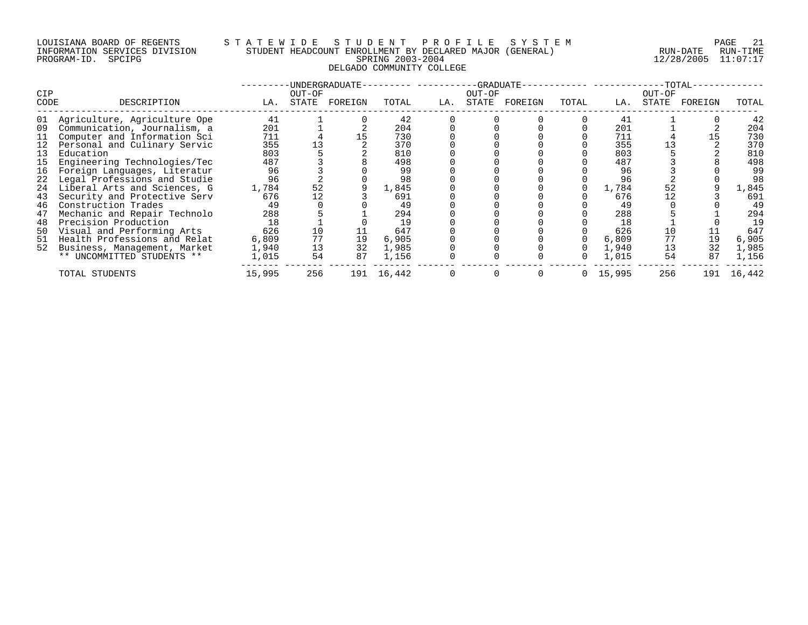#### LOUISIANA BOARD OF REGENTS S T A T E W I D E S T U D E N T P R O F I L E S Y S T E M PAGE 21 INFORMATION SERVICES DIVISION STUDENT HEADCOUNT ENROLLMENT BY DECLARED MAJOR (GENERAL) RUN-DATE RUN-TIME PROGRAM-ID. SPCIPG SPRING 2003-2004 12/28/2005 11:07:17 DELGADO COMMUNITY COLLEGE

| CIP<br>CODE | DESCRIPTION                     | LA.    | OUT-OF<br>STATE | -UNDERGRADUATE-<br>FOREIGN | TOTAL  | LA. | -GRADUATE-<br>OUT-OF<br>STATE | FOREIGN | TOTAL | LA.    | OUT-OF<br>STATE | $-TOTAL-$<br>FOREIGN | TOTAL  |
|-------------|---------------------------------|--------|-----------------|----------------------------|--------|-----|-------------------------------|---------|-------|--------|-----------------|----------------------|--------|
|             | 01 Agriculture, Agriculture Ope | 41     |                 |                            | 42     |     |                               |         |       | 41     |                 |                      | 42     |
| 09          | Communication, Journalism, a    | 201    |                 |                            | 204    |     |                               |         |       | 201    |                 |                      | 204    |
| 11          | Computer and Information Sci    | 711    |                 |                            | 730    |     |                               |         |       | 711    |                 |                      | 730    |
| 12          | Personal and Culinary Servic    | 355    |                 |                            | 370    |     |                               |         |       | 355    |                 |                      | 370    |
| 13          | Education                       | 803    |                 |                            | 810    |     |                               |         |       | 803    |                 |                      | 810    |
| 15          | Engineering Technologies/Tec    | 487    |                 |                            | 498    |     |                               |         |       | 487    |                 |                      | 498    |
| 16          | Foreign Languages, Literatur    | 96     |                 |                            | 99     |     |                               |         |       | 96     |                 |                      | 99     |
|             | 22 Legal Professions and Studie | 96     |                 |                            | 98     |     |                               |         |       | 96     |                 |                      | 98     |
| 24          | Liberal Arts and Sciences, G    | 1,784  | 52              |                            | 1,845  |     |                               |         |       | 1,784  | 52              |                      | 1,845  |
| 43          | Security and Protective Serv    | 676    | 12              |                            | 691    |     |                               |         |       | 676    |                 |                      | 691    |
| 46          | Construction Trades             | 49     |                 |                            | 49     |     |                               |         |       | 49     |                 |                      | 49     |
| 47          | Mechanic and Repair Technolo    | 288    |                 |                            | 294    |     |                               |         |       | 288    |                 |                      | 294    |
| 48          | Precision Production            | 18     |                 |                            | 19     |     |                               |         |       | 18     |                 |                      | 19     |
| 50          | Visual and Performing Arts      | 626    | 10              |                            | 647    |     |                               |         |       | 626    | 10              |                      | 647    |
| 51          | Health Professions and Relat    | 6,809  | 77              | 19                         | 6,905  |     |                               |         |       | 6,809  |                 | 19                   | 6,905  |
| 52          | Business, Management, Market    | 1,940  | 13              | 32                         | 1,985  |     |                               |         |       | 1,940  | 13              | 32                   | 1,985  |
|             | ** UNCOMMITTED STUDENTS **      | 1,015  | 54              | 87                         | 1,156  |     |                               |         |       | 1,015  | 54              | 87                   | 1,156  |
|             | TOTAL STUDENTS                  | 15,995 | 256             | 191                        | 16,442 |     |                               |         | 0     | 15,995 | 256             | 191                  | 16,442 |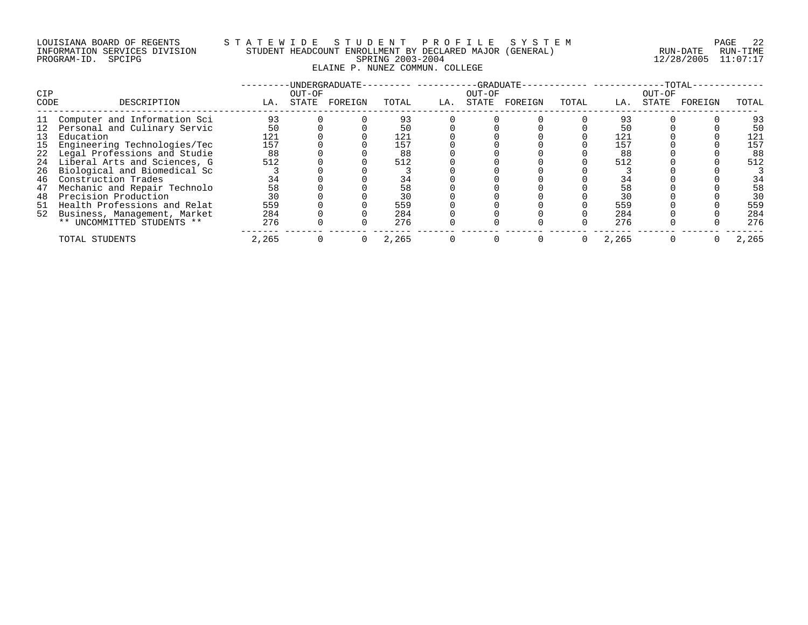#### LOUISIANA BOARD OF REGENTS S T A T E W I D E S T U D E N T P R O F I L E S Y S T E M PAGE 22 INFORMATION SERVICES DIVISION STUDENT HEADCOUNT ENROLLMENT BY DECLARED MAJOR (GENERAL) RUN-DATE RUN-TIME PROGRAM-ID. SPCIPG SPRING 2003-2004 12/28/2005 11:07:17 ELAINE P. NUNEZ COMMUN. COLLEGE

| CIP         |                                 |       | OUT-OF | -UNDERGRADUATE- |       |     | -GRADUATE-<br>OUT-OF |         |       |       | OUT-OF | $-TOTAL$ |       |
|-------------|---------------------------------|-------|--------|-----------------|-------|-----|----------------------|---------|-------|-------|--------|----------|-------|
| <b>CODE</b> | DESCRIPTION                     | LA.   | STATE  | FOREIGN         | TOTAL | LA. | STATE                | FOREIGN | TOTAL | LA.   | STATE  | FOREIGN  | TOTAL |
| 11          | Computer and Information Sci    | 93    |        |                 | 93    |     |                      |         |       | 93    |        |          | 93    |
| 12          | Personal and Culinary Servic    | 50    |        |                 | 50    |     |                      |         |       | 50    |        |          | 50    |
| 13          | Education                       | 121   |        |                 | 121   |     |                      |         |       | 121   |        |          | 121   |
| 15          | Engineering Technologies/Tec    | 157   |        |                 | 157   |     |                      |         |       | 157   |        |          | 157   |
|             | 22 Legal Professions and Studie | 88    |        |                 | 88    |     |                      |         |       | 88    |        |          | 88    |
|             | 24 Liberal Arts and Sciences, G | 512   |        |                 | 512   |     |                      |         |       | 512   |        |          | 512   |
|             | 26 Biological and Biomedical Sc |       |        |                 |       |     |                      |         |       |       |        |          |       |
| 46          | Construction Trades             | 34    |        |                 | 34    |     |                      |         |       | 34    |        |          | 34    |
| 47          | Mechanic and Repair Technolo    | 58    |        |                 | 58    |     |                      |         |       | 58    |        |          | 58    |
| 48          | Precision Production            | 30    |        |                 | 30    |     |                      |         |       | 30    |        |          | 30    |
| 51          | Health Professions and Relat    | 559   |        |                 | 559   |     |                      |         |       | 559   |        |          | 559   |
| 52          | Business, Management, Market    | 284   |        |                 | 284   |     |                      |         |       | 284   |        |          | 284   |
|             | ** UNCOMMITTED STUDENTS **      | 276   |        |                 | 276   |     |                      |         |       | 276   |        |          | 276   |
|             | TOTAL STUDENTS                  | 2,265 |        |                 | 2,265 |     |                      |         |       | 2,265 |        |          | 2,265 |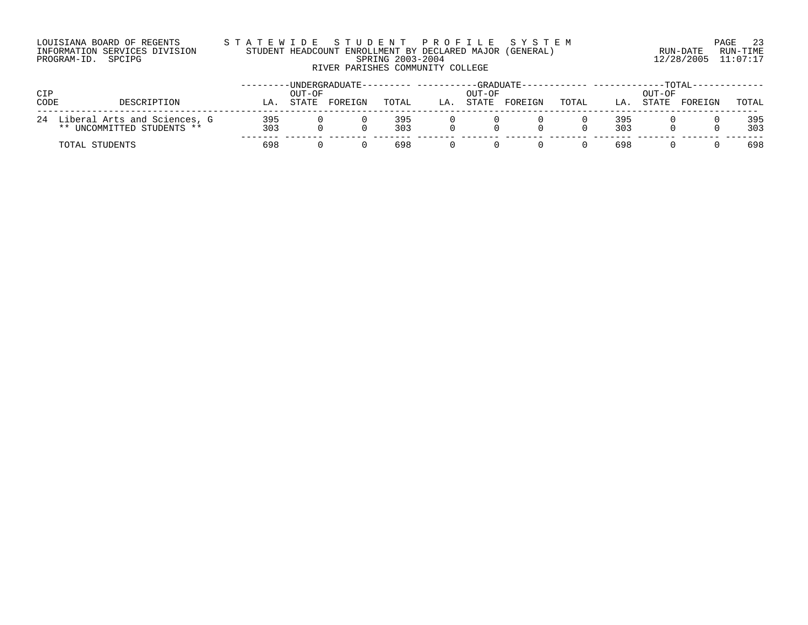| LOUISIANA BOARD OF REGENTS    |  |  |
|-------------------------------|--|--|
| INFORMATION SERVICES DIVISION |  |  |
| PROGRAM-ID. SPCIPG            |  |  |

# LOUISIANA BOARD OF REGENTS S T A T E W I D E S T U D E N T P R O F I L E S Y S T E M PAGE 23 INFORMATION SERVICES DIVISION STUDENT HEADCOUNT ENROLLMENT BY DECLARED MAJOR (GENERAL) RUN-DATE RUN-TIME PROGRAM-ID. SPCIPG SPRING 2003-2004 12/28/2005 11:07:17 RIVER PARISHES COMMUNITY COLLEGE

| CIP<br>CODE | DESCRIPTION                                                       | LΑ         | OUT-OF<br>STATE | -UNDERGRADUATE-<br>FOREIGN | TOTAL      | LA | $-GRADUATE -$<br>OUT-OF<br><b>STATE</b> | FOREIGN | TOTAL | LA         | OUT-OF<br><b>STATE</b> | -TOTAL-<br>FOREIGN | TOTAL      |
|-------------|-------------------------------------------------------------------|------------|-----------------|----------------------------|------------|----|-----------------------------------------|---------|-------|------------|------------------------|--------------------|------------|
|             | 24 Liberal Arts and Sciences, G<br>UNCOMMITTED STUDENTS **<br>* * | 395<br>303 |                 |                            | 395<br>303 |    |                                         |         |       | 395<br>303 |                        |                    | 395<br>303 |
|             | TOTAL STUDENTS                                                    | 698        |                 |                            | 698        |    |                                         |         |       | 698        |                        |                    | 698        |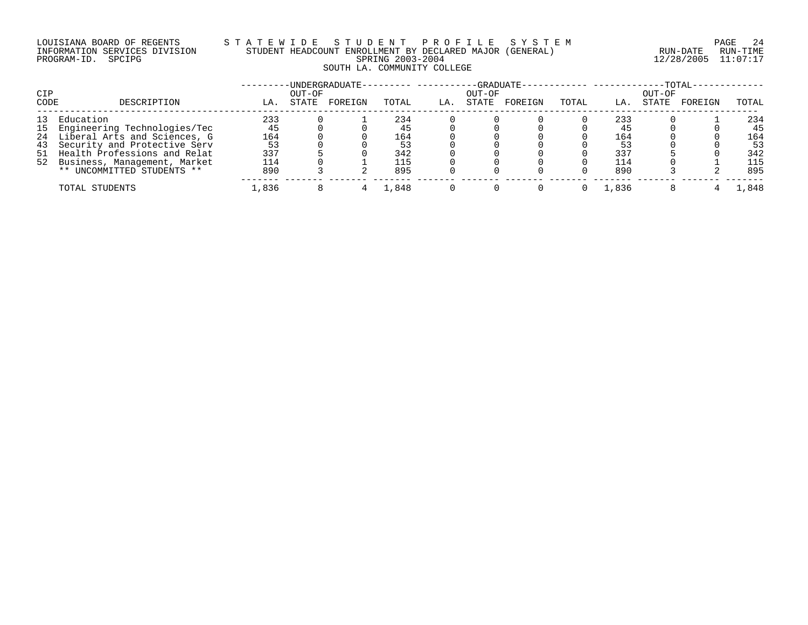### LOUISIANA BOARD OF REGENTS S T A T E W I D E S T U D E N T P R O F I L E S Y S T E M PAGE 24 INFORMATION SERVICES DIVISION STUDENT HEADCOUNT ENROLLMENT BY DECLARED MAJOR (GENERAL) RUN-DATE RUN-TIME PROGRAM-ID. SPCIPG SPRING 2003-2004 12/28/2005 11:07:17 SOUTH LA. COMMUNITY COLLEGE

|      |                                 |       |        | -UNDERGRADUATE-- |       |     |        | -GRADUATE------------ -------- |       |       |        | $-TOTAL-$ |       |
|------|---------------------------------|-------|--------|------------------|-------|-----|--------|--------------------------------|-------|-------|--------|-----------|-------|
| CIP  |                                 |       | OUT-OF |                  |       |     | OUT-OF |                                |       |       | OUT-OF |           |       |
| CODE | DESCRIPTION                     | LA.   | STATE  | FOREIGN          | TOTAL | LA. | STATE  | FOREIGN                        | TOTAL | LA.   | STATE  | FOREIGN   | TOTAL |
| 13   | Education                       | 233   |        |                  | 234   |     |        |                                |       | 233   |        |           | 234   |
|      | 15 Engineering Technologies/Tec | 45    |        |                  | 45    |     |        |                                |       | 45    |        |           | 45    |
|      | 24 Liberal Arts and Sciences, G | 164   |        |                  | 164   |     |        |                                |       | 164   |        |           | 164   |
| 43   | Security and Protective Serv    | 53    |        |                  | 53    |     |        |                                |       | 53    |        |           | 53    |
|      | 51 Health Professions and Relat | 337   |        |                  | 342   |     |        |                                |       | 337   |        |           | 342   |
|      | 52 Business, Management, Market | 114   |        |                  | 115   |     |        |                                |       | 114   |        |           | 115   |
|      | ** UNCOMMITTED STUDENTS **      | 890   |        |                  | 895   |     |        |                                |       | 890   |        |           | 895   |
|      | TOTAL STUDENTS                  | ⊥,836 |        |                  | l.848 |     |        |                                |       | .,836 |        |           | ,848  |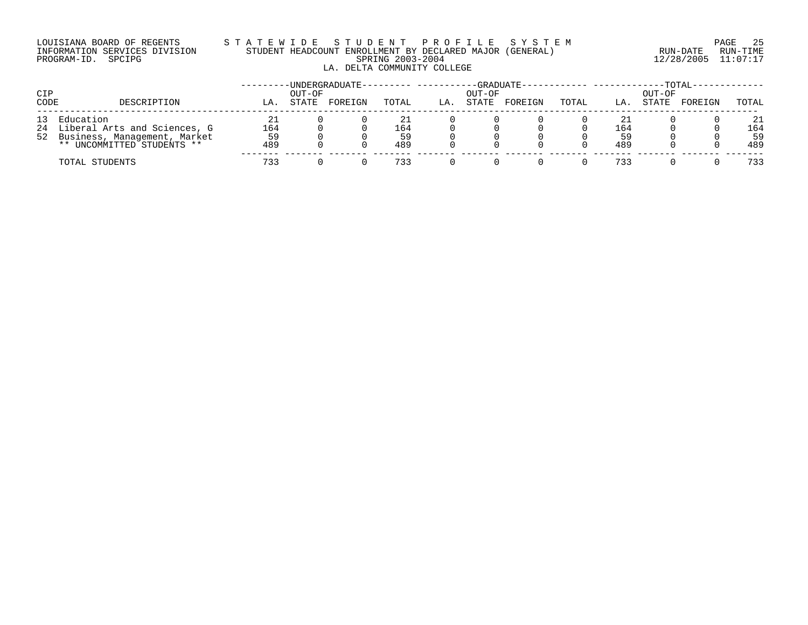# LOUISIANA BOARD OF REGENTS STATEWIDE STUDE NT PROFILE SYSTEM PAGE 25<br>INFORMATION SERVICES DIVISION STUDENT HEADCOUNT ENROLLMENT BY DECLARED MAJOR (GENERAL) RUN-DATE RUN-TIME INFORMATION SERVICES DIVISION STUDENT HEADCOUNT ENROLLMENT BY DECLARED MAJOR (GENERAL) LA. DELTA COMMUNITY COLLEGE

PROGRAM-ID. SPCIPG SPRING 2003-2004 12/28/2005 11:07:17

| CIP<br>CODE | DESCRIPTION                                                                                                      | LA                     | OUT-OF<br>STATE | -UNDERGRADUATE--<br>FOREIGN | TOTAL            | LA. | OUT-OF<br>STATE | $-GRADUATE -$<br>FOREIGN | TOTAL | LA.                    | OUT-OF<br>STATE | -TOTAL-<br>FOREIGN | TOTAL                  |
|-------------|------------------------------------------------------------------------------------------------------------------|------------------------|-----------------|-----------------------------|------------------|-----|-----------------|--------------------------|-------|------------------------|-----------------|--------------------|------------------------|
|             | 13 Education<br>24 Liberal Arts and Sciences, G<br>52 Business, Management, Market<br>** UNCOMMITTED STUDENTS ** | 21<br>164<br>59<br>489 |                 |                             | 164<br>59<br>489 |     |                 |                          |       | 21<br>164<br>59<br>489 |                 |                    | 21<br>164<br>59<br>489 |
|             | TOTAL STUDENTS                                                                                                   | 733                    |                 |                             | 733              |     |                 |                          |       | 733                    |                 |                    | 733                    |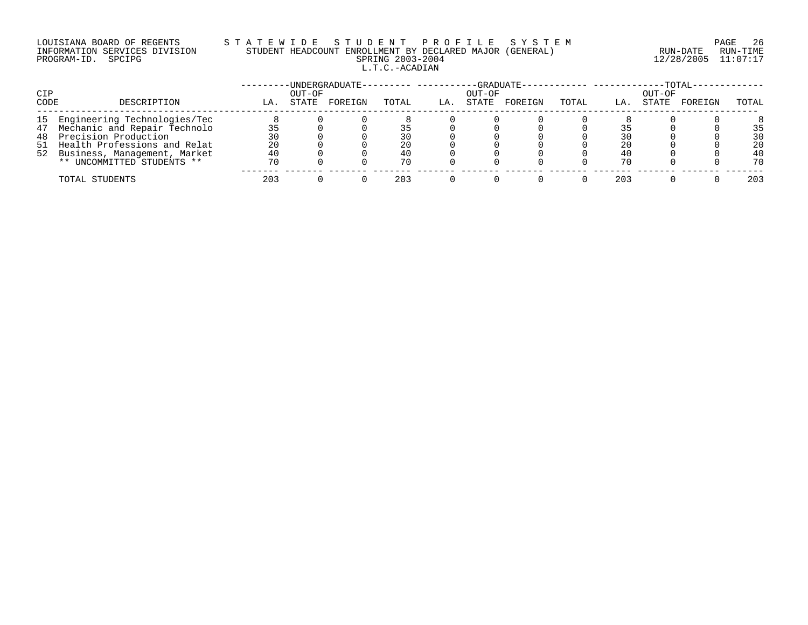# LOUISIANA BOARD OF REGENTS S T A T E W I D E S T U D E N T P R O F I L E S Y S T E M PAGE 26 INFORMATION SERVICES DIVISION STUDENT HEADCOUNT ENROLLMENT BY DECLARED MAJOR (GENERAL) RUN-DATE RUN-TIME PROGRAM-ID. SPCIPG SPRING 2003-2004 12/28/2005 11:07:17 L.T.C.-ACADIAN

| CIP  |                                 |     | OUT-OF | -UNDERGRADUATE--------- ---- |       |     | OUT-OF | -GRADUATE- |       |     | OUT-OF | $-TOTAL-$ |       |
|------|---------------------------------|-----|--------|------------------------------|-------|-----|--------|------------|-------|-----|--------|-----------|-------|
| CODE | DESCRIPTION                     | LA. | STATE  | FOREIGN                      | TOTAL | LA. | STATE  | FOREIGN    | TOTAL | LA. | STATE  | FOREIGN   | TOTAL |
|      | 15 Engineering Technologies/Tec |     |        |                              |       |     |        |            |       |     |        |           |       |
|      | 47 Mechanic and Repair Technolo |     |        |                              |       |     |        |            |       |     |        |           | 35    |
|      | 48 Precision Production         | 30  |        |                              | 30    |     |        |            |       |     |        |           | 30    |
|      | 51 Health Professions and Relat | 20  |        |                              | 20    |     |        |            |       | 20  |        |           | 20    |
|      | 52 Business, Management, Market | 40  |        |                              | 40    |     |        |            |       | 4 C |        |           | 40    |
|      | ** UNCOMMITTED STUDENTS **      | 70  |        |                              | 70    |     |        |            |       | 70  |        |           | 70    |
|      | TOTAL STUDENTS                  | 203 |        |                              | 203   |     |        |            |       | 203 |        |           | 203   |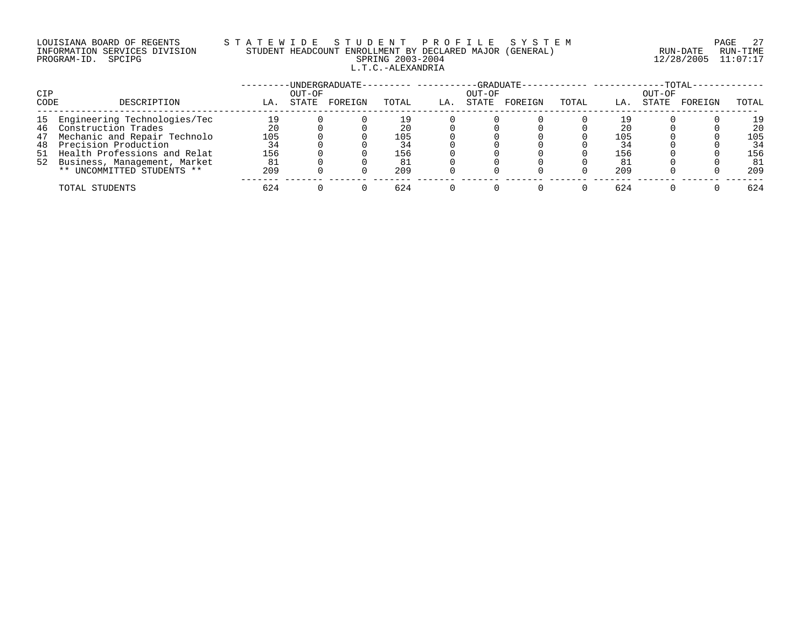# LOUISIANA BOARD OF REGENTS S T A T E W I D E S T U D E N T P R O F I L E S Y S T E M PAGE 27 INFORMATION SERVICES DIVISION STUDENT HEADCOUNT ENROLLMENT BY DECLARED MAJOR (GENERAL) RUN-DATE RUN-TIME PROGRAM-ID. SPCIPG SPRING 2003-2004 12/28/2005 11:07:17 L.T.C.-ALEXANDRIA

|      |                                 |     |        | -UNDERGRADUATE- | . <u>.</u> |     |        | $-GRADUATE-$ | ----------------- |     |        | $-TOTAL$ |       |
|------|---------------------------------|-----|--------|-----------------|------------|-----|--------|--------------|-------------------|-----|--------|----------|-------|
| CIP  |                                 |     | OUT-OF |                 |            |     | OUT-OF |              |                   |     | OUT-OF |          |       |
| CODE | DESCRIPTION                     | LA. | STATE  | FOREIGN         | TOTAL      | LA. | STATE  | FOREIGN      | TOTAL             | LA. | STATE  | FOREIGN  | TOTAL |
|      | 15 Engineering Technologies/Tec | 19  |        |                 | 19         |     |        |              |                   |     |        |          | 19    |
| 46   | Construction Trades             | 20  |        |                 | 20         |     |        |              |                   | 20  |        |          | 20    |
| 47   | Mechanic and Repair Technolo    | 105 |        |                 | 105        |     |        |              |                   | 105 |        |          | 105   |
| 48   | Precision Production            | 34  |        |                 | 34         |     |        |              |                   | 34  |        |          | 34    |
|      | 51 Health Professions and Relat | 156 |        |                 | 156        |     |        |              |                   | 156 |        |          | 156   |
|      | 52 Business, Management, Market | 81  |        |                 |            |     |        |              |                   | -81 |        |          | 81    |
|      | ** UNCOMMITTED STUDENTS **      | 209 |        |                 | 209        |     |        |              |                   | 209 |        |          | 209   |
|      | TOTAL STUDENTS                  | 624 |        |                 | 624        |     |        |              |                   | 624 |        |          | 624   |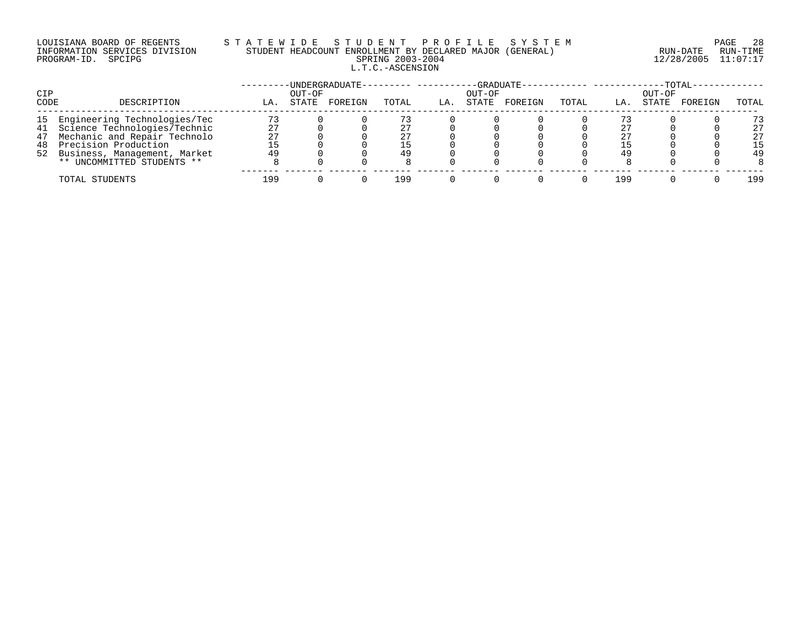# LOUISIANA BOARD OF REGENTS S T A T E W I D E S T U D E N T P R O F I L E S Y S T E M PAGE 28 INFORMATION SERVICES DIVISION STUDENT HEADCOUNT ENROLLMENT BY DECLARED MAJOR (GENERAL) RUN-DATE RUN-TIME PROGRAM-ID. SPCIPG SPRING 2003-2004 12/28/2005 11:07:17 L.T.C.-ASCENSION

| CIP  |                                 |     | OUT-OF | -UNDERGRADUATE--------- -- |       |     | OUT-OF | -GRADUATE- |       |     | $-{\tt TOTAL} \cdot$<br>OUT-OF |         |       |
|------|---------------------------------|-----|--------|----------------------------|-------|-----|--------|------------|-------|-----|--------------------------------|---------|-------|
| CODE | DESCRIPTION                     | LA. | STATE  | FOREIGN                    | TOTAL | LA. | STATE  | FOREIGN    | TOTAL | LA. | STATE                          | FOREIGN | TOTAL |
|      | 15 Engineering Technologies/Tec | 73  |        |                            |       |     |        |            |       |     |                                |         | 73    |
|      | 41 Science Technologies/Technic | 27  |        |                            |       |     |        |            |       | 27  |                                |         | 27    |
|      | 47 Mechanic and Repair Technolo | 27  |        |                            |       |     |        |            |       | 27  |                                |         | 27    |
| 48   | Precision Production            |     |        |                            |       |     |        |            |       |     |                                |         | 15    |
|      | 52 Business, Management, Market | 49  |        |                            | 49    |     |        |            |       | 49  |                                |         | 49    |
|      | ** UNCOMMITTED STUDENTS **      |     |        |                            |       |     |        |            |       |     |                                |         |       |
|      | TOTAL STUDENTS                  | 199 |        |                            | L99   |     |        |            |       | 199 |                                |         | 199   |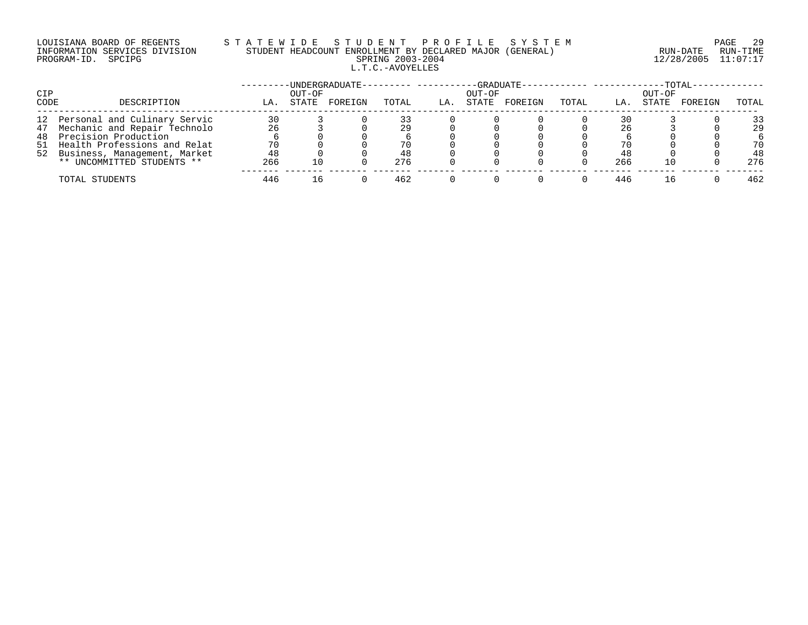# LOUISIANA BOARD OF REGENTS S T A T E W I D E S T U D E N T P R O F I L E S Y S T E M PAGE 29 INFORMATION SERVICES DIVISION STUDENT HEADCOUNT ENROLLMENT BY DECLARED MAJOR (GENERAL) RUN-DATE RUN-TIME PROGRAM-ID. SPCIPG SPRING 2003-2004 12/28/2005 11:07:17 L.T.C.-AVOYELLES

|             |                                                                    |          |                 | -UNDERGRADUATE- |       |     | -GRADUATE-      |         |       |     |                 | -TOTAL- |          |
|-------------|--------------------------------------------------------------------|----------|-----------------|-----------------|-------|-----|-----------------|---------|-------|-----|-----------------|---------|----------|
| CIP<br>CODE | DESCRIPTION                                                        | LA.      | OUT-OF<br>STATE | FOREIGN         | TOTAL | LA. | OUT-OF<br>STATE | FOREIGN | TOTAL | LA. | OUT-OF<br>STATE | FOREIGN | TOTAL    |
|             |                                                                    |          |                 |                 |       |     |                 |         |       |     |                 |         |          |
|             | 12 Personal and Culinary Servic<br>47 Mechanic and Repair Technolo | 30<br>26 |                 |                 | 29    |     |                 |         |       | 26  |                 |         | 33<br>29 |
| 48          | Precision Production                                               |          |                 |                 |       |     |                 |         |       |     |                 |         |          |
|             | 51 Health Professions and Relat                                    | 70       |                 |                 | 70    |     |                 |         |       | 70  |                 |         | 70       |
|             | 52 Business, Management, Market                                    | 48       |                 |                 | 48    |     |                 |         |       | 48  |                 |         | 48       |
|             | ** UNCOMMITTED STUDENTS **                                         | 266      | 10              |                 | 276   |     |                 |         |       | 266 |                 |         | 276      |
|             | TOTAL STUDENTS                                                     | 446      |                 |                 | 462   |     |                 |         |       | 446 |                 |         | 462      |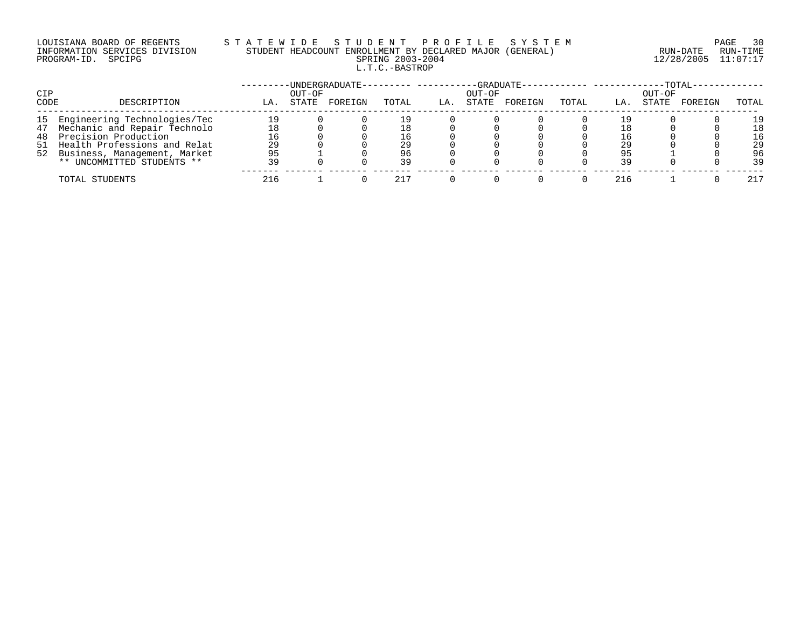# LOUISIANA BOARD OF REGENTS S T A T E W I D E S T U D E N T P R O F I L E S Y S T E M PAGE 30 INFORMATION SERVICES DIVISION STUDENT HEADCOUNT ENROLLMENT BY DECLARED MAJOR (GENERAL) RUN-DATE RUN-TIME PROGRAM-ID. SPCIPG SPRING 2003-2004 12/28/2005 11:07:17 L.T.C.-BASTROP

| CIP  |                                 |     | OUT-OF | UNDERGRADUATE-- |       |     | OUT-OF | -GRADUATE- |       |     | $-TOTAL$<br>OUT-OF |         |       |
|------|---------------------------------|-----|--------|-----------------|-------|-----|--------|------------|-------|-----|--------------------|---------|-------|
| CODE | DESCRIPTION                     | LA. | STATE  | FOREIGN         | TOTAL | LA. | STATE  | FOREIGN    | TOTAL | LA. | STATE              | FOREIGN | TOTAL |
|      | 15 Engineering Technologies/Tec | 19  |        |                 | l 9   |     |        |            |       |     |                    |         | 19    |
|      | 47 Mechanic and Repair Technolo | 18  |        |                 | 18    |     |        |            |       |     |                    |         | 18    |
|      | 48 Precision Production         | 16  |        |                 | 16    |     |        |            |       |     |                    |         | 16    |
|      | 51 Health Professions and Relat | 29  |        |                 | 29    |     |        |            |       | 29  |                    |         | 29    |
|      | 52 Business, Management, Market | 95  |        |                 | 96    |     |        |            |       | 95  |                    |         | 96    |
|      | ** UNCOMMITTED STUDENTS **      | 39  |        |                 | 39    |     |        |            |       | 39  |                    |         | 39    |
|      | TOTAL STUDENTS                  | 216 |        |                 |       |     |        |            |       | 216 |                    |         | 217   |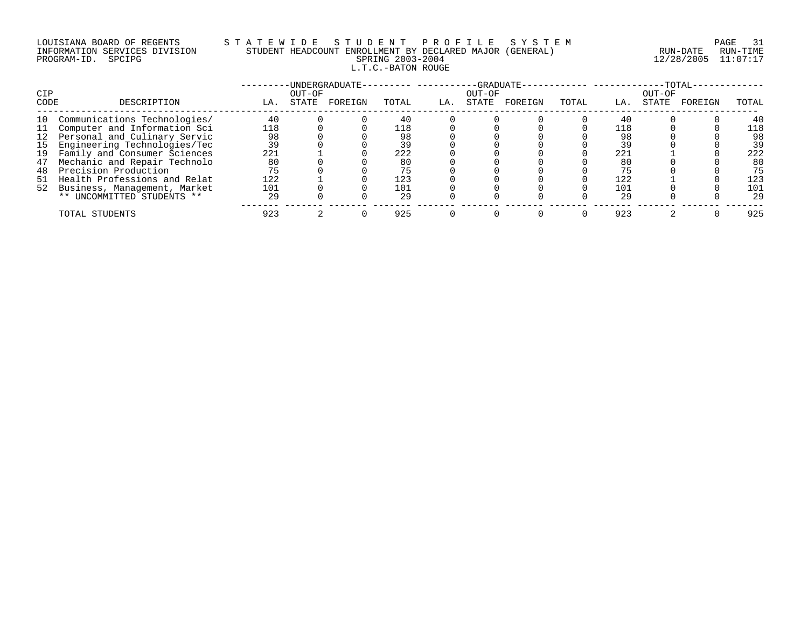# LOUISIANA BOARD OF REGENTS S T A T E W I D E S T U D E N T P R O F I L E S Y S T E M PAGE 31 INFORMATION SERVICES DIVISION STUDENT HEADCOUNT ENROLLMENT BY DECLARED MAJOR (GENERAL) RUN-DATE RUN-TIME PROGRAM-ID. SPCIPG SPRING 2003-2004 12/28/2005 11:07:17 L.T.C.-BATON ROUGE

| <b>CIP</b> |                                 |     | OUT-OF | -UNDERGRADUATE- |       |     | -GRADUATE-<br>OUT-OF |         |       |     | OUT-OF | $-TOTAL$ |       |
|------------|---------------------------------|-----|--------|-----------------|-------|-----|----------------------|---------|-------|-----|--------|----------|-------|
| CODE       | DESCRIPTION                     | LA. | STATE  | FOREIGN         | TOTAL | LA. | STATE                | FOREIGN | TOTAL | LA. | STATE  | FOREIGN  | TOTAL |
| 10         | Communications Technologies/    | 40  |        |                 | 40    |     |                      |         |       | 40  |        |          | 40    |
| 11         | Computer and Information Sci    | 118 |        |                 | 118   |     |                      |         |       | 118 |        |          | 118   |
|            | 12 Personal and Culinary Servic | 98  |        |                 | 98    |     |                      |         |       | 98  |        |          | 98    |
| 15         | Engineering Technologies/Tec    | 39  |        |                 | 39    |     |                      |         |       | 39  |        |          | 39    |
| 19         | Family and Consumer Sciences    | 221 |        |                 | 222   |     |                      |         |       | 221 |        |          | 222   |
| 47         | Mechanic and Repair Technolo    | 80  |        |                 | 80    |     |                      |         |       | 80  |        |          | 80    |
| 48         | Precision Production            | 75  |        |                 | 75    |     |                      |         |       | 75  |        |          | 75    |
| 51         | Health Professions and Relat    | 122 |        |                 | 123   |     |                      |         |       | 122 |        |          | 123   |
|            | 52 Business, Management, Market | 101 |        |                 | 101   |     |                      |         |       | 101 |        |          | 101   |
|            | ** UNCOMMITTED STUDENTS **      | 29  |        |                 | 29    |     |                      |         |       | 29  |        |          | 29    |
|            | TOTAL STUDENTS                  | 923 |        |                 | 925   |     |                      |         |       | 923 |        |          | 925   |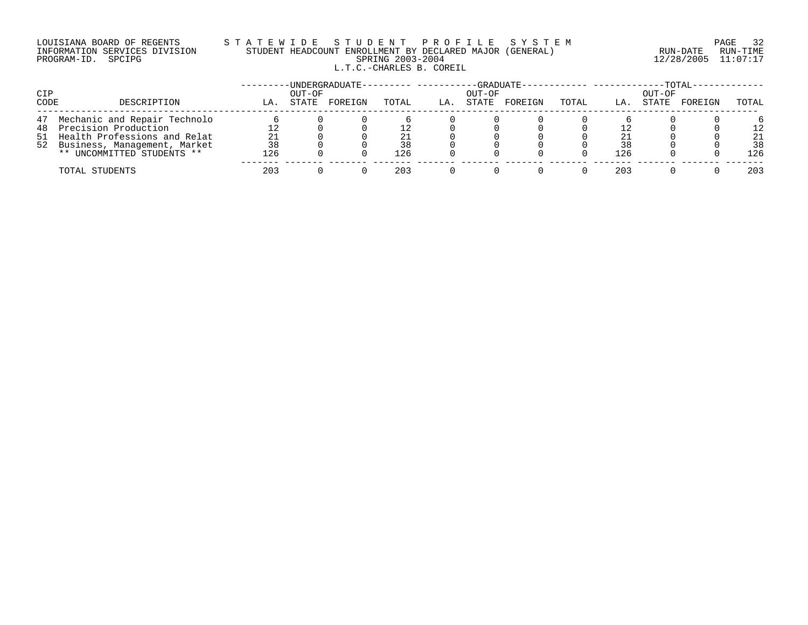# LOUISIANA BOARD OF REGENTS S T A T E W I D E S T U D E N T P R O F I L E S Y S T E M PAGE 32 INFORMATION SERVICES DIVISION STUDENT HEADCOUNT ENROLLMENT BY DECLARED MAJOR (GENERAL) RUN-DATE RUN-TIME PROGRAM-ID. SPCIPG SPRING 2003-2004 12/28/2005 11:07:17 L.T.C.-CHARLES B. COREIL

| CIP  |                                 |     | OUT-OF | -UNDERGRADUATE-- |       |     | OUT-OF | -GRADUATE-- |       |     | OUT-OF | $-TOTAL-$ |       |
|------|---------------------------------|-----|--------|------------------|-------|-----|--------|-------------|-------|-----|--------|-----------|-------|
| CODE | DESCRIPTION                     | LA. | STATE  | FOREIGN          | TOTAL | LA. | STATE  | FOREIGN     | TOTAL | LA. | STATE  | FOREIGN   | TOTAL |
|      | 47 Mechanic and Repair Technolo |     |        |                  |       |     |        |             |       |     |        |           |       |
|      | 48 Precision Production         |     |        |                  |       |     |        |             |       |     |        |           | 12    |
|      | 51 Health Professions and Relat | 21  |        |                  | 21    |     |        |             |       | 21  |        |           | 21    |
|      | 52 Business, Management, Market | 38  |        |                  | 38    |     |        |             |       | 38  |        |           | 38    |
|      | ** UNCOMMITTED STUDENTS **      | 126 |        |                  | 126   |     |        |             |       | 126 |        |           | 126   |
|      | TOTAL STUDENTS                  | 203 |        |                  | 203   |     |        |             |       | 203 |        |           | 203   |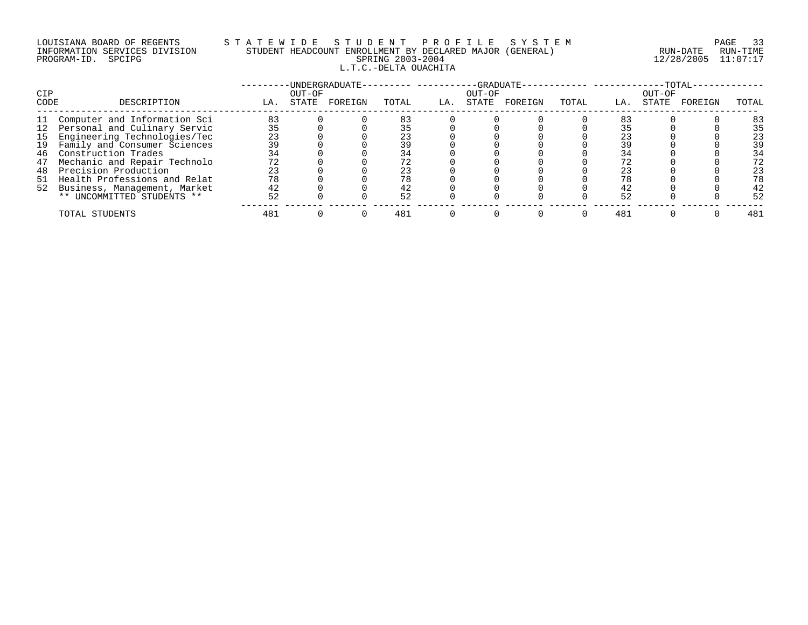# LOUISIANA BOARD OF REGENTS S T A T E W I D E S T U D E N T P R O F I L E S Y S T E M PAGE 33 INFORMATION SERVICES DIVISION STUDENT HEADCOUNT ENROLLMENT BY DECLARED MAJOR (GENERAL) RUN-DATE RUN-TIME PROGRAM-ID. SPCIPG SPRING 2003-2004 12/28/2005 11:07:17 L.T.C.-DELTA OUACHITA

| CIP  |                                 |     | OUT-OF | -UNDERGRADUATE- |       |     | -GRADUATE-<br>OUT-OF |         |       |     | $-TOTAL$<br>OUT-OF |         |       |
|------|---------------------------------|-----|--------|-----------------|-------|-----|----------------------|---------|-------|-----|--------------------|---------|-------|
| CODE | DESCRIPTION                     | LA. | STATE  | FOREIGN         | TOTAL | LA. | STATE                | FOREIGN | TOTAL | LA. | STATE              | FOREIGN | TOTAL |
| 11   | Computer and Information Sci    | 83  |        |                 | 83    |     |                      |         |       | 83  |                    |         | 83    |
|      | 12 Personal and Culinary Servic | 35  |        |                 | 35    |     |                      |         |       |     |                    |         | 35    |
| 15   | Engineering Technologies/Tec    | 23  |        |                 | 23    |     |                      |         |       | 23  |                    |         | 23    |
| 19   | Family and Consumer Sciences    | 39  |        |                 | 39    |     |                      |         |       | 39  |                    |         | 39    |
| 46   | Construction Trades             | 34  |        |                 | 34    |     |                      |         |       | 34  |                    |         | 34    |
| 47   | Mechanic and Repair Technolo    | 72  |        |                 | 72    |     |                      |         |       |     |                    |         | 72    |
| 48   | Precision Production            | 23  |        |                 | 23    |     |                      |         |       | 23  |                    |         | 23    |
|      | 51 Health Professions and Relat | 78  |        |                 | 78    |     |                      |         |       | 78  |                    |         | 78    |
|      | 52 Business, Management, Market | 42  |        |                 | 42    |     |                      |         |       | 42  |                    |         | 42    |
|      | ** UNCOMMITTED STUDENTS **      | 52  |        |                 | 52    |     |                      |         |       | 52  |                    |         | 52    |
|      | TOTAL STUDENTS                  | 481 |        |                 | 481   |     |                      |         |       | 481 |                    |         | 481   |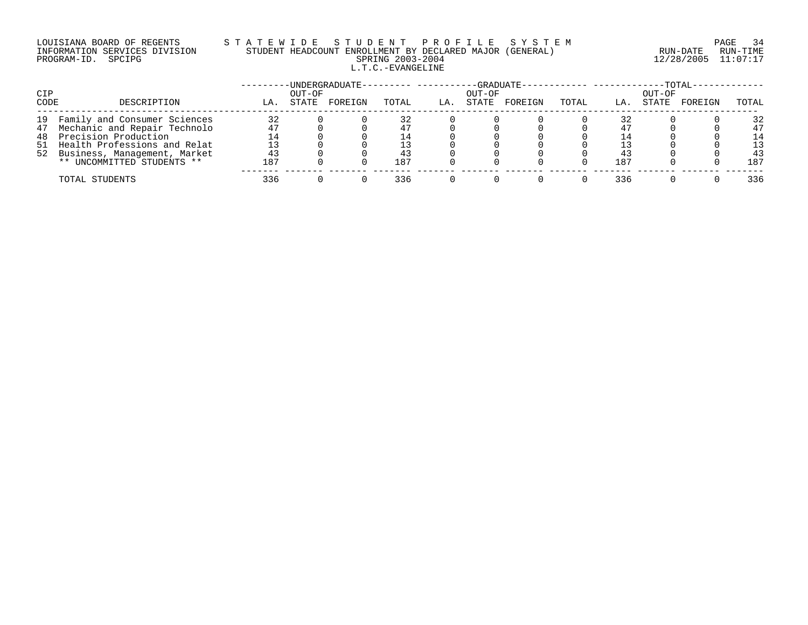# LOUISIANA BOARD OF REGENTS S T A T E W I D E S T U D E N T P R O F I L E S Y S T E M PAGE 34 INFORMATION SERVICES DIVISION STUDENT HEADCOUNT ENROLLMENT BY DECLARED MAJOR (GENERAL) RUN-DATE RUN-TIME PROGRAM-ID. SPCIPG SPRING 2003-2004 12/28/2005 11:07:17 L.T.C.-EVANGELINE

| CIP  |                                 |     | OUT-OF | -UNDERGRADUATE-- |       |     | OUT-OF | -GRADUATE- |       |     | $-{\tt TOTAL} \cdot$<br>OUT-OF |         |       |
|------|---------------------------------|-----|--------|------------------|-------|-----|--------|------------|-------|-----|--------------------------------|---------|-------|
| CODE | DESCRIPTION                     | LA. | STATE  | FOREIGN          | TOTAL | LA. | STATE  | FOREIGN    | TOTAL | LA. | STATE                          | FOREIGN | TOTAL |
|      | 19 Family and Consumer Sciences | 32  |        |                  | 32    |     |        |            |       | 32  |                                |         | 32    |
|      | 47 Mechanic and Repair Technolo |     |        |                  |       |     |        |            |       |     |                                |         | 47    |
|      | 48 Precision Production         |     |        |                  | - 4   |     |        |            |       |     |                                |         | 14    |
|      | 51 Health Professions and Relat |     |        |                  |       |     |        |            |       |     |                                |         | 13    |
|      | 52 Business, Management, Market | 43  |        |                  | 43    |     |        |            |       | 43  |                                |         | 43    |
|      | ** UNCOMMITTED STUDENTS **      | 187 |        |                  | 187   |     |        |            |       | 187 |                                |         | 187   |
|      | TOTAL STUDENTS                  | 336 |        |                  | 336   |     |        |            |       | 336 |                                |         | 336   |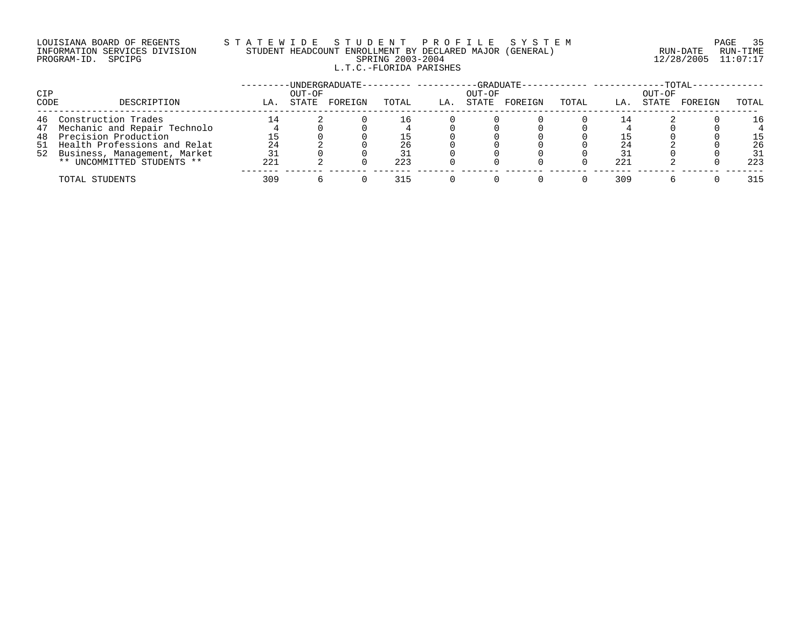# LOUISIANA BOARD OF REGENTS STATEWIDE STUDE NT PROFILE SYSTEM PAGE 35<br>INFORMATION SERVICES DIVISION STUDENT HEADCOUNT ENROLLMENT BY DECLARED MAJOR (GENERAL) INFORMATION SERVICES DIVISION STUDENT HEADCOUNT ENROLLMENT BY DECLARED MAJOR (GENERAL) L.T.C.-FLORIDA PARISHES

PROGRAM-ID. SPCIPG SPRING 2003-2004 12/28/2005 11:07:17

| <b>CIP</b> |                                 | -UNDERGRADUATE-<br>OUT-OF |       |         |       | -GRADUATE-<br>OUT-OF |       |         |       | $-TOTAL-$<br>OUT-OF |       |         |       |
|------------|---------------------------------|---------------------------|-------|---------|-------|----------------------|-------|---------|-------|---------------------|-------|---------|-------|
| CODE       | DESCRIPTION                     | LA.                       | STATE | FOREIGN | TOTAL | LA.                  | STATE | FOREIGN | TOTAL | LA.                 | STATE | FOREIGN | TOTAL |
| 46         | Construction Trades             |                           |       |         | Lб.   |                      |       |         |       |                     |       |         | 16    |
|            | 47 Mechanic and Repair Technolo |                           |       |         |       |                      |       |         |       |                     |       |         |       |
|            | 48 Precision Production         |                           |       |         |       |                      |       |         |       |                     |       |         | 15    |
|            | 51 Health Professions and Relat | 24                        |       |         | 26    |                      |       |         |       | 24                  |       |         | 26    |
|            | 52 Business, Management, Market | 31                        |       |         |       |                      |       |         |       |                     |       |         | 31    |
|            | ** UNCOMMITTED STUDENTS **      | 221                       |       |         | 223   |                      |       |         |       | 221                 |       |         | 223   |
|            | TOTAL STUDENTS                  | 309                       |       |         | 315   |                      |       |         |       | 309                 |       |         | 315   |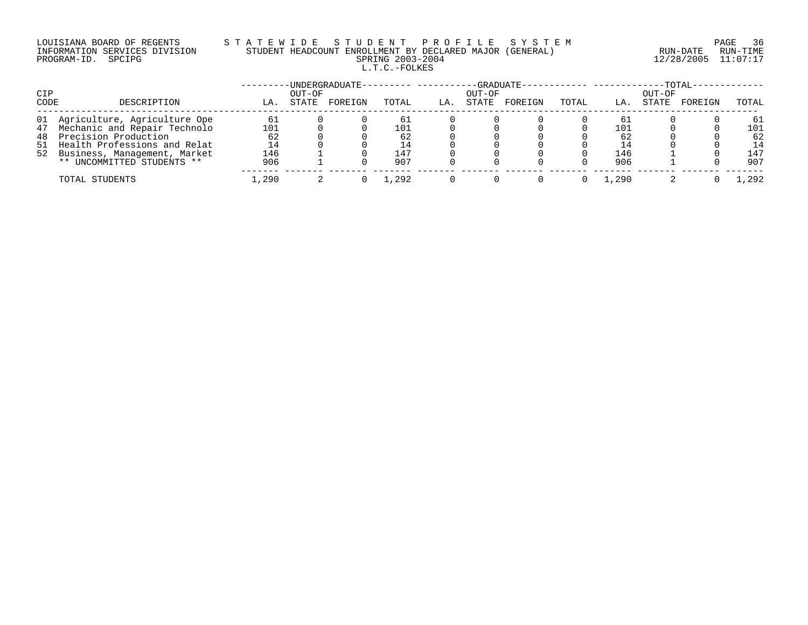### LOUISIANA BOARD OF REGENTS S T A T E W I D E S T U D E N T P R O F I L E S Y S T E M PAGE 36 INFORMATION SERVICES DIVISION STUDENT HEADCOUNT ENROLLMENT BY DECLARED MAJOR (GENERAL) RUN-DATE RUN-TIME PROGRAM-ID. SPCIPG SPRING 2003-2004 12/28/2005 11:07:17 L.T.C.-FOLKES

| CIP  |                                 | -UNDERGRADUATE-<br>OUT-OF |       |         |       | -GRADUATE-<br>OUT-OF |       |         |       | $-TOTAL-$<br>OUT-OF |       |         |       |
|------|---------------------------------|---------------------------|-------|---------|-------|----------------------|-------|---------|-------|---------------------|-------|---------|-------|
| CODE | DESCRIPTION                     | LA.                       | STATE | FOREIGN | TOTAL | LA.                  | STATE | FOREIGN | TOTAL | LA.                 | STATE | FOREIGN | TOTAL |
|      | 01 Agriculture, Agriculture Ope | 61                        |       |         | 61    |                      |       |         |       | 61                  |       |         | 61    |
|      | 47 Mechanic and Repair Technolo | 101                       |       |         | 101   |                      |       |         |       | 101                 |       |         | 101   |
|      | 48 Precision Production         | 62                        |       |         | 62    |                      |       |         |       | -62                 |       |         | 62    |
|      | 51 Health Professions and Relat |                           |       |         | 14    |                      |       |         |       |                     |       |         | 14    |
|      | 52 Business, Management, Market | 146                       |       |         | 147   |                      |       |         |       | 146                 |       |         | 147   |
|      | ** UNCOMMITTED STUDENTS **      | 906                       |       |         | 907   |                      |       |         |       | 906                 |       |         | 907   |
|      | TOTAL STUDENTS                  | ,290                      |       |         | 1,292 |                      |       |         |       | .,290               |       |         | , 292 |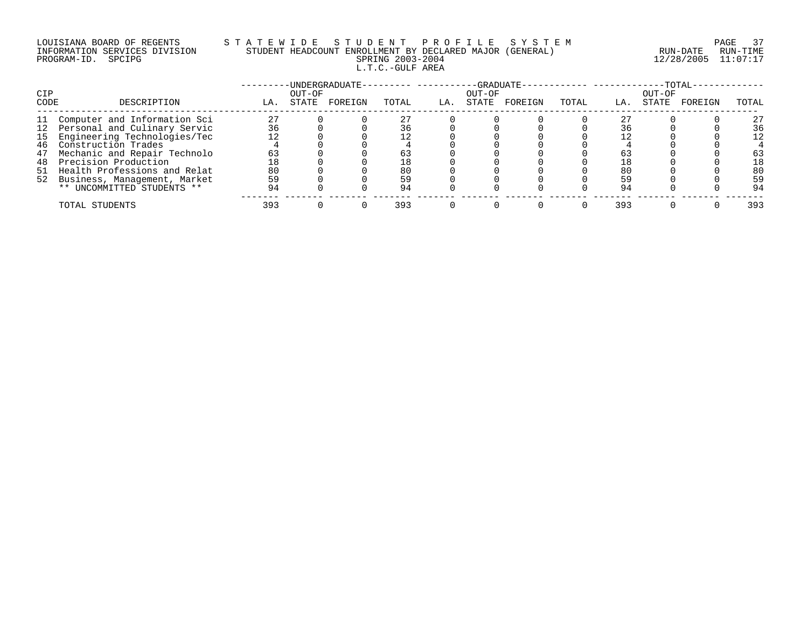### LOUISIANA BOARD OF REGENTS S T A T E W I D E S T U D E N T P R O F I L E S Y S T E M PAGE 37 INFORMATION SERVICES DIVISION STUDENT HEADCOUNT ENROLLMENT BY DECLARED MAJOR (GENERAL) RUN-DATE RUN-TIME PROGRAM-ID. SPCIPG SPRING 2003-2004 12/28/2005 11:07:17 L.T.C.-GULF AREA

| CIP  |                                 |     | OUT-OF | UNDERGRADUATE- |       |     | OUT-OF | -GRADUATE- |       |     | OUT-OF | -TOTAL· |       |
|------|---------------------------------|-----|--------|----------------|-------|-----|--------|------------|-------|-----|--------|---------|-------|
| CODE | DESCRIPTION                     | LA. | STATE  | FOREIGN        | TOTAL | LA. | STATE  | FOREIGN    | TOTAL | LA. | STATE  | FOREIGN | TOTAL |
| 11   | . Computer and Information Sci  | 27  |        |                |       |     |        |            |       |     |        |         | 27    |
|      | 12 Personal and Culinary Servic | 36  |        |                | 36    |     |        |            |       | 36  |        |         | 36    |
|      | 15 Engineering Technologies/Tec |     |        |                | 12    |     |        |            |       |     |        |         | 12    |
| 46   | Construction Trades             |     |        |                |       |     |        |            |       |     |        |         |       |
| 47   | Mechanic and Repair Technolo    | 63  |        |                |       |     |        |            |       | 63  |        |         | 63    |
| 48   | Precision Production            |     |        |                | 18    |     |        |            |       |     |        |         | 18    |
|      | 51 Health Professions and Relat | 80  |        |                | 80    |     |        |            |       | 80  |        |         | 80    |
|      | 52 Business, Management, Market | 59  |        |                | 59    |     |        |            |       | 59  |        |         | 59    |
|      | ** UNCOMMITTED STUDENTS **      | 94  |        |                | 94    |     |        |            |       | 94  |        |         | 94    |
|      | TOTAL STUDENTS                  | 393 |        |                | 393   |     |        |            |       | 393 |        |         | 393   |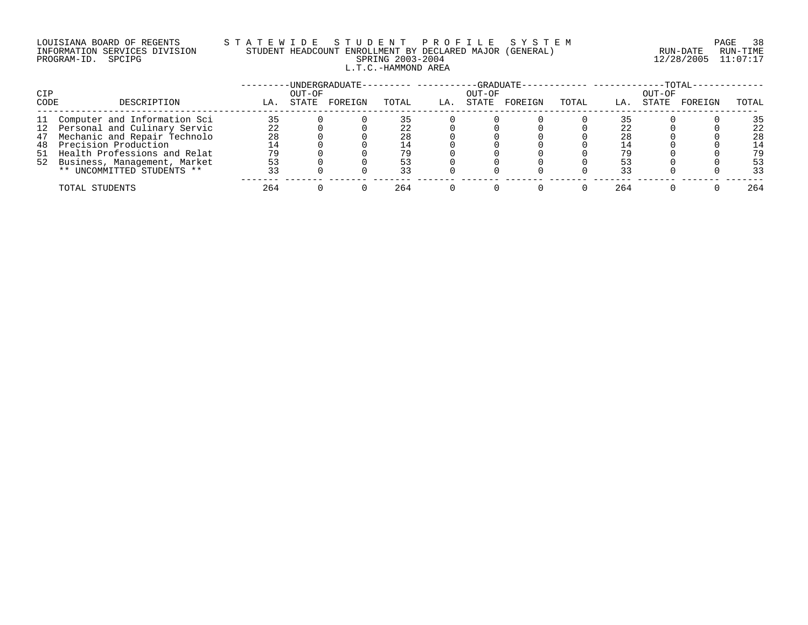## LOUISIANA BOARD OF REGENTS S T A T E W I D E S T U D E N T P R O F I L E S Y S T E M PAGE 38 INFORMATION SERVICES DIVISION STUDENT HEADCOUNT ENROLLMENT BY DECLARED MAJOR (GENERAL) RUN-DATE RUN-TIME PROGRAM-ID. SPCIPG SPRING 2003-2004 12/28/2005 11:07:17 L.T.C.-HAMMOND AREA

|            |                                 |     |        | -UNDERGRADUATE-- |       |     |        | $-GRADUATE--$ | -------------------- |     |        | $-TOTAL-$ |       |
|------------|---------------------------------|-----|--------|------------------|-------|-----|--------|---------------|----------------------|-----|--------|-----------|-------|
| <b>CIP</b> |                                 |     | OUT-OF |                  |       |     | OUT-OF |               |                      |     | OUT-OF |           |       |
| CODE       | DESCRIPTION                     | LA. | STATE  | FOREIGN          | TOTAL | LA. | STATE  | FOREIGN       | TOTAL                | LA. | STATE  | FOREIGN   | TOTAL |
|            | 11 Computer and Information Sci | 35  |        |                  |       |     |        |               |                      |     |        |           | 35    |
|            | 12 Personal and Culinary Servic | 22  |        |                  |       |     |        |               |                      | 22  |        |           | 22    |
|            | 47 Mechanic and Repair Technolo | 28  |        |                  | 28    |     |        |               |                      | 28  |        |           | 28    |
| 48         | Precision Production            |     |        |                  |       |     |        |               |                      |     |        |           | 14    |
|            | 51 Health Professions and Relat | 79  |        |                  | 79    |     |        |               |                      | 79  |        |           | 79    |
|            | 52 Business, Management, Market | 53  |        |                  |       |     |        |               |                      |     |        |           | 53    |
|            | ** UNCOMMITTED STUDENTS **      | 33  |        |                  | 33    |     |        |               |                      | 33  |        |           | 33    |
|            | TOTAL STUDENTS                  | 264 |        |                  | 264   |     |        |               |                      | 264 |        |           | 264   |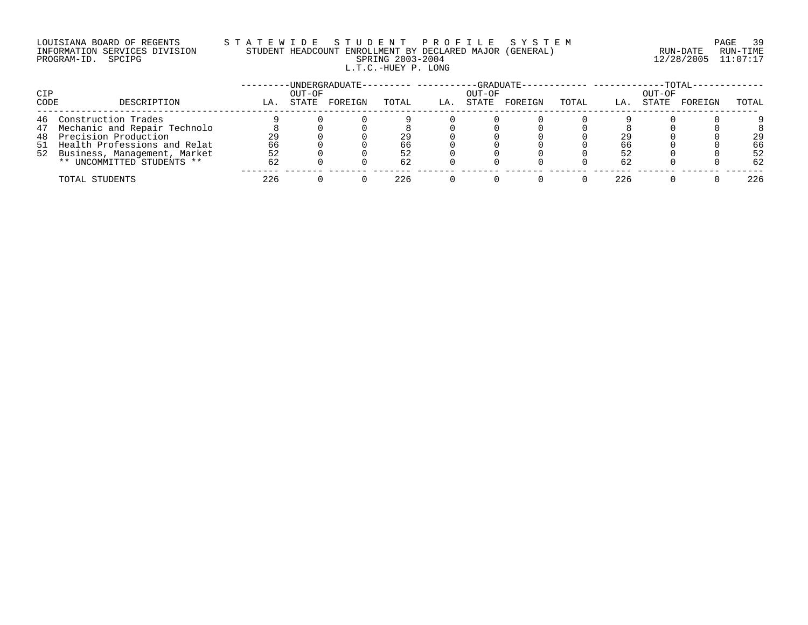## LOUISIANA BOARD OF REGENTS S T A T E W I D E S T U D E N T P R O F I L E S Y S T E M PAGE 39 INFORMATION SERVICES DIVISION STUDENT HEADCOUNT ENROLLMENT BY DECLARED MAJOR (GENERAL) RUN-DATE RUN-TIME PROGRAM-ID. SPCIPG SPRING 2003-2004 12/28/2005 11:07:17 L.T.C.-HUEY P. LONG

| <b>CIP</b> |                                 |     | OUT-OF | -UNDERGRADUATE- |       |     | -GRADUATE-<br>OUT-OF |         |       |     | OUT-OF | $-TOTAL-$ |       |
|------------|---------------------------------|-----|--------|-----------------|-------|-----|----------------------|---------|-------|-----|--------|-----------|-------|
| CODE       | DESCRIPTION                     | LA. | STATE  | FOREIGN         | TOTAL | LA. | STATE                | FOREIGN | TOTAL | LA. | STATE  | FOREIGN   | TOTAL |
|            | 46 Construction Trades          |     |        |                 |       |     |                      |         |       |     |        |           |       |
|            | 47 Mechanic and Repair Technolo |     |        |                 |       |     |                      |         |       |     |        |           |       |
| 48         | Precision Production            | 29  |        |                 | 29    |     |                      |         |       | 29  |        |           | 29    |
|            | 51 Health Professions and Relat | 66  |        |                 | 66    |     |                      |         |       | 66  |        |           | 66    |
|            | 52 Business, Management, Market | 52  |        |                 | 52    |     |                      |         |       | 52  |        |           | 52    |
|            | ** UNCOMMITTED STUDENTS **      | 62  |        |                 | 62    |     |                      |         |       | 62  |        |           | 62    |
|            | TOTAL STUDENTS                  | 226 |        |                 | 226   |     |                      |         |       | 226 |        |           | 226   |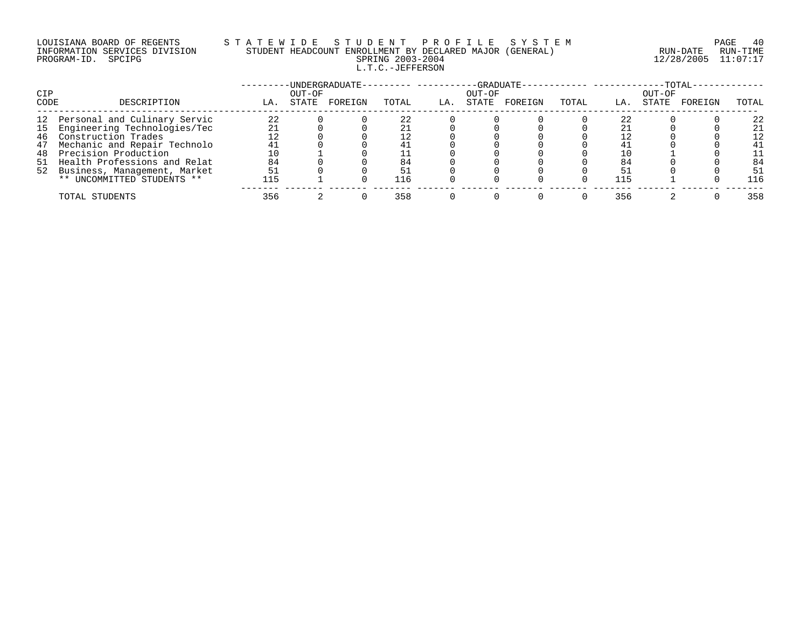### LOUISIANA BOARD OF REGENTS S T A T E W I D E S T U D E N T P R O F I L E S Y S T E M PAGE 40 INFORMATION SERVICES DIVISION STUDENT HEADCOUNT ENROLLMENT BY DECLARED MAJOR (GENERAL) RUN-DATE RUN-TIME PROGRAM-ID. SPCIPG SPRING 2003-2004 12/28/2005 11:07:17 L.T.C.-JEFFERSON

|      |                                 |     |        | ·UNDERGRADUATE- |       |     |        | -GRADUATE- |       |     |        | $-TOTAL$ |       |
|------|---------------------------------|-----|--------|-----------------|-------|-----|--------|------------|-------|-----|--------|----------|-------|
| CIP  |                                 |     | OUT-OF |                 |       |     | OUT-OF |            |       |     | OUT-OF |          |       |
| CODE | DESCRIPTION                     | LA. | STATE  | FOREIGN         | TOTAL | LA. | STATE  | FOREIGN    | TOTAL | LA. | STATE  | FOREIGN  | TOTAL |
|      | 12 Personal and Culinary Servic | 22  |        |                 | 22    |     |        |            |       | 22  |        |          | 22    |
|      | 15 Engineering Technologies/Tec |     |        |                 |       |     |        |            |       |     |        |          | 21    |
|      | 46 Construction Trades          | 12  |        |                 | 12    |     |        |            |       |     |        |          | 12    |
| 47   | Mechanic and Repair Technolo    |     |        |                 |       |     |        |            |       | 4.  |        |          | 41    |
| 48   | Precision Production            |     |        |                 |       |     |        |            |       |     |        |          | 11    |
|      | 51 Health Professions and Relat | 84  |        |                 | 84    |     |        |            |       | 84  |        |          | 84    |
|      | 52 Business, Management, Market | 51  |        |                 |       |     |        |            |       |     |        |          | 51    |
|      | ** UNCOMMITTED STUDENTS **      | 115 |        |                 | 116   |     |        |            |       | 115 |        |          | 116   |
|      | TOTAL STUDENTS                  | 356 |        |                 | 358   |     |        |            |       | 356 |        |          | 358   |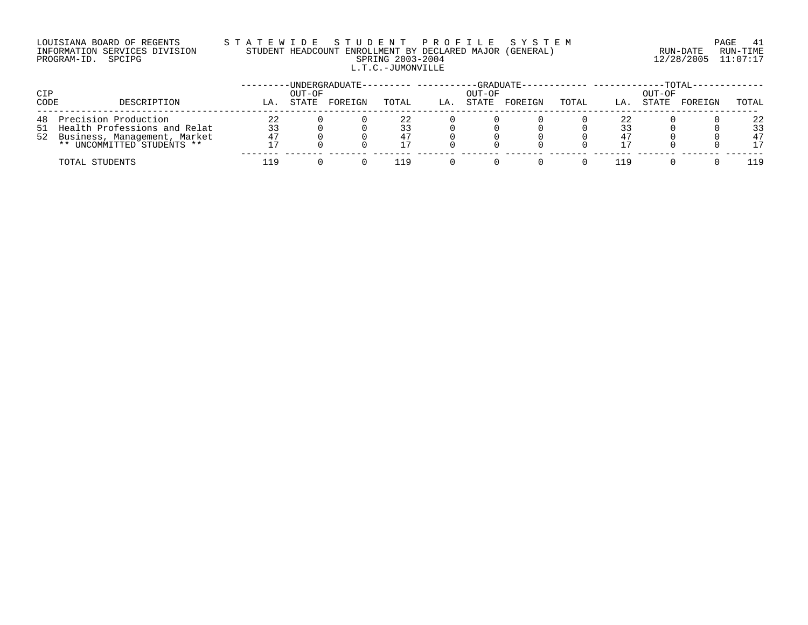## LOUISIANA BOARD OF REGENTS S T A T E W I D E S T U D E N T P R O F I L E S Y S T E M PAGE 41 INFORMATION SERVICES DIVISION STUDENT HEADCOUNT ENROLLMENT BY DECLARED MAJOR (GENERAL) RUN-DATE RUN-TIME PROGRAM-ID. SPCIPG SPRING 2003-2004 12/28/2005 11:07:17 L.T.C.-JUMONVILLE

| CIP  |                                                               |          | OUT-OF | -UNDERGRADUATE-- |          |     | OUT-OF | $-GRADUATE-$ |       |     | OUT-OF | -TOTAL- |          |
|------|---------------------------------------------------------------|----------|--------|------------------|----------|-----|--------|--------------|-------|-----|--------|---------|----------|
| CODE | DESCRIPTION                                                   | LA.      | STATE  | FOREIGN          | TOTAL    | LA. | STATE  | FOREIGN      | TOTAL | LA. | STATE  | FOREIGN | TOTAL    |
|      | 48 Precision Production<br>51 Health Professions and Relat    | 22<br>33 |        |                  | 22<br>33 |     |        |              |       | 22  |        |         | 22<br>33 |
|      | 52 Business, Management, Market<br>** UNCOMMITTED STUDENTS ** | 47       |        |                  | 47<br>17 |     |        |              |       |     |        |         | 47<br>17 |
|      | TOTAL STUDENTS                                                | 1 Q      |        |                  | 119      |     |        |              |       | 119 |        |         | 19       |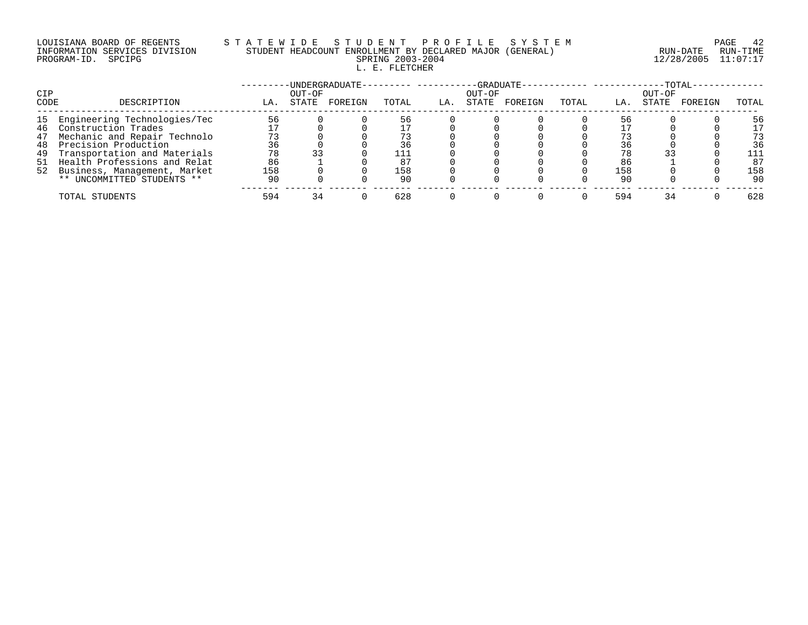#### LOUISIANA BOARD OF REGENTS S T A T E W I D E S T U D E N T P R O F I L E S Y S T E M PAGE 42 INFORMATION SERVICES DIVISION STUDENT HEADCOUNT ENROLLMENT BY DECLARED MAJOR (GENERAL) RUN-DATE RUN-TIME PROGRAM-ID. SPCIPG SPRING 2003-2004 12/28/2005 11:07:17 L. E. FLETCHER

|      |                                 |     |        | ·UNDERGRADUATE- |       |     |        | -GRADUATE- |       |     |        | $-TOTAL$ |       |
|------|---------------------------------|-----|--------|-----------------|-------|-----|--------|------------|-------|-----|--------|----------|-------|
| CIP  |                                 |     | OUT-OF |                 |       |     | OUT-OF |            |       |     | OUT-OF |          |       |
| CODE | DESCRIPTION                     | LA. | STATE  | FOREIGN         | TOTAL | LA. | STATE  | FOREIGN    | TOTAL | LA. | STATE  | FOREIGN  | TOTAL |
| 15   | Engineering Technologies/Tec    | 56  |        |                 | 56    |     |        |            |       | 56  |        |          | 56    |
| 46   | Construction Trades             |     |        |                 |       |     |        |            |       |     |        |          | 17    |
| 47   | Mechanic and Repair Technolo    | 73  |        |                 |       |     |        |            |       |     |        |          | 73    |
| 48   | Precision Production            | 36  |        |                 | 36    |     |        |            |       | 36  |        |          | 36    |
| 49   | Transportation and Materials    | 78  |        |                 | 111   |     |        |            |       | 78  |        |          | 111   |
|      | 51 Health Professions and Relat | 86  |        |                 | 87    |     |        |            |       | 86  |        |          | 87    |
|      | 52 Business, Management, Market | 158 |        |                 | 158   |     |        |            |       | 158 |        |          | 158   |
|      | ** UNCOMMITTED STUDENTS **      | -90 |        |                 | 90    |     |        |            |       | 90  |        |          | 90    |
|      | TOTAL STUDENTS                  | 594 |        |                 | 628   |     |        |            |       | 594 |        |          | 628   |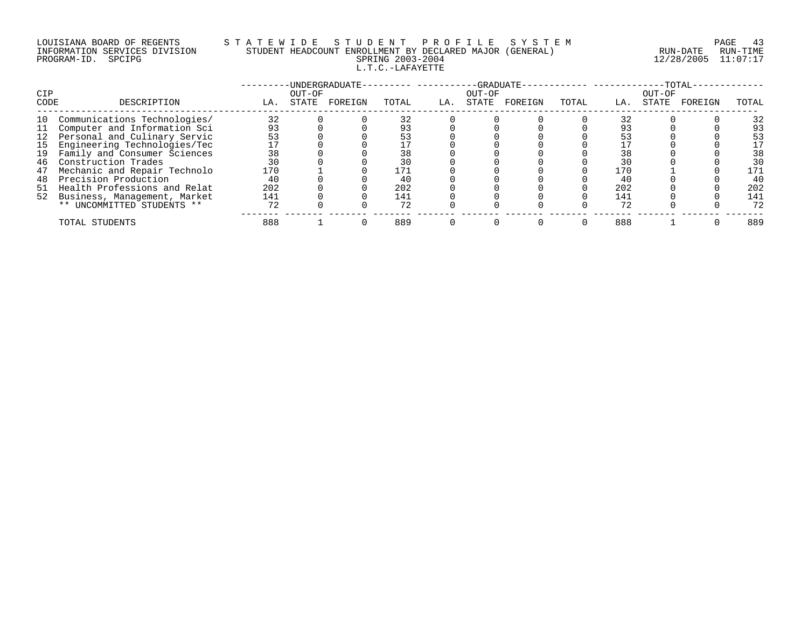### LOUISIANA BOARD OF REGENTS S T A T E W I D E S T U D E N T P R O F I L E S Y S T E M PAGE 43 INFORMATION SERVICES DIVISION STUDENT HEADCOUNT ENROLLMENT BY DECLARED MAJOR (GENERAL) RUN-DATE RUN-TIME PROGRAM-ID. SPCIPG SPRING 2003-2004 12/28/2005 11:07:17 L.T.C.-LAFAYETTE

| CIP  |                                 |     | OUT-OF | -UNDERGRADUATE- |       |     | OUT-OF | -GRADUATE- |       |     | OUT-OF | $-{\rm TOTAL} \cdot$ |       |
|------|---------------------------------|-----|--------|-----------------|-------|-----|--------|------------|-------|-----|--------|----------------------|-------|
| CODE | DESCRIPTION                     | LA. | STATE  | FOREIGN         | TOTAL | LA. | STATE  | FOREIGN    | TOTAL | LA. | STATE  | FOREIGN              | TOTAL |
| 10   | Communications Technologies/    | 32  |        |                 | 32    |     |        |            |       | 32  |        |                      | 32    |
| 11   | Computer and Information Sci    | 93  |        |                 | 93    |     |        |            |       | 93  |        |                      | 93    |
|      | 12 Personal and Culinary Servic | 53  |        |                 | 53    |     |        |            |       |     |        |                      | 53    |
| 15   | Engineering Technologies/Tec    |     |        |                 |       |     |        |            |       |     |        |                      | 17    |
| 19   | Family and Consumer Sciences    | 38  |        |                 | 38    |     |        |            |       | 38  |        |                      | 38    |
| 46   | Construction Trades             | 30  |        |                 | 30    |     |        |            |       | 30  |        |                      | 30    |
| 47   | Mechanic and Repair Technolo    | 170 |        |                 | 171   |     |        |            |       | 170 |        |                      | 171   |
| 48   | Precision Production            | 40  |        |                 | 40    |     |        |            |       | 40  |        |                      | 40    |
| 51   | Health Professions and Relat    | 202 |        |                 | 202   |     |        |            |       | 202 |        |                      | 202   |
|      | 52 Business, Management, Market | 141 |        |                 | 141   |     |        |            |       | 141 |        |                      | 141   |
|      | ** UNCOMMITTED STUDENTS **      | 72  |        |                 | 72    |     |        |            |       | 72  |        |                      | 72    |
|      | TOTAL STUDENTS                  | 888 |        |                 | 889   |     |        |            |       | 888 |        |                      | 889   |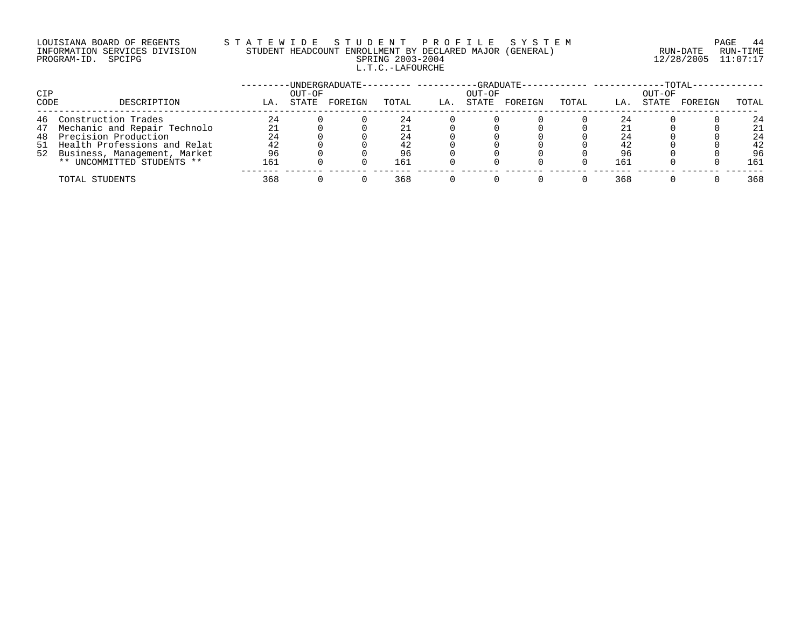### LOUISIANA BOARD OF REGENTS S T A T E W I D E S T U D E N T P R O F I L E S Y S T E M PAGE 44 INFORMATION SERVICES DIVISION STUDENT HEADCOUNT ENROLLMENT BY DECLARED MAJOR (GENERAL) RUN-DATE RUN-TIME PROGRAM-ID. SPCIPG SPRING 2003-2004 12/28/2005 11:07:17 L.T.C.-LAFOURCHE

| CIP  |                                 |     | OUT-OF | -UNDERGRADUATE- |       |     | -GRADUATE-<br>OUT-OF |         |       |     | OUT-OF | $-TOTAL-$ |       |
|------|---------------------------------|-----|--------|-----------------|-------|-----|----------------------|---------|-------|-----|--------|-----------|-------|
| CODE | DESCRIPTION                     | LA. | STATE  | FOREIGN         | TOTAL | LA. | STATE                | FOREIGN | TOTAL | LA. | STATE  | FOREIGN   | TOTAL |
|      | 46 Construction Trades          | 24  |        |                 | 24    |     |                      |         |       | 24  |        |           | 24    |
|      | 47 Mechanic and Repair Technolo |     |        |                 |       |     |                      |         |       | 21  |        |           | 21    |
|      | 48 Precision Production         | 24  |        |                 | 24    |     |                      |         |       | 24  |        |           | 24    |
|      | 51 Health Professions and Relat | 42  |        |                 | 42    |     |                      |         |       | 42  |        |           | 42    |
|      | 52 Business, Management, Market | 96  |        |                 | 96    |     |                      |         |       | 96  |        |           | 96    |
|      | ** UNCOMMITTED STUDENTS **      | 161 |        |                 | 161   |     |                      |         |       | 161 |        |           | 161   |
|      | TOTAL STUDENTS                  | 368 |        |                 | 368   |     |                      |         |       | 368 |        |           | 368   |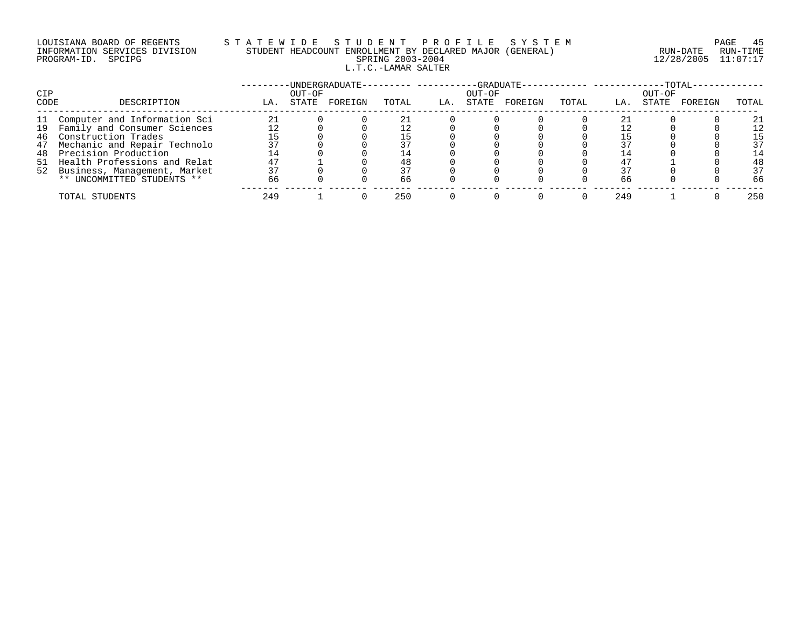## LOUISIANA BOARD OF REGENTS S T A T E W I D E S T U D E N T P R O F I L E S Y S T E M PAGE 45 INFORMATION SERVICES DIVISION STUDENT HEADCOUNT ENROLLMENT BY DECLARED MAJOR (GENERAL) RUN-DATE RUN-TIME PROGRAM-ID. SPCIPG SPRING 2003-2004 12/28/2005 11:07:17 L.T.C.-LAMAR SALTER

|      |                                 |     |        | ·UNDERGRADUATE- |       |     | -GRADUATE- |         |       |     |        | $-TOTAL$ |       |
|------|---------------------------------|-----|--------|-----------------|-------|-----|------------|---------|-------|-----|--------|----------|-------|
| CIP  |                                 |     | OUT-OF |                 |       |     | OUT-OF     |         |       |     | OUT-OF |          |       |
| CODE | DESCRIPTION                     | LA. | STATE  | FOREIGN         | TOTAL | LA. | STATE      | FOREIGN | TOTAL | LA. | STATE  | FOREIGN  | TOTAL |
| 11   | Computer and Information Sci    |     |        |                 |       |     |            |         |       |     |        |          | 21    |
|      | 19 Family and Consumer Sciences |     |        |                 |       |     |            |         |       |     |        |          | 12    |
|      | 46 Construction Trades          |     |        |                 |       |     |            |         |       |     |        |          | 15    |
| 47   | Mechanic and Repair Technolo    |     |        |                 |       |     |            |         |       |     |        |          | 37    |
| 48   | Precision Production            | 14  |        |                 | L 4   |     |            |         |       |     |        |          | 14    |
|      | 51 Health Professions and Relat |     |        |                 | 48    |     |            |         |       |     |        |          | 48    |
|      | 52 Business, Management, Market |     |        |                 |       |     |            |         |       |     |        |          | 37    |
|      | ** UNCOMMITTED STUDENTS **      | 66  |        |                 | 66    |     |            |         |       | 66  |        |          | 66    |
|      | TOTAL STUDENTS                  | 249 |        |                 | 250   |     |            |         |       | 249 |        |          | 250   |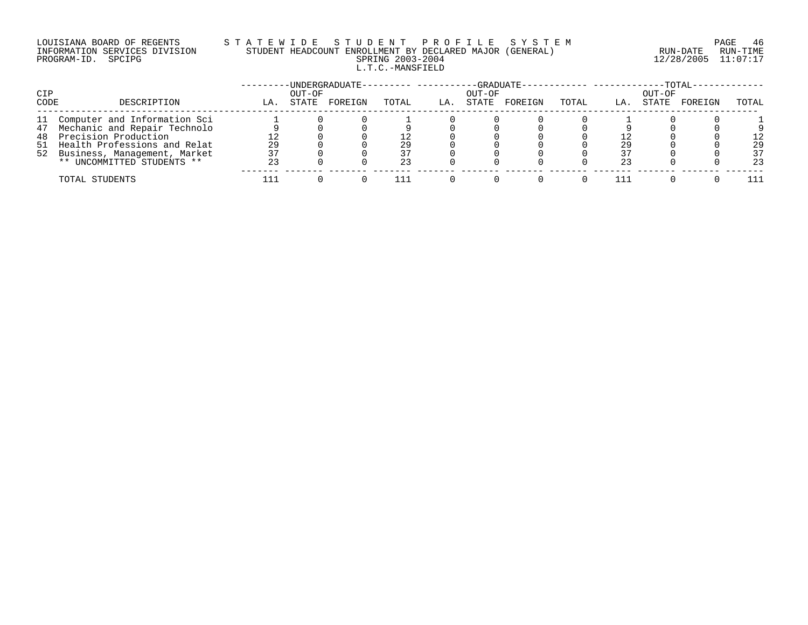### LOUISIANA BOARD OF REGENTS S T A T E W I D E S T U D E N T P R O F I L E S Y S T E M PAGE 46 INFORMATION SERVICES DIVISION STUDENT HEADCOUNT ENROLLMENT BY DECLARED MAJOR (GENERAL) RUN-DATE RUN-TIME PROGRAM-ID. SPCIPG SPRING 2003-2004 12/28/2005 11:07:17 L.T.C.-MANSFIELD

| CIP  |                                                                    |     | OUT-OF | -UNDERGRADUATE- |       |     | -GRADUATE-<br>OUT-OF |         |       |     | OUT-OF | $-TOTAL-$ |          |
|------|--------------------------------------------------------------------|-----|--------|-----------------|-------|-----|----------------------|---------|-------|-----|--------|-----------|----------|
| CODE | DESCRIPTION                                                        | LA. | STATE  | FOREIGN         | TOTAL | LA. | STATE                | FOREIGN | TOTAL | LA. | STATE  | FOREIGN   | TOTAL    |
|      | 11 Computer and Information Sci                                    |     |        |                 |       |     |                      |         |       |     |        |           |          |
|      | 47 Mechanic and Repair Technolo<br>48 Precision Production         |     |        |                 |       |     |                      |         |       |     |        |           |          |
|      | 51 Health Professions and Relat<br>52 Business, Management, Market | 29  |        |                 | 29    |     |                      |         |       | 29  |        |           | 29<br>37 |
|      | ** UNCOMMITTED STUDENTS **                                         | 23  |        |                 |       |     |                      |         |       | 23  |        |           | 23       |
|      | TOTAL STUDENTS                                                     |     |        |                 |       |     |                      |         |       |     |        |           | 111      |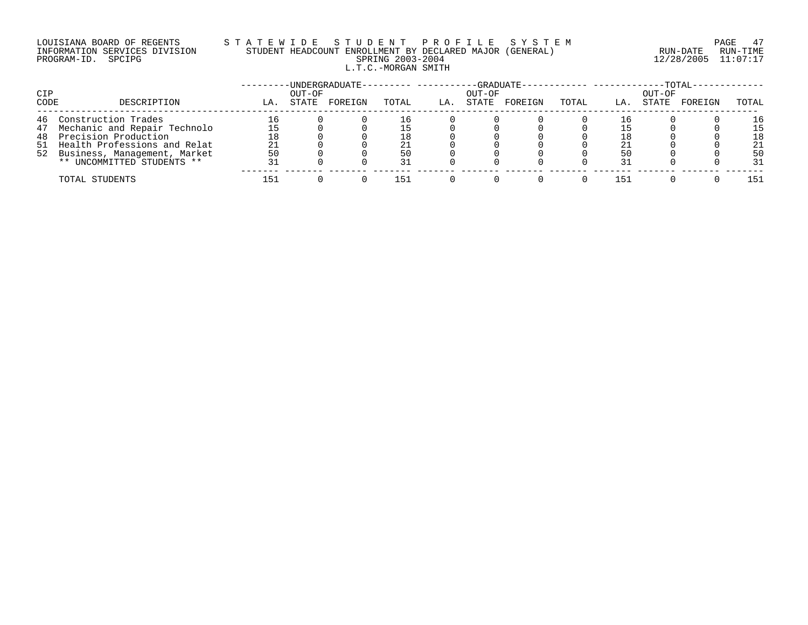## LOUISIANA BOARD OF REGENTS S T A T E W I D E S T U D E N T P R O F I L E S Y S T E M PAGE 47 INFORMATION SERVICES DIVISION STUDENT HEADCOUNT ENROLLMENT BY DECLARED MAJOR (GENERAL) RUN-DATE RUN-TIME PROGRAM-ID. SPCIPG SPRING 2003-2004 12/28/2005 11:07:17 L.T.C.-MORGAN SMITH

| <b>CIP</b> |                                 |     | OUT-OF | -UNDERGRADUATE- |       |    | OUT-OF | $-GRADUATE-$ |       |     | OUT-OF | $-TOTAL-$ |       |
|------------|---------------------------------|-----|--------|-----------------|-------|----|--------|--------------|-------|-----|--------|-----------|-------|
| CODE       | DESCRIPTION                     | LA  | STATE  | FOREIGN         | TOTAL | LA | STATE  | FOREIGN      | TOTAL | LA. | STATE  | FOREIGN   | TOTAL |
|            | 46 Construction Trades          | 16  |        |                 | - 6   |    |        |              |       |     |        |           | 16    |
|            | 47 Mechanic and Repair Technolo |     |        |                 |       |    |        |              |       |     |        |           | 15    |
|            | 48 Precision Production         | 18  |        |                 | 18    |    |        |              |       |     |        |           | 18    |
|            | 51 Health Professions and Relat |     |        |                 |       |    |        |              |       |     |        |           | 21    |
|            | 52 Business, Management, Market | 50  |        |                 | 50    |    |        |              |       | 50  |        |           | 50    |
|            | ** UNCOMMITTED STUDENTS **      |     |        |                 | 31    |    |        |              |       | 31  |        |           | 31    |
|            | TOTAL STUDENTS                  | -51 |        |                 | 151   |    |        |              |       | 151 |        |           | 151   |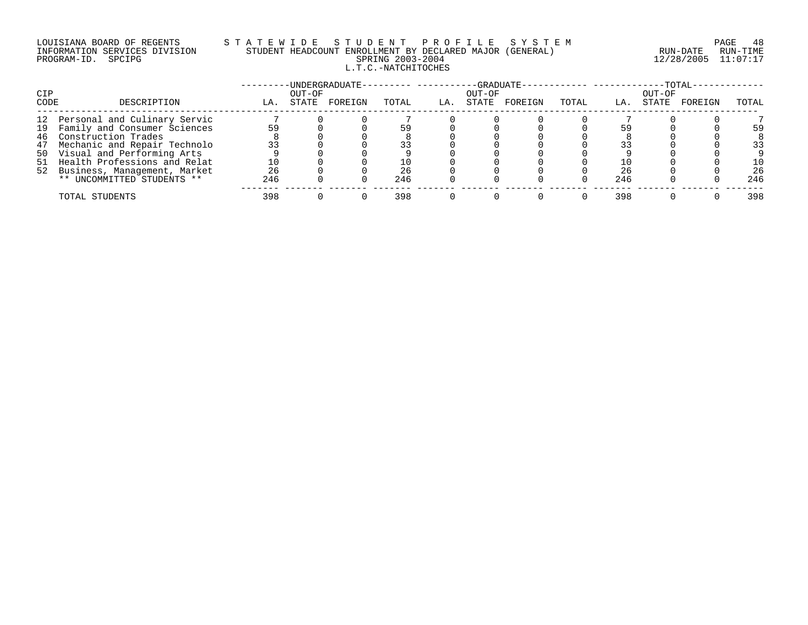### LOUISIANA BOARD OF REGENTS S T A T E W I D E S T U D E N T P R O F I L E S Y S T E M PAGE 48 INFORMATION SERVICES DIVISION STUDENT HEADCOUNT ENROLLMENT BY DECLARED MAJOR (GENERAL) RUN-DATE RUN-TIME PROGRAM-ID. SPCIPG SPRING 2003-2004 12/28/2005 11:07:17 L.T.C.-NATCHITOCHES

|      |                                 |     |        | ·UNDERGRADUATE- |       |     |        | -GRADUATE- |       |     |        | $-TOTAL$ |       |
|------|---------------------------------|-----|--------|-----------------|-------|-----|--------|------------|-------|-----|--------|----------|-------|
| CIP  |                                 |     | OUT-OF |                 |       |     | OUT-OF |            |       |     | OUT-OF |          |       |
| CODE | DESCRIPTION                     | LA. | STATE  | FOREIGN         | TOTAL | LA. | STATE  | FOREIGN    | TOTAL | LA. | STATE  | FOREIGN  | TOTAL |
|      | 12 Personal and Culinary Servic |     |        |                 |       |     |        |            |       |     |        |          |       |
|      | 19 Family and Consumer Sciences | 59  |        |                 | 59    |     |        |            |       |     |        |          | 59    |
|      | 46 Construction Trades          |     |        |                 |       |     |        |            |       |     |        |          |       |
|      | 47 Mechanic and Repair Technolo | 33  |        |                 |       |     |        |            |       |     |        |          | 33    |
|      | 50 Visual and Performing Arts   |     |        |                 |       |     |        |            |       |     |        |          |       |
|      | 51 Health Professions and Relat |     |        |                 |       |     |        |            |       |     |        |          | 10    |
|      | 52 Business, Management, Market | 26  |        |                 | 26    |     |        |            |       | 26  |        |          | 26    |
|      | ** UNCOMMITTED STUDENTS **      | 246 |        |                 | 246   |     |        |            |       | 246 |        |          | 246   |
|      | TOTAL STUDENTS                  | 398 |        |                 | 398   |     |        |            |       | 398 |        |          | 398   |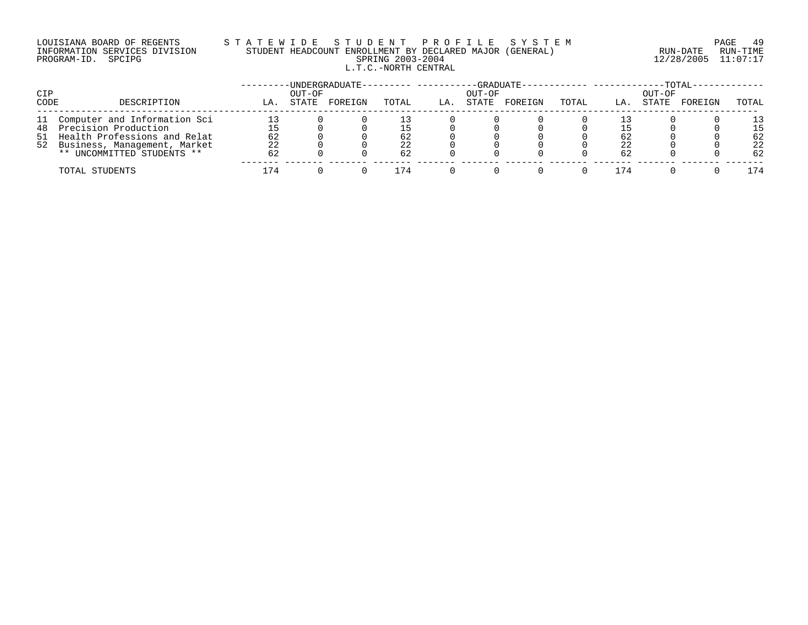## LOUISIANA BOARD OF REGENTS S T A T E W I D E S T U D E N T P R O F I L E S Y S T E M PAGE 49 INFORMATION SERVICES DIVISION STUDENT HEADCOUNT ENROLLMENT BY DECLARED MAJOR (GENERAL) RUN-DATE RUN-TIME PROGRAM-ID. SPCIPG SPRING 2003-2004 12/28/2005 11:07:17 L.T.C.-NORTH CENTRAL

| CIP  |                                 |     | OUT-OF | -UNDERGRADUATE- |       |     | OUT-OF | -GRADUATE- |       |      | $-TOTAL$<br>OUT-OF |         |       |
|------|---------------------------------|-----|--------|-----------------|-------|-----|--------|------------|-------|------|--------------------|---------|-------|
| CODE | DESCRIPTION                     | LA. | STATE  | FOREIGN         | TOTAL | LA. | STATE  | FOREIGN    | TOTAL | LA.  | STATE              | FOREIGN | TOTAL |
|      | 11 Computer and Information Sci |     |        |                 |       |     |        |            |       |      |                    |         | 1 २   |
|      | 48 Precision Production         |     |        |                 | .5    |     |        |            |       |      |                    |         | 15    |
|      | 51 Health Professions and Relat | 62  |        |                 | 62    |     |        |            |       | 62   |                    |         | 62    |
|      | 52 Business, Management, Market | 22  |        |                 | 22    |     |        |            |       | 22   |                    |         | 22    |
|      | ** UNCOMMITTED STUDENTS **      | 62  |        |                 | 62    |     |        |            |       | 62   |                    |         | 62    |
|      | TOTAL STUDENTS                  | 174 |        |                 | .74   |     |        |            |       | 74 ا |                    |         | 174   |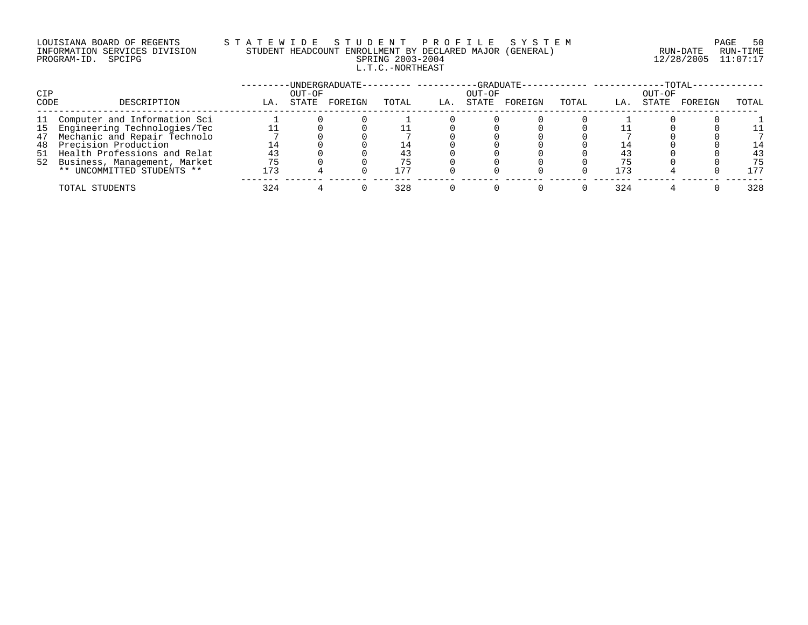### LOUISIANA BOARD OF REGENTS S T A T E W I D E S T U D E N T P R O F I L E S Y S T E M PAGE 50 INFORMATION SERVICES DIVISION STUDENT HEADCOUNT ENROLLMENT BY DECLARED MAJOR (GENERAL) RUN-DATE RUN-TIME PROGRAM-ID. SPCIPG SPRING 2003-2004 12/28/2005 11:07:17 L.T.C.-NORTHEAST

|      |                                 |     |        | -UNDERGRADUATE-- | --------- ------- |     |        | -GRADUATE------------ --------- |       |     |        | $-TOTAL-$ |       |
|------|---------------------------------|-----|--------|------------------|-------------------|-----|--------|---------------------------------|-------|-----|--------|-----------|-------|
| CIP  |                                 |     | OUT-OF |                  |                   |     | OUT-OF |                                 |       |     | OUT-OF |           |       |
| CODE | DESCRIPTION                     | LA. | STATE  | FOREIGN          | TOTAL             | LA. | STATE  | FOREIGN                         | TOTAL | LA. | STATE  | FOREIGN   | TOTAL |
| 11   | Computer and Information Sci    |     |        |                  |                   |     |        |                                 |       |     |        |           |       |
|      | 15 Engineering Technologies/Tec |     |        |                  |                   |     |        |                                 |       |     |        |           |       |
|      | 47 Mechanic and Repair Technolo |     |        |                  |                   |     |        |                                 |       |     |        |           |       |
| 48   | Precision Production            | 14  |        |                  | l 4               |     |        |                                 |       | 14  |        |           | 14    |
|      | 51 Health Professions and Relat | 43  |        |                  |                   |     |        |                                 |       | 43  |        |           | 43    |
|      | 52 Business, Management, Market | 75  |        |                  | 75                |     |        |                                 |       |     |        |           | 75    |
|      | ** UNCOMMITTED STUDENTS **      | 173 |        |                  | 177               |     |        |                                 |       | 173 |        |           | 177   |
|      | TOTAL STUDENTS                  | 324 |        |                  | 328               |     |        |                                 |       | 324 |        |           | 328   |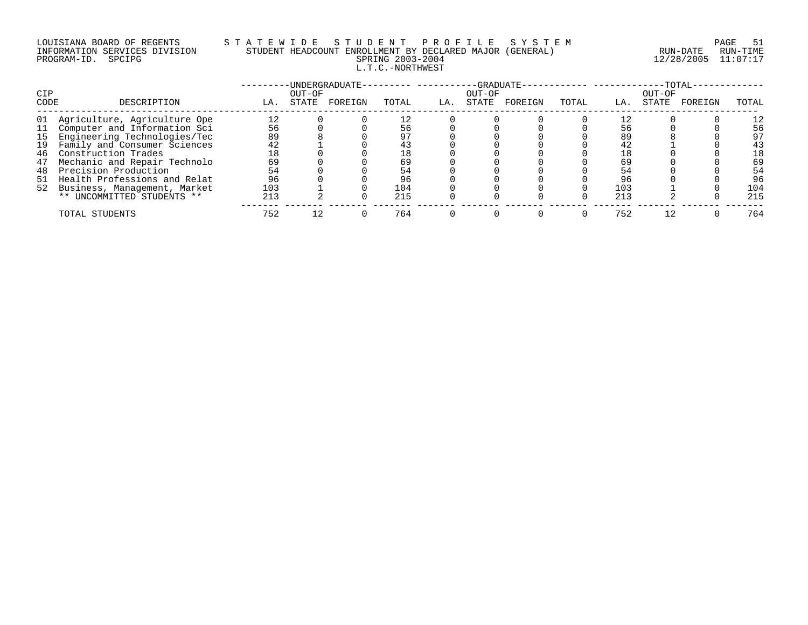### LOUISIANA BOARD OF REGENTS S T A T E W I D E S T U D E N T P R O F I L E S Y S T E M PAGE 51 INFORMATION SERVICES DIVISION STUDENT HEADCOUNT ENROLLMENT BY DECLARED MAJOR (GENERAL) RUN-DATE RUN-TIME PROGRAM-ID. SPCIPG SPRING 2003-2004 12/28/2005 11:07:17 L.T.C.-NORTHWEST

| CIP  |                                 |     | OUT-OF | -UNDERGRADUATE- |       |     | -GRADUATE-<br>OUT-OF |         |       |     | OUT-OF | $-TOTAL-$ |       |
|------|---------------------------------|-----|--------|-----------------|-------|-----|----------------------|---------|-------|-----|--------|-----------|-------|
| CODE | DESCRIPTION                     | LA. | STATE  | FOREIGN         | TOTAL | LA. | STATE                | FOREIGN | TOTAL | LA. | STATE  | FOREIGN   | TOTAL |
| 01   | Agriculture, Agriculture Ope    | 12  |        |                 |       |     |                      |         |       |     |        |           | 12    |
| 11   | Computer and Information Sci    | 56  |        |                 | 56    |     |                      |         |       | 56  |        |           | 56    |
| 15   | Engineering Technologies/Tec    | 89  |        |                 | 97    |     |                      |         |       | 89  |        |           | 97    |
| 19   | Family and Consumer Sciences    | 42  |        |                 | 43    |     |                      |         |       | 42  |        |           | 43    |
| 46   | Construction Trades             | 18  |        |                 | 18    |     |                      |         |       | 18  |        |           | 18    |
| 47   | Mechanic and Repair Technolo    | 69  |        |                 | 69    |     |                      |         |       | 69  |        |           | 69    |
| 48   | Precision Production            | 54  |        |                 | 54    |     |                      |         |       | 54  |        |           | 54    |
| 51   | Health Professions and Relat    | 96  |        |                 | 96    |     |                      |         |       | 96  |        |           | 96    |
|      | 52 Business, Management, Market | 103 |        |                 | 104   |     |                      |         |       | 103 |        |           | 104   |
|      | ** UNCOMMITTED STUDENTS **      | 213 |        |                 | 215   |     |                      |         |       | 213 |        |           | 215   |
|      | TOTAL STUDENTS                  | 752 |        |                 | 764   |     |                      |         |       | 752 |        |           | 764   |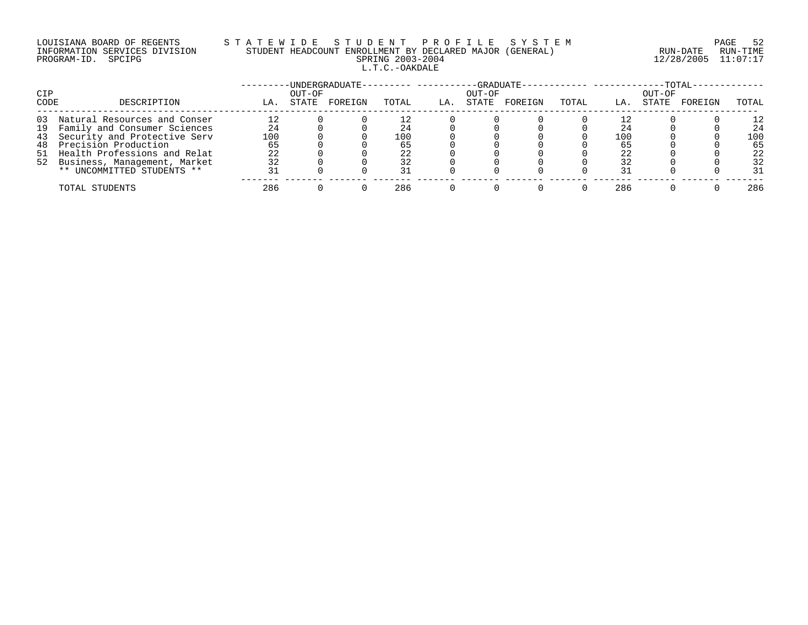#### LOUISIANA BOARD OF REGENTS S T A T E W I D E S T U D E N T P R O F I L E S Y S T E M PAGE 52 INFORMATION SERVICES DIVISION STUDENT HEADCOUNT ENROLLMENT BY DECLARED MAJOR (GENERAL) RUN-DATE RUN-TIME PROGRAM-ID. SPCIPG SPRING 2003-2004 12/28/2005 11:07:17 L.T.C.-OAKDALE

|            |                                 |     |        | -UNDERGRADUATE- |       |     |        | -GRADUATE- |       |     |        | -TOTAL- |       |
|------------|---------------------------------|-----|--------|-----------------|-------|-----|--------|------------|-------|-----|--------|---------|-------|
| <b>CIP</b> |                                 |     | OUT-OF |                 |       |     | OUT-OF |            |       |     | OUT-OF |         |       |
| CODE       | DESCRIPTION                     | LA. | STATE  | FOREIGN         | TOTAL | LA. | STATE  | FOREIGN    | TOTAL | LA. | STATE  | FOREIGN | TOTAL |
| 03         | Natural Resources and Conser    | 12  |        |                 |       |     |        |            |       |     |        |         | 12    |
|            | 19 Family and Consumer Sciences | 24  |        |                 | 24    |     |        |            |       | 24  |        |         | 24    |
|            | 43 Security and Protective Serv | 100 |        |                 | 100   |     |        |            |       | 100 |        |         | 100   |
| 48         | Precision Production            | 65  |        |                 |       |     |        |            |       | 65  |        |         | 65    |
|            | 51 Health Professions and Relat | 22  |        |                 | 22    |     |        |            |       | 22  |        |         | 22    |
|            | 52 Business, Management, Market | 32  |        |                 | 32    |     |        |            |       | 32  |        |         | 32    |
|            | ** UNCOMMITTED STUDENTS **      | 31  |        |                 | 31    |     |        |            |       | 31  |        |         | 31    |
|            | TOTAL STUDENTS                  | 286 |        |                 | 286   |     |        |            |       | 286 |        |         | 286   |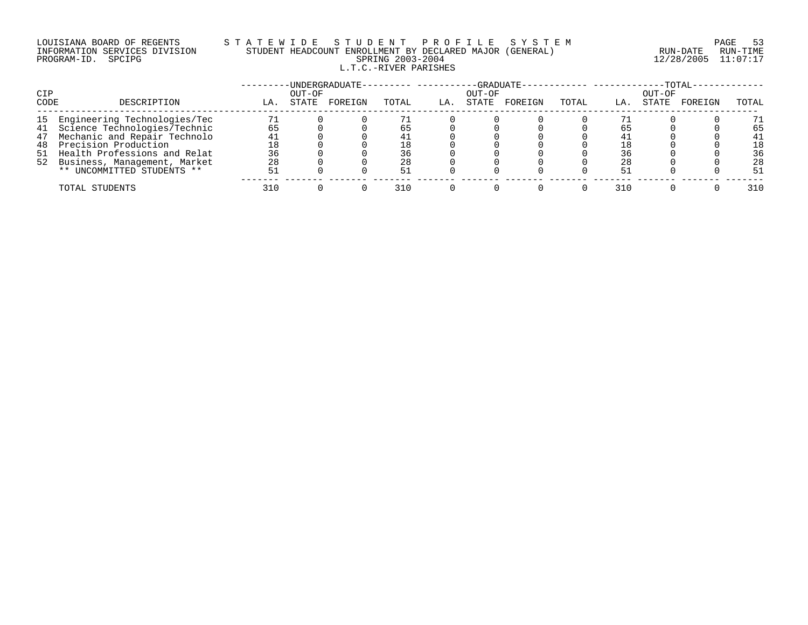### LOUISIANA BOARD OF REGENTS S T A T E W I D E S T U D E N T P R O F I L E S Y S T E M PAGE 53 INFORMATION SERVICES DIVISION STUDENT HEADCOUNT ENROLLMENT BY DECLARED MAJOR (GENERAL) RUN-DATE RUN-TIME PROGRAM-ID. SPCIPG SPRING 2003-2004 12/28/2005 11:07:17 L.T.C.-RIVER PARISHES

|      |                                 |     |        | -UNDERGRADUATE- |       |     |        | $-GRADUATE - -$ |       |     |        | $-TOTAL-$ |       |
|------|---------------------------------|-----|--------|-----------------|-------|-----|--------|-----------------|-------|-----|--------|-----------|-------|
| CIP  |                                 |     | OUT-OF |                 |       |     | OUT-OF |                 |       |     | OUT-OF |           |       |
| CODE | DESCRIPTION                     | LA. | STATE  | FOREIGN         | TOTAL | LA. | STATE  | FOREIGN         | TOTAL | LA. | STATE  | FOREIGN   | TOTAL |
|      | 15 Engineering Technologies/Tec | 71  |        |                 |       |     |        |                 |       |     |        |           | 71    |
|      | 41 Science Technologies/Technic | 65  |        |                 | 65    |     |        |                 |       | 65  |        |           | 65    |
| 47   | Mechanic and Repair Technolo    | 41  |        |                 |       |     |        |                 |       |     |        |           | 41    |
| 48   | Precision Production            | 18  |        |                 | 18    |     |        |                 |       |     |        |           | 18    |
| 51   | Health Professions and Relat    | 36  |        |                 | 36    |     |        |                 |       | 36  |        |           | 36    |
|      | 52 Business, Management, Market | 28  |        |                 | 28    |     |        |                 |       | 28  |        |           | 28    |
|      | ** UNCOMMITTED STUDENTS **      | 51  |        |                 | 51    |     |        |                 |       | -51 |        |           | 51    |
|      | TOTAL STUDENTS                  | 310 |        |                 | 310   |     |        |                 |       | 310 |        |           | 310   |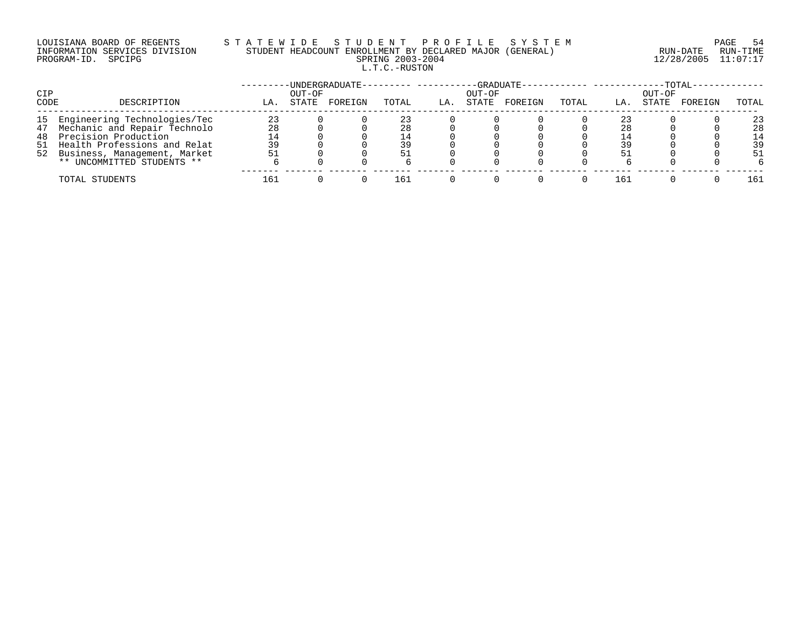#### LOUISIANA BOARD OF REGENTS S T A T E W I D E S T U D E N T P R O F I L E S Y S T E M PAGE 54 INFORMATION SERVICES DIVISION STUDENT HEADCOUNT ENROLLMENT BY DECLARED MAJOR (GENERAL) RUN-DATE RUN-TIME PROGRAM-ID. SPCIPG SPRING 2003-2004 12/28/2005 11:07:17 L.T.C.-RUSTON

| CIP  |                                 |     | OUT-OF | -UNDERGRADUATE--------- ---- |       |     | OUT-OF | -GRADUATE------------ -------- |       |     | OUT-OF | $-TOTAL-$ |       |
|------|---------------------------------|-----|--------|------------------------------|-------|-----|--------|--------------------------------|-------|-----|--------|-----------|-------|
| CODE | DESCRIPTION                     | LA. | STATE  | FOREIGN                      | TOTAL | LA. | STATE  | FOREIGN                        | TOTAL | LA. | STATE  | FOREIGN   | TOTAL |
|      | 15 Engineering Technologies/Tec | 23  |        |                              |       |     |        |                                |       | 23  |        |           | 23    |
|      | 47 Mechanic and Repair Technolo | 28  |        |                              | 28    |     |        |                                |       | 28  |        |           | 28    |
|      | 48 Precision Production         |     |        |                              | ⊥ 4   |     |        |                                |       |     |        |           | 14    |
|      | 51 Health Professions and Relat | 39  |        |                              | 39    |     |        |                                |       | 39  |        |           | 39    |
|      | 52 Business, Management, Market |     |        |                              |       |     |        |                                |       | 51  |        |           | 51    |
|      | ** UNCOMMITTED STUDENTS **      |     |        |                              |       |     |        |                                |       |     |        |           |       |
|      | TOTAL STUDENTS                  | 161 |        |                              | 161   |     |        |                                |       | 161 |        |           | 161   |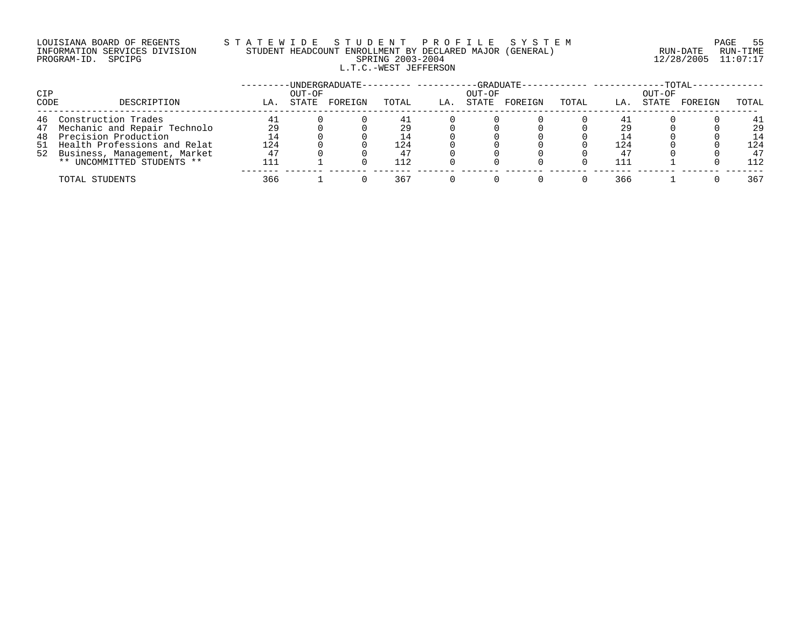# LOUISIANA BOARD OF REGENTS STATEWIDE STUDE STUDENT PROFILE SYSTEM PAGE 55<br>INFORMATION SERVICES DIVISION STUDENT HEADCOUNT ENROLLMENT BY DECLARED MAJOR (GENERAL) RUN-DATE RUN-TIME INFORMATION SERVICES DIVISION STUDENT HEADCOUNT ENROLLMENT BY DECLARED MAJOR (GENERAL)<br>PROGRAM-ID. SPCIPG L.T.C.-WEST JEFFERSON

PROGRAM-ID. SPCIPG SPRING 2003-2004 12/28/2005 11:07:17

| CIP  |                                 |     | OUT-OF | UNDERGRADUATE-- |            |     | OUT-OF | -GRADUATE- |       |     | $-TOTAL$<br>OUT-OF |         |       |
|------|---------------------------------|-----|--------|-----------------|------------|-----|--------|------------|-------|-----|--------------------|---------|-------|
| CODE | DESCRIPTION                     | LA. | STATE  | FOREIGN         | TOTAL      | LA. | STATE  | FOREIGN    | TOTAL | LA. | STATE              | FOREIGN | TOTAL |
| 46   | Construction Trades             |     |        |                 |            |     |        |            |       | 41  |                    |         | 41    |
|      | 47 Mechanic and Repair Technolo | 29  |        |                 | 29         |     |        |            |       | 29  |                    |         | 29    |
|      | 48 Precision Production         | 14  |        |                 | <u> </u> 4 |     |        |            |       |     |                    |         | 14    |
|      | 51 Health Professions and Relat | 124 |        |                 | 124        |     |        |            |       | 124 |                    |         | 124   |
|      | 52 Business, Management, Market | 47  |        |                 | 47         |     |        |            |       | 47  |                    |         | 47    |
|      | ** UNCOMMITTED STUDENTS **      |     |        |                 | 112        |     |        |            |       | 111 |                    |         | 112   |
|      | TOTAL STUDENTS                  | 366 |        |                 | 367        |     |        |            |       | 366 |                    |         | 367   |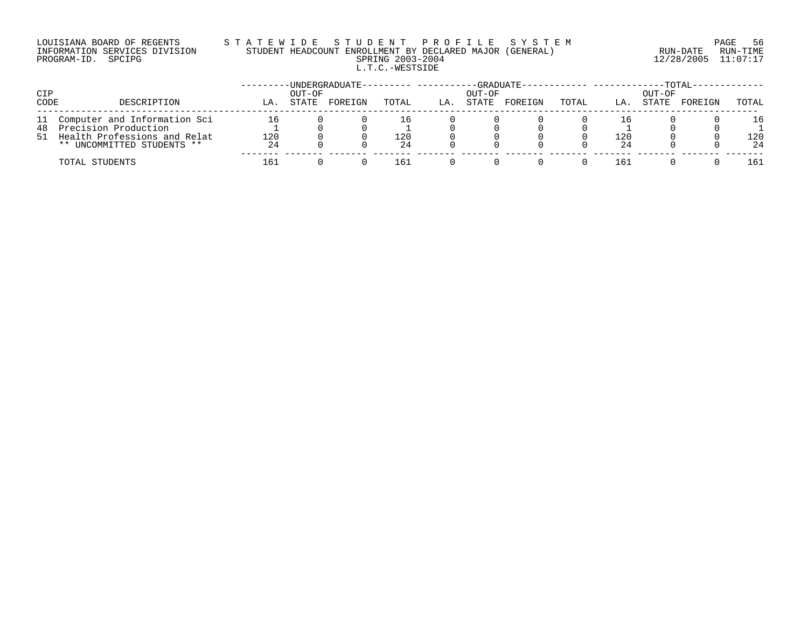### LOUISIANA BOARD OF REGENTS S T A T E W I D E S T U D E N T P R O F I L E S Y S T E M PAGE 56 INFORMATION SERVICES DIVISION STUDENT HEADCOUNT ENROLLMENT BY DECLARED MAJOR (GENERAL) RUN-DATE RUN-TIME PROGRAM-ID. SPCIPG SPRING 2003-2004 12/28/2005 11:07:17 L.T.C.-WESTSIDE

| CIP  |                                                                                                                             |                 | OUT-OF | -UNDERGRADUATE- |                  |     | OUT-OF | -GRADUATE- |       |                 | OUT-OF | <b>TOTAL</b> |                 |
|------|-----------------------------------------------------------------------------------------------------------------------------|-----------------|--------|-----------------|------------------|-----|--------|------------|-------|-----------------|--------|--------------|-----------------|
| CODE | DESCRIPTION                                                                                                                 | LА              | STATE  | FOREIGN         | TOTAL            | LA. | STATE  | FOREIGN    | TOTAL | LA.             | STATE  | FOREIGN      | TOTAL           |
|      | 11 Computer and Information Sci<br>48 Precision Production<br>51 Health Professions and Relat<br>** UNCOMMITTED STUDENTS ** | 16<br>120<br>24 |        |                 | ⊥6.<br>120<br>24 |     |        |            |       | Tр<br>120<br>24 |        |              | 16<br>120<br>24 |
|      | TOTAL STUDENTS                                                                                                              | 161             |        |                 | 161              |     |        |            |       | 161             |        |              | 161             |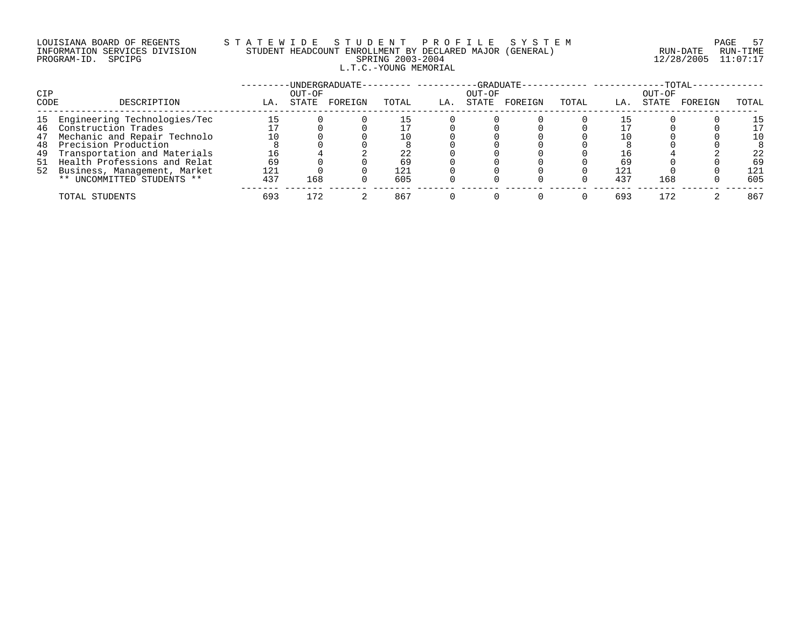## LOUISIANA BOARD OF REGENTS S T A T E W I D E S T U D E N T P R O F I L E S Y S T E M PAGE 57 INFORMATION SERVICES DIVISION STUDENT HEADCOUNT ENROLLMENT BY DECLARED MAJOR (GENERAL) RUN-DATE RUN-TIME PROGRAM-ID. SPCIPG SPRING 2003-2004 12/28/2005 11:07:17 L.T.C.-YOUNG MEMORIAL

|      |                                 |     |        | -UNDERGRADUATE- |       |     | -GRADUATE- |         |       |     |        | $-TOTAL-$ |       |
|------|---------------------------------|-----|--------|-----------------|-------|-----|------------|---------|-------|-----|--------|-----------|-------|
| CIP  |                                 |     | OUT-OF |                 |       |     | OUT-OF     |         |       |     | OUT-OF |           |       |
| CODE | DESCRIPTION                     | LA. | STATE  | FOREIGN         | TOTAL | LA. | STATE      | FOREIGN | TOTAL | LA. | STATE  | FOREIGN   | TOTAL |
| 15   | Engineering Technologies/Tec    | 15  |        |                 | 15    |     |            |         |       |     |        |           | 15    |
| 46   | Construction Trades             |     |        |                 |       |     |            |         |       |     |        |           | 17    |
| 47   | Mechanic and Repair Technolo    | 10  |        |                 | 10    |     |            |         |       |     |        |           | 10    |
| 48   | Precision Production            |     |        |                 |       |     |            |         |       |     |        |           |       |
| 49   | Transportation and Materials    | 16  |        |                 | 22    |     |            |         |       |     |        |           | 22    |
|      | 51 Health Professions and Relat | 69  |        |                 | 69    |     |            |         |       | 69  |        |           | 69    |
|      | 52 Business, Management, Market | 121 |        |                 | 121   |     |            |         |       | 121 |        |           | 121   |
|      | ** UNCOMMITTED STUDENTS **      | 437 | 168    |                 | 605   |     |            |         |       | 437 | 168    |           | 605   |
|      | TOTAL STUDENTS                  | 693 | 172    |                 | 867   |     |            |         |       | 693 | 172    |           | 867   |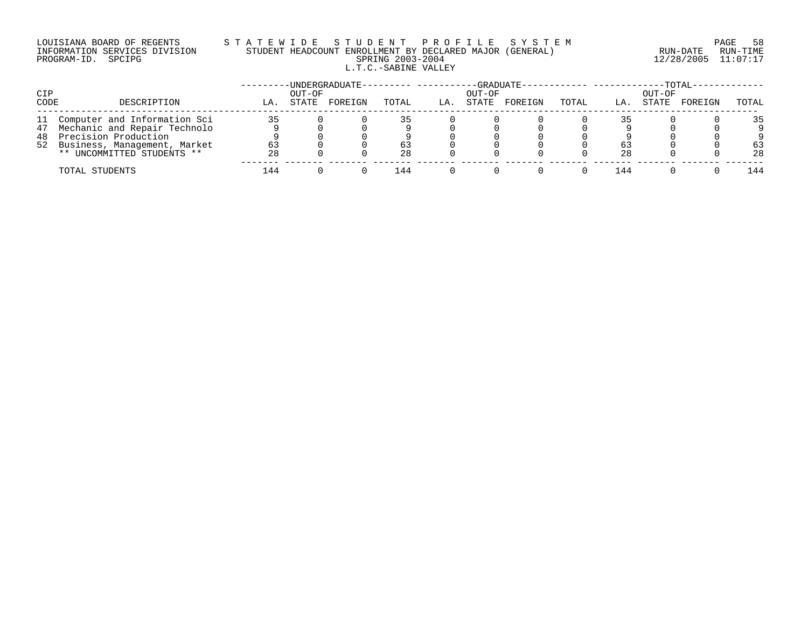## LOUISIANA BOARD OF REGENTS S T A T E W I D E S T U D E N T P R O F I L E S Y S T E M PAGE 58 INFORMATION SERVICES DIVISION STUDENT HEADCOUNT ENROLLMENT BY DECLARED MAJOR (GENERAL) RUN-DATE RUN-TIME PROGRAM-ID. SPCIPG SPRING 2003-2004 12/28/2005 11:07:17 L.T.C.-SABINE VALLEY

| CIP  |                                 |     | OUT-OF | -UNDERGRADUATE- |       |     | OUT-OF | $-GRADUATE-$ |       |     | OUT-OF | $-{\tt TOTAL}$ |       |
|------|---------------------------------|-----|--------|-----------------|-------|-----|--------|--------------|-------|-----|--------|----------------|-------|
| CODE | DESCRIPTION                     | LA. | STATE  | FOREIGN         | TOTAL | LA. | STATE  | FOREIGN      | TOTAL | LA. | STATE  | FOREIGN        | TOTAL |
|      | 11 Computer and Information Sci | 35  |        |                 | 35    |     |        |              |       |     |        |                | 35    |
|      | 47 Mechanic and Repair Technolo |     |        |                 |       |     |        |              |       |     |        |                |       |
|      | 48 Precision Production         |     |        |                 |       |     |        |              |       |     |        |                |       |
|      | 52 Business, Management, Market | 63  |        |                 | 63    |     |        |              |       | 63  |        |                | 63    |
|      | ** UNCOMMITTED STUDENTS **      | 28  |        |                 | 28    |     |        |              |       | 28  |        |                | 28    |
|      | TOTAL STUDENTS                  | 144 |        |                 | l 44  |     |        |              |       | 144 |        |                | 144   |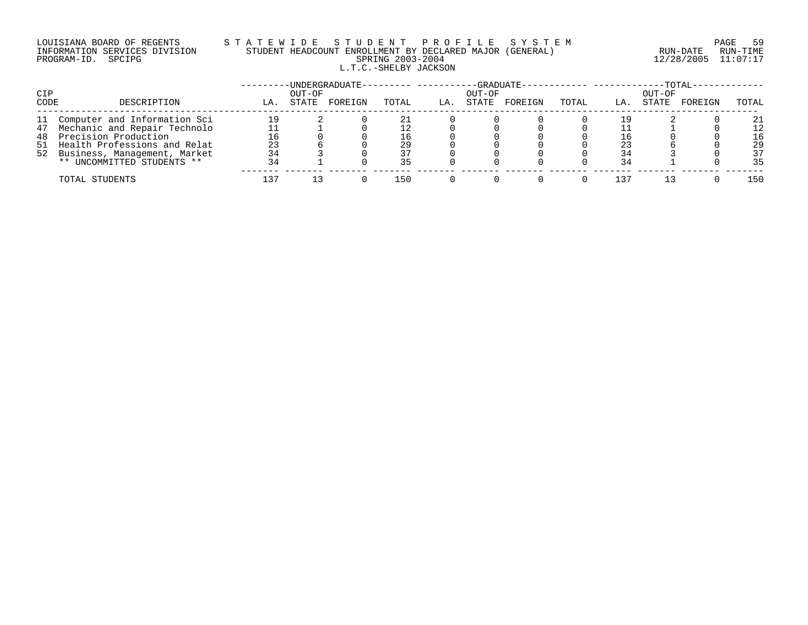## LOUISIANA BOARD OF REGENTS S T A T E W I D E S T U D E N T P R O F I L E S Y S T E M PAGE 59 INFORMATION SERVICES DIVISION STUDENT HEADCOUNT ENROLLMENT BY DECLARED MAJOR (GENERAL) RUN-DATE RUN-TIME PROGRAM-ID. SPCIPG SPRING 2003-2004 12/28/2005 11:07:17 L.T.C.-SHELBY JACKSON

| CIP  |                                 |     | OUT-OF | UNDERGRADUATE-- |       |     | OUT-OF | $-GRADUATE -$ |       |     | OUT-OF | $-{\rm TOTAL} \cdot$ |       |
|------|---------------------------------|-----|--------|-----------------|-------|-----|--------|---------------|-------|-----|--------|----------------------|-------|
| CODE | DESCRIPTION                     | LA. | STATE  | FOREIGN         | TOTAL | LA. | STATE  | FOREIGN       | TOTAL | LA. | STATE  | FOREIGN              | TOTAL |
|      | 11 Computer and Information Sci | 19  |        |                 |       |     |        |               |       |     |        |                      | 21    |
|      | 47 Mechanic and Repair Technolo |     |        |                 |       |     |        |               |       |     |        |                      | 12    |
|      | 48 Precision Production         | 16  |        |                 | L 6   |     |        |               |       |     |        |                      | 16    |
|      | 51 Health Professions and Relat | 23  |        |                 | 29    |     |        |               |       | 23  |        |                      | 29    |
|      | 52 Business, Management, Market |     |        |                 |       |     |        |               |       |     |        |                      | 37    |
|      | ** UNCOMMITTED STUDENTS **      | 34  |        |                 | 35    |     |        |               |       | 34  |        |                      | 35    |
|      | TOTAL STUDENTS                  | 137 |        |                 | 150   |     |        |               |       | 137 |        |                      | 150   |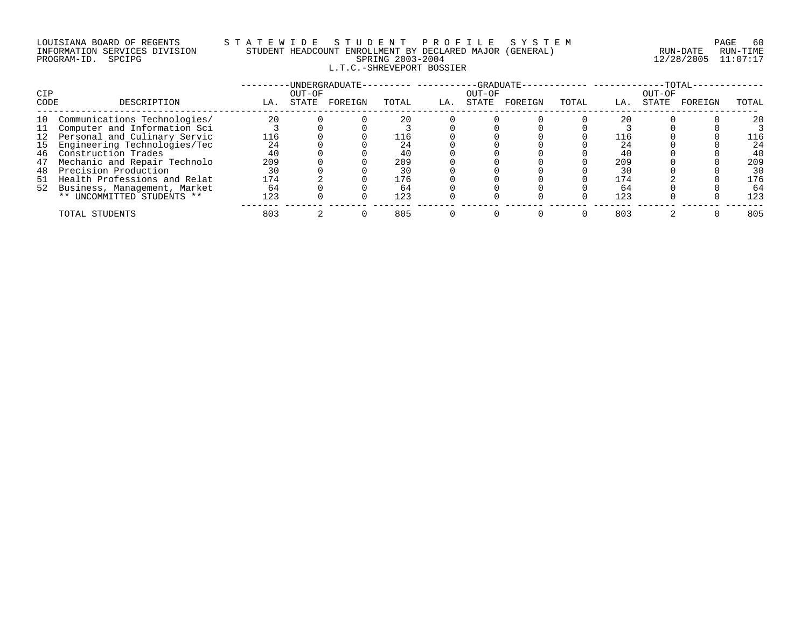# LOUISIANA BOARD OF REGENTS STATEWIDE STUDE STUDENT PROFILE SYSTEM PAGE FOR PAGE 60<br>INFORMATION SERVICES DIVISION STUDENT HEADCOUNT ENROLLMENT BY DECLARED MAJOR (GENERAL) RUN-DATE RUN-TIME INFORMATION SERVICES DIVISION STUDENT HEADCOUNT ENROLLMENT BY DECLARED MAJOR (GENERAL)<br>PROGRAM-ID. SPCIPG RUN-DATE RUN-RUN-SPRING 2003-2004 L.T.C.-SHREVEPORT BOSSIER

PROGRAM-ID. SPCIPG SPRING 2003-2004 12/28/2005 11:07:17

| <b>CIP</b> |                                 |     | OUT-OF | -UNDERGRADUATE- |       |     | -GRADUATE-<br>OUT-OF |         |       |     | OUT-OF | $-TOTAL-$ |       |
|------------|---------------------------------|-----|--------|-----------------|-------|-----|----------------------|---------|-------|-----|--------|-----------|-------|
| CODE       | DESCRIPTION                     | LA. | STATE  | FOREIGN         | TOTAL | LA. | STATE                | FOREIGN | TOTAL | LA. | STATE  | FOREIGN   | TOTAL |
| 10         | Communications Technologies/    | 20  |        |                 | 20    |     |                      |         |       |     |        |           | 20    |
| 11         | Computer and Information Sci    |     |        |                 |       |     |                      |         |       |     |        |           |       |
|            | 12 Personal and Culinary Servic | 116 |        |                 | 116   |     |                      |         |       | 116 |        |           | 116   |
| 15         | Engineering Technologies/Tec    | 24  |        |                 | 24    |     |                      |         |       | 24  |        |           | 24    |
| 46         | Construction Trades             | 40  |        |                 | 40    |     |                      |         |       | 40  |        |           | 40    |
| 47         | Mechanic and Repair Technolo    | 209 |        |                 | 209   |     |                      |         |       | 209 |        |           | 209   |
| 48         | Precision Production            | 30  |        |                 | 30    |     |                      |         |       | 30  |        |           | 30    |
| 51         | Health Professions and Relat    | 174 |        |                 | 176   |     |                      |         |       | 174 |        |           | 176   |
|            | 52 Business, Management, Market | 64  |        |                 | 64    |     |                      |         |       | 64  |        |           | 64    |
|            | ** UNCOMMITTED STUDENTS **      | 123 |        |                 | 123   |     |                      |         |       | 123 |        |           | 123   |
|            | TOTAL STUDENTS                  | 803 |        |                 | 805   |     |                      |         |       | 803 |        |           | 805   |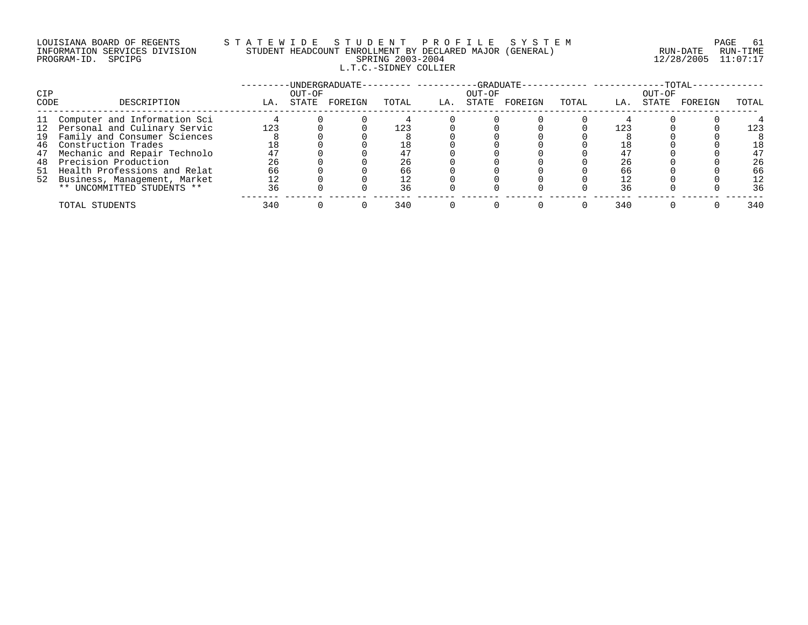## LOUISIANA BOARD OF REGENTS S T A T E W I D E S T U D E N T P R O F I L E S Y S T E M PAGE 61 INFORMATION SERVICES DIVISION STUDENT HEADCOUNT ENROLLMENT BY DECLARED MAJOR (GENERAL) RUN-DATE RUN-TIME PROGRAM-ID. SPCIPG SPRING 2003-2004 12/28/2005 11:07:17 L.T.C.-SIDNEY COLLIER

|             |                                                                    |          |                 | UNDERGRADUATE- |          |     | -GRADUATE-      |         |       |     |                 | $-TOTAL-$ |          |
|-------------|--------------------------------------------------------------------|----------|-----------------|----------------|----------|-----|-----------------|---------|-------|-----|-----------------|-----------|----------|
| CIP<br>CODE | DESCRIPTION                                                        | LA.      | OUT-OF<br>STATE | FOREIGN        | TOTAL    | LA. | OUT-OF<br>STATE | FOREIGN | TOTAL | LA. | OUT-OF<br>STATE | FOREIGN   | TOTAL    |
| 11          | Computer and Information Sci                                       |          |                 |                |          |     |                 |         |       |     |                 |           |          |
| 19          | 12 Personal and Culinary Servic<br>Family and Consumer Sciences    | 123      |                 |                | 123      |     |                 |         |       | 123 |                 |           | 123      |
| 46<br>47    | Construction Trades<br>Mechanic and Repair Technolo                | 18<br>47 |                 |                |          |     |                 |         |       |     |                 |           | 18<br>47 |
| 48          | Precision Production                                               | 26       |                 |                | 26       |     |                 |         |       | 26  |                 |           | 26       |
|             | 51 Health Professions and Relat<br>52 Business, Management, Market | 66<br>12 |                 |                | 66<br>12 |     |                 |         |       | 66  |                 |           | 66<br>12 |
|             | ** UNCOMMITTED STUDENTS **                                         | 36       |                 |                | 36       |     |                 |         |       | 36  |                 |           | 36       |
|             | TOTAL STUDENTS                                                     | 340      |                 |                | 340      |     |                 |         |       | 340 |                 |           | 340      |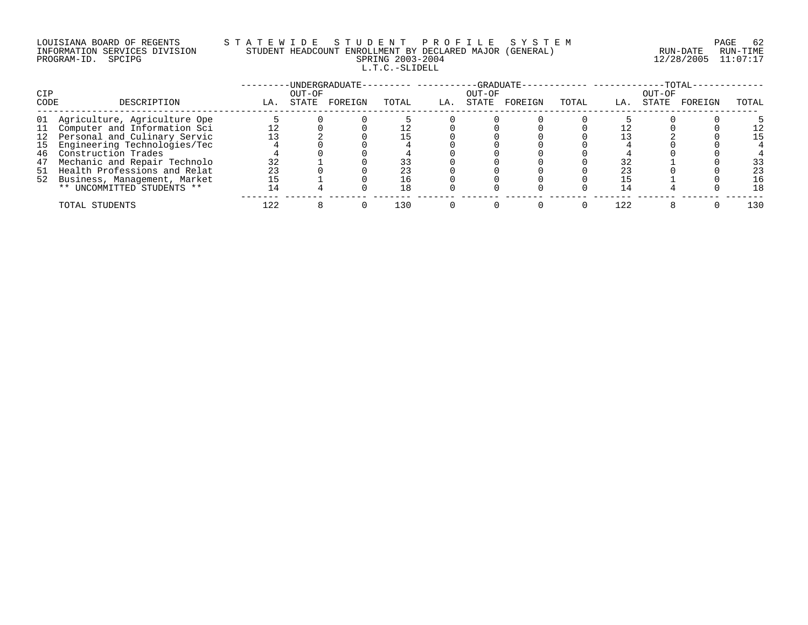# LOUISIANA BOARD OF REGENTS STATEWIDE STUDE STUDENT PROFILE SYSTEM PAGE 62<br>INFORMATION SERVICES DIVISION STUDENT HEADCOUNT ENROLLMENT BY DECLARED MAJOR (GENERAL) INFORMATION SERVICES DIVISION STUDENT HEADCOUNT ENROLLMENT BY DECLARED MAJOR (GENERAL) L.T.C.-SLIDELL

PROGRAM-ID. SPCIPG SPRING 2003-2004 12/28/2005 11:07:17

| CIP  |                                 |     | OUT-OF | -UNDERGRADUATE- |       |     | -GRADUATE-<br>OUT-OF |         |       |     | $-TOTAL$<br>OUT-OF |         |       |
|------|---------------------------------|-----|--------|-----------------|-------|-----|----------------------|---------|-------|-----|--------------------|---------|-------|
| CODE | DESCRIPTION                     | LA. | STATE  | FOREIGN         | TOTAL | LA. | STATE                | FOREIGN | TOTAL | LA. | STATE              | FOREIGN | TOTAL |
|      | 01 Agriculture, Agriculture Ope |     |        |                 |       |     |                      |         |       |     |                    |         |       |
|      | 11 Computer and Information Sci |     |        |                 |       |     |                      |         |       |     |                    |         |       |
|      | 12 Personal and Culinary Servic |     |        |                 |       |     |                      |         |       |     |                    |         | 15    |
|      | 15 Engineering Technologies/Tec |     |        |                 |       |     |                      |         |       |     |                    |         |       |
| 46   | Construction Trades             |     |        |                 |       |     |                      |         |       |     |                    |         |       |
| 47   | Mechanic and Repair Technolo    | 32  |        |                 |       |     |                      |         |       |     |                    |         | 33    |
|      | 51 Health Professions and Relat | 23  |        |                 |       |     |                      |         |       |     |                    |         | 23    |
|      | 52 Business, Management, Market | 15  |        |                 | 16    |     |                      |         |       |     |                    |         | 16    |
|      | ** UNCOMMITTED STUDENTS **      | 14  |        |                 | 18    |     |                      |         |       |     |                    |         | 18    |
|      | TOTAL STUDENTS                  | 122 |        |                 | L30   |     |                      |         |       | 122 |                    |         | 130   |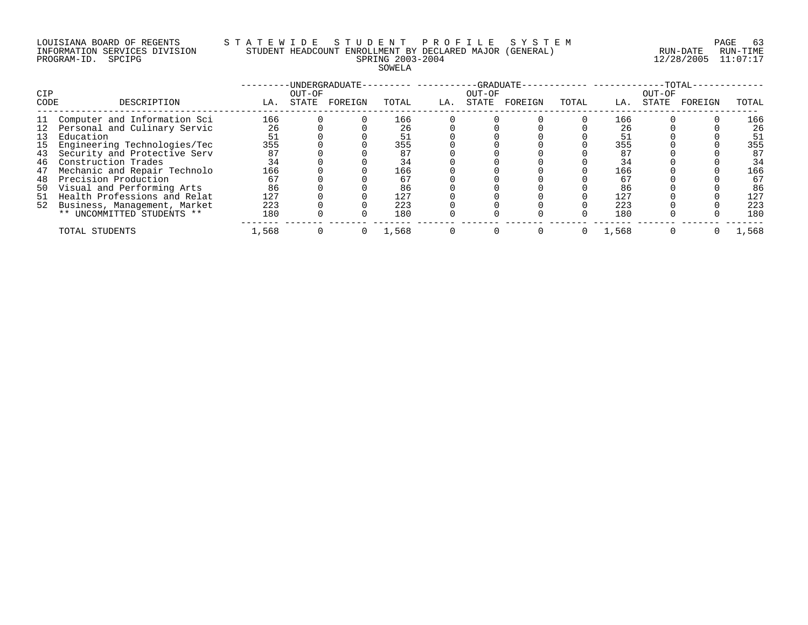#### LOUISIANA BOARD OF REGENTS S T A T E W I D E S T U D E N T P R O F I L E S Y S T E M PAGE 63 INFORMATION SERVICES DIVISION STUDENT HEADCOUNT ENROLLMENT BY DECLARED MAJOR (GENERAL) RUN-DATE RUN-TIME PROGRAM-ID. SPCIPG SPRING 2003-2004 12/28/2005 11:07:17 SOWELA

| <b>CIP</b><br>CODE | DESCRIPTION                     | LA.   | OUT-OF<br>STATE | -UNDERGRADUATE-<br>FOREIGN | TOTAL | LA. | -GRADUATE-<br>OUT-OF<br>STATE | FOREIGN | TOTAL | LA.   | OUT-OF<br>STATE | $-TOTAL-$<br>FOREIGN | TOTAL |
|--------------------|---------------------------------|-------|-----------------|----------------------------|-------|-----|-------------------------------|---------|-------|-------|-----------------|----------------------|-------|
|                    |                                 |       |                 |                            |       |     |                               |         |       |       |                 |                      |       |
| 11                 | Computer and Information Sci    | 166   |                 |                            | 166   |     |                               |         |       | 166   |                 |                      | 166   |
|                    | 12 Personal and Culinary Servic | 26    |                 |                            | 26    |     |                               |         |       | 26    |                 |                      | 26    |
| 13                 | Education                       | 51    |                 |                            | 51    |     |                               |         |       | 51    |                 |                      | 51    |
| 15                 | Engineering Technologies/Tec    | 355   |                 |                            | 355   |     |                               |         |       | 355   |                 |                      | 355   |
| 43                 | Security and Protective Serv    | 87    |                 |                            | 87    |     |                               |         |       | 87    |                 |                      | 87    |
| 46                 | Construction Trades             | 34    |                 |                            | 34    |     |                               |         |       | 34    |                 |                      | 34    |
| 47                 | Mechanic and Repair Technolo    | 166   |                 |                            | 166   |     |                               |         |       | 166   |                 |                      | 166   |
| 48                 | Precision Production            | 67    |                 |                            | 67    |     |                               |         |       | 67    |                 |                      | 67    |
| 50                 | Visual and Performing Arts      | 86    |                 |                            | 86    |     |                               |         |       | 86    |                 |                      | 86    |
| 51                 | Health Professions and Relat    | 127   |                 |                            | 127   |     |                               |         |       | 127   |                 |                      | 127   |
| 52                 | Business, Management, Market    | 223   |                 |                            | 223   |     |                               |         |       | 223   |                 |                      | 223   |
|                    | ** UNCOMMITTED STUDENTS **      | 180   |                 |                            | 180   |     |                               |         |       | 180   |                 |                      | 180   |
|                    | TOTAL STUDENTS                  | 1,568 |                 |                            | 1,568 |     |                               |         |       | 1,568 |                 |                      | 1,568 |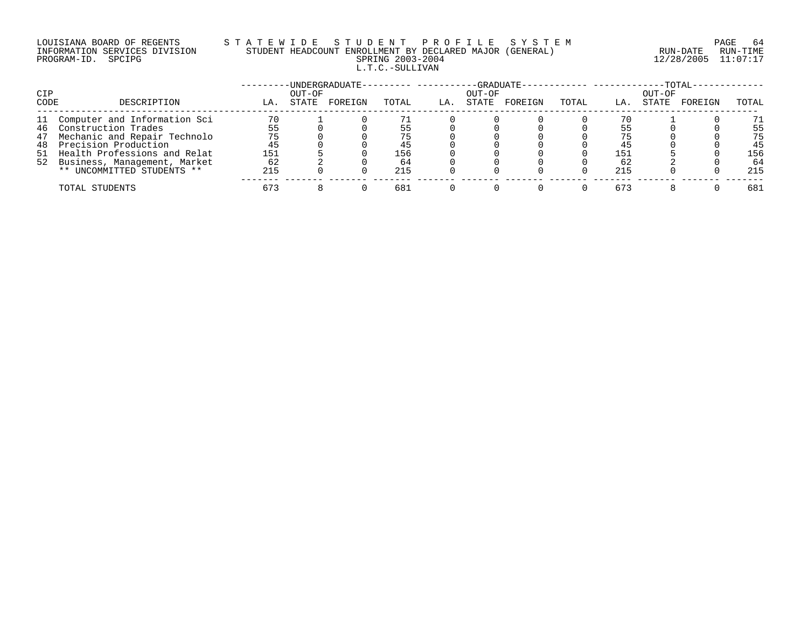## LOUISIANA BOARD OF REGENTS S T A T E W I D E S T U D E N T P R O F I L E S Y S T E M PAGE 64 INFORMATION SERVICES DIVISION STUDENT HEADCOUNT ENROLLMENT BY DECLARED MAJOR (GENERAL) RUN-DATE RUN-TIME PROGRAM-ID. SPCIPG SPRING 2003-2004 12/28/2005 11:07:17 L.T.C.-SULLIVAN

|      |                                 |     |        | -UNDERGRADUATE- | ----------- |     |        | -GRADUATE- |       |     |        | $-TOTAL$ |       |
|------|---------------------------------|-----|--------|-----------------|-------------|-----|--------|------------|-------|-----|--------|----------|-------|
| CIP  |                                 |     | OUT-OF |                 |             |     | OUT-OF |            |       |     | OUT-OF |          |       |
| CODE | DESCRIPTION                     | LA. | STATE  | FOREIGN         | TOTAL       | LA. | STATE  | FOREIGN    | TOTAL | LA. | STATE  | FOREIGN  | TOTAL |
| 11   | Computer and Information Sci    | 70  |        |                 |             |     |        |            |       |     |        |          | 71    |
|      | 46 Construction Trades          | 55  |        |                 | 55          |     |        |            |       |     |        |          | 55    |
| 47   | Mechanic and Repair Technolo    | 75  |        |                 | 75          |     |        |            |       | 75  |        |          | 75    |
| 48   | Precision Production            | 45  |        |                 | 45          |     |        |            |       | 45  |        |          | 45    |
|      | 51 Health Professions and Relat | 151 |        |                 | 156         |     |        |            |       | 151 |        |          | 156   |
|      | 52 Business, Management, Market | 62  |        |                 | 64          |     |        |            |       | 62  |        |          | 64    |
|      | ** UNCOMMITTED STUDENTS **      | 215 |        |                 | 215         |     |        |            |       | 215 |        |          | 215   |
|      | TOTAL STUDENTS                  | 673 |        |                 | 681         |     |        |            |       | 673 |        |          | 681   |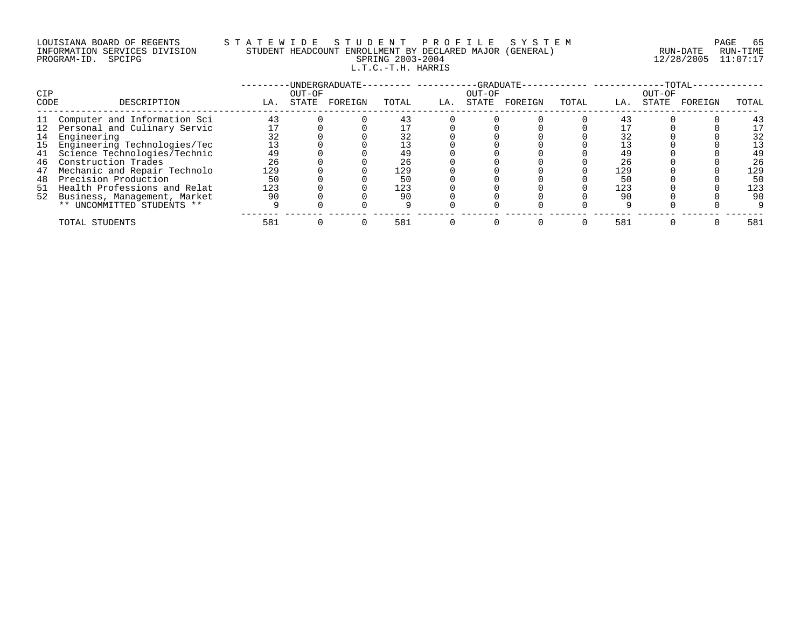## LOUISIANA BOARD OF REGENTS S T A T E W I D E S T U D E N T P R O F I L E S Y S T E M PAGE 65 INFORMATION SERVICES DIVISION STUDENT HEADCOUNT ENROLLMENT BY DECLARED MAJOR (GENERAL) RUN-DATE RUN-TIME PROGRAM-ID. SPCIPG SPRING 2003-2004 12/28/2005 11:07:17 L.T.C.-T.H. HARRIS

| CIP<br>CODE | DESCRIPTION                     | LA. | OUT-OF<br>STATE | -UNDERGRADUATE-<br>FOREIGN | TOTAL | LA. | -GRADUATE-<br>OUT-OF<br>STATE | FOREIGN | TOTAL | LA. | OUT-OF<br>STATE | $-TOTAL$<br>FOREIGN | TOTAL |
|-------------|---------------------------------|-----|-----------------|----------------------------|-------|-----|-------------------------------|---------|-------|-----|-----------------|---------------------|-------|
|             |                                 |     |                 |                            |       |     |                               |         |       |     |                 |                     |       |
| 11          | Computer and Information Sci    | 43  |                 |                            | 43    |     |                               |         |       | 43  |                 |                     | 43    |
|             | 12 Personal and Culinary Servic |     |                 |                            |       |     |                               |         |       |     |                 |                     | 17    |
| 14          | Engineering                     |     |                 |                            | 32    |     |                               |         |       |     |                 |                     | 32    |
| 15          | Engineering Technologies/Tec    | 13  |                 |                            |       |     |                               |         |       |     |                 |                     | 13    |
| 41          | Science Technologies/Technic    | 49  |                 |                            | 49    |     |                               |         |       | 49  |                 |                     | 49    |
| 46          | Construction Trades             | 26  |                 |                            | 26    |     |                               |         |       | 26  |                 |                     | 26    |
| 47          | Mechanic and Repair Technolo    | 129 |                 |                            | 129   |     |                               |         |       | 129 |                 |                     | 129   |
| 48          | Precision Production            | 50  |                 |                            | 50    |     |                               |         |       | 50  |                 |                     | 50    |
|             | 51 Health Professions and Relat | 123 |                 |                            | 123   |     |                               |         |       | 123 |                 |                     | 123   |
|             | 52 Business, Management, Market | 90  |                 |                            | 90    |     |                               |         |       | 90  |                 |                     | 90    |
|             | ** UNCOMMITTED STUDENTS **      |     |                 |                            |       |     |                               |         |       |     |                 |                     |       |
|             | TOTAL STUDENTS                  | 581 |                 |                            | 581   |     |                               |         |       | 581 |                 |                     | 581   |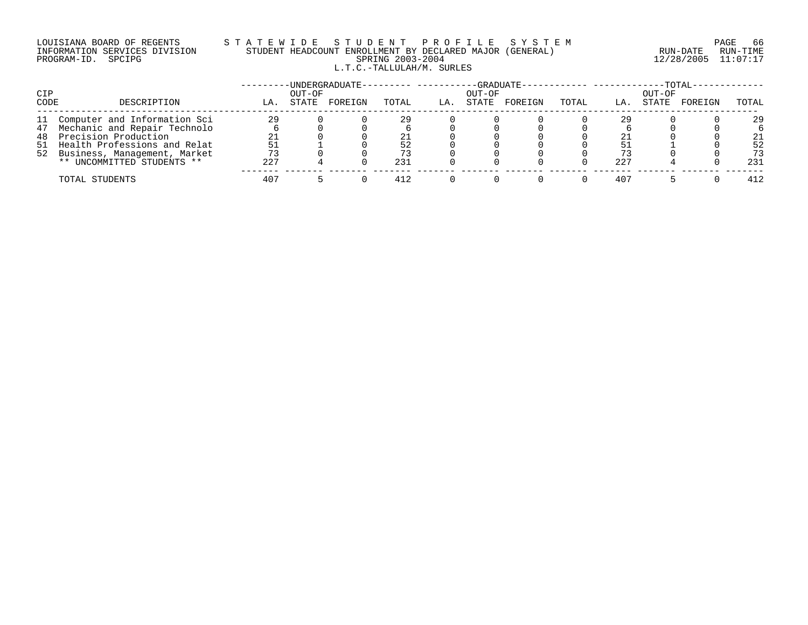# LOUISIANA BOARD OF REGENTS STATEWIDE STUDE NT PROFILE SYSTEM PAGE 66<br>INFORMATION SERVICES DIVISION STUDENT HEADCOUNT ENROLLMENT BY DECLARED MAJOR (GENERAL) [11/12/1001/2006 11:07:17 INFORMATION SERVICES DIVISION STUDENT HEADCOUNT ENROLLMENT BY DECLARED MAJOR (GENERAL)<br>PROGRAM-ID. SPCIPG RUN-DATE RUN-RUN-SPRING 2003-2004 L.T.C.-TALLULAH/M. SURLES

PROGRAM-ID. SPCIPG SPRING 2003-2004 12/28/2005 11:07:17

| CIP  |                                 |     | OUT-OF | UNDERGRADUATE-- |       |     | OUT-OF | $-GRADUATE -$ |       |     | OUT-OF | $-{\rm TOTAL} \cdot$ |       |
|------|---------------------------------|-----|--------|-----------------|-------|-----|--------|---------------|-------|-----|--------|----------------------|-------|
| CODE | DESCRIPTION                     | LA. | STATE  | FOREIGN         | TOTAL | LA. | STATE  | FOREIGN       | TOTAL | LA. | STATE  | FOREIGN              | TOTAL |
|      | 11 Computer and Information Sci | 29  |        |                 | 29    |     |        |               |       | 29  |        |                      | 29    |
|      | 47 Mechanic and Repair Technolo |     |        |                 |       |     |        |               |       |     |        |                      |       |
|      | 48 Precision Production         | 21  |        |                 |       |     |        |               |       |     |        |                      | 21    |
|      | 51 Health Professions and Relat | 51  |        |                 | 52    |     |        |               |       |     |        |                      | 52    |
|      | 52 Business, Management, Market | 73  |        |                 |       |     |        |               |       |     |        |                      | 73    |
|      | ** UNCOMMITTED STUDENTS **      | 227 |        |                 | 231   |     |        |               |       | 227 |        |                      | 231   |
|      | TOTAL STUDENTS                  | 407 |        |                 | 412   |     |        |               |       | 407 |        |                      | 412   |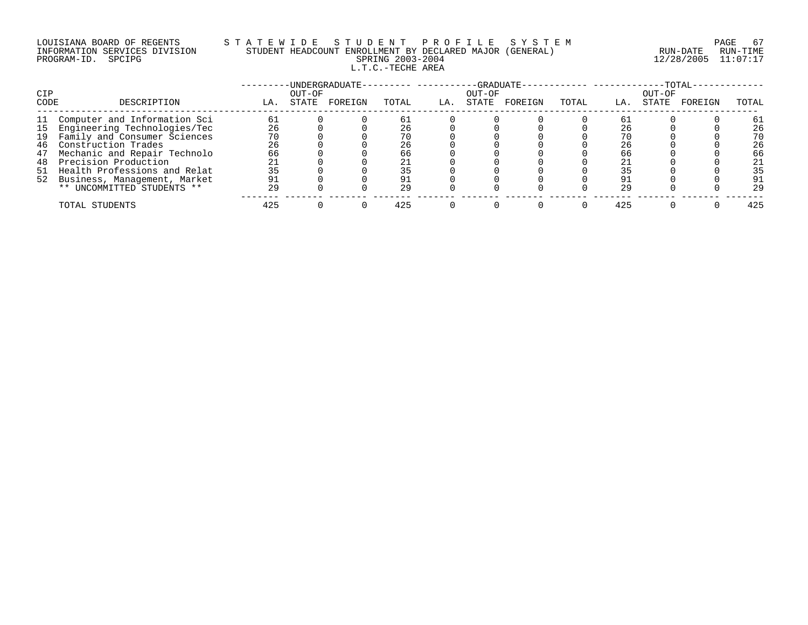# LOUISIANA BOARD OF REGENTS STATEWIDE STUDE STUDENT PROFILE SYSTEM PAGE 67<br>INFORMATION SERVICES DIVISION STUDENT HEADCOUNT ENROLLMENT BY DECLARED MAJOR (GENERAL) RUN-DATE RUN-TIME INFORMATION SERVICES DIVISION STUDENT HEADCOUNT ENROLLMENT BY DECLARED MAJOR (GENERAL) L.T.C.-TECHE AREA

PROGRAM-ID. SPCIPG SPRING 2003-2004 12/28/2005 11:07:17

| CIP  |                                 |     | OUT-OF | -UNDERGRADUATE- |       |     | -GRADUATE-<br>OUT-OF |         |       |     | OUT-OF | $-TOTAL$ |       |
|------|---------------------------------|-----|--------|-----------------|-------|-----|----------------------|---------|-------|-----|--------|----------|-------|
| CODE | DESCRIPTION                     | LA. | STATE  | FOREIGN         | TOTAL | LA. | STATE                | FOREIGN | TOTAL | LA. | STATE  | FOREIGN  | TOTAL |
|      | 11 Computer and Information Sci | 61  |        |                 |       |     |                      |         |       | 61  |        |          | 61    |
|      | 15 Engineering Technologies/Tec | 26  |        |                 | 26    |     |                      |         |       | 26  |        |          | 26    |
| 19   | Family and Consumer Sciences    | 70  |        |                 | 70    |     |                      |         |       |     |        |          | 70    |
| 46   | Construction Trades             | 26  |        |                 | 26    |     |                      |         |       | 26  |        |          | 26    |
| 47   | Mechanic and Repair Technolo    | 66  |        |                 | 66    |     |                      |         |       | 66  |        |          | 66    |
| 48   | Precision Production            | 21  |        |                 |       |     |                      |         |       |     |        |          | 21    |
|      | 51 Health Professions and Relat | 35  |        |                 |       |     |                      |         |       |     |        |          | 35    |
|      | 52 Business, Management, Market | 91  |        |                 |       |     |                      |         |       | 91  |        |          | 91    |
|      | ** UNCOMMITTED STUDENTS **      | 29  |        |                 | 29    |     |                      |         |       | 29  |        |          | 29    |
|      | TOTAL STUDENTS                  | 425 |        |                 | 425   |     |                      |         |       | 425 |        |          | 425   |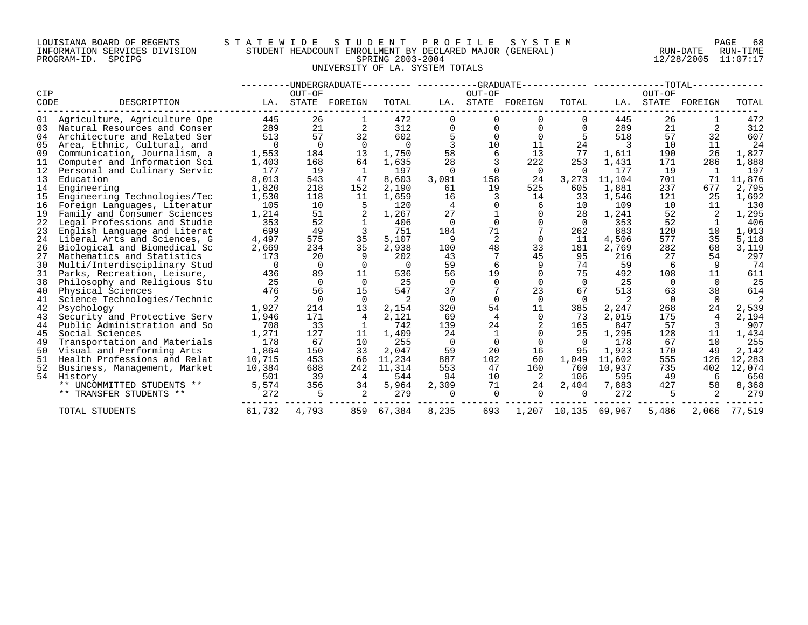#### LOUISIANA BOARD OF REGENTS S T A T E W I D E S T U D E N T P R O F I L E S Y S T E M PAGE 68 INFORMATION SERVICES DIVISION STUDENT HEADCOUNT ENROLLMENT BY DECLARED MAJOR (GENERAL) RUN-DATE RUN-TIME PROGRAM-ID. SPCIPG SPRING 2003-2004 12/28/2005 11:07:17 UNIVERSITY OF LA. SYSTEM TOTALS

| CIP  |                              |          | OUT-OF   | -UNDERGRADUATE--------- ----------GRADUATE----------- -----------TOTAL-- |          |          | OUT-OF   |                   |                |        | OUT-OF   |               |        |
|------|------------------------------|----------|----------|--------------------------------------------------------------------------|----------|----------|----------|-------------------|----------------|--------|----------|---------------|--------|
| CODE | DESCRIPTION                  | LA.      |          | STATE FOREIGN                                                            | TOTAL    |          |          | LA. STATE FOREIGN | TOTAL          | LA.    |          | STATE FOREIGN | TOTAL  |
| 01   | Agriculture, Agriculture Ope | 445      | 26       |                                                                          | 472      |          |          |                   | 0              | 445    | 26       |               | 472    |
| 03   | Natural Resources and Conser | 289      | 21       | 2                                                                        | 312      |          | 0        | $\Omega$          | $\Omega$       | 289    | 21       | 2             | 312    |
| 04   | Architecture and Related Ser | 513      | 57       | 32                                                                       | 602      |          | $\Omega$ | $\Omega$          | 5              | 518    | 57       | 32            | 607    |
| 05   | Area, Ethnic, Cultural, and  | $\Omega$ | $\Omega$ | $\Omega$                                                                 | $\Omega$ |          | 10       | 11                | 24             | 3      | 10       | 11            | 24     |
| 09   | Communication, Journalism, a | 1,553    | 184      | 13                                                                       | 1,750    | 58       | 6        | 13                | 77             | 1,611  | 190      | 26            | 1,827  |
| 11   | Computer and Information Sci | 1,403    | 168      | 64                                                                       | 1,635    | 28       |          | 222               | 253            | 1,431  | 171      | 286           | 1,888  |
| 12   | Personal and Culinary Servic | 177      | 19       |                                                                          | 197      | $\Omega$ |          | $\Omega$          | $\Omega$       | 177    | 19       |               | 197    |
| 13   | Education                    | 8,013    | 543      | 47                                                                       | 8,603    | 3,091    | 158      | 24                | 3,273          | 11,104 | 701      | 71            | 11,876 |
| 14   | Engineering                  | 1,820    | 218      | 152                                                                      | 2,190    | 61       | 19       | 525               | 605            | 1,881  | 237      | 677           | 2,795  |
| 15   | Engineering Technologies/Tec | 1,530    | 118      | 11                                                                       | 1,659    | 16       |          | 14                | 33             | 1,546  | 121      | 25            | 1,692  |
| 16   | Foreign Languages, Literatur | 105      | 10       | 5                                                                        | 120      | 4        |          | 6                 | 10             | 109    | 10       | 11            | 130    |
| 19   | Family and Consumer Sciences | 1,214    | 51       |                                                                          | 1,267    | 27       |          | $\Omega$          | 28             | 1,241  | 52       |               | 1,295  |
| 22   | Legal Professions and Studie | 353      | 52       |                                                                          | 406      | $\Omega$ |          |                   | $\Omega$       | 353    | 52       |               | 406    |
| 23   | English Language and Literat | 699      | 49       | 3                                                                        | 751      | 184      | 71       |                   | 262            | 883    | 120      | 10            | 1,013  |
| 24   | Liberal Arts and Sciences, G | 4,497    | 575      | 35                                                                       | 5,107    | 9        | 2        | $\Omega$          | 11             | 4,506  | 577      | 35            | 5,118  |
| 26   | Biological and Biomedical Sc | 2,669    | 234      | 35                                                                       | 2,938    | 100      | 48       | 33                | 181            | 2,769  | 282      | 68            | 3,119  |
| 27   | Mathematics and Statistics   | 173      | 20       | 9                                                                        | 202      | 43       |          | 45                | 95             | 216    | 27       | 54            | 297    |
| 30   | Multi/Interdisciplinary Stud | $\Omega$ | $\Omega$ |                                                                          | $\Omega$ | 59       |          | 9                 | 74             | 59     | 6        | 9             | 74     |
| 31   | Parks, Recreation, Leisure,  | 436      | 89       | 11                                                                       | 536      | 56       | 19       |                   | 75             | 492    | 108      | 11            | 611    |
| 38   | Philosophy and Religious Stu | 25       | $\Omega$ |                                                                          | 25       | $\Omega$ |          | $\Omega$          | $\Omega$       | 25     | $\Omega$ | $\Omega$      | 25     |
| 40   | Physical Sciences            | 476      | 56       | 15                                                                       | 547      | 37       |          | 23                | 67             | 513    | 63       | 38            | 614    |
| 41   | Science Technologies/Technic |          | $\Omega$ | $\Omega$                                                                 | 2        | $\Omega$ | $\Omega$ | $\Omega$          | $\overline{0}$ | 2      | $\Omega$ | $\Omega$      |        |
| 42   | Psychology                   | 1,927    | 214      | 13                                                                       | 2,154    | 320      | 54       | 11                | 385            | 2,247  | 268      | 24            | 2,539  |
| 43   | Security and Protective Serv | 1,946    | 171      | 4                                                                        | 2,121    | 69       | 4        | $\Omega$          | 73             | 2,015  | 175      | 4             | 2,194  |
| 44   | Public Administration and So | 708      | 33       |                                                                          | 742      | 139      | 24       |                   | 165            | 847    | 57       | 3             | 907    |
| 45   | Social Sciences              | 1,271    | 127      | 11                                                                       | 1,409    | 24       | 1        | $\Omega$          | 25             | 1,295  | 128      | 11            | 1,434  |
| 49   | Transportation and Materials | 178      | 67       | 10                                                                       | 255      | $\Omega$ | $\Omega$ | $\Omega$          | $\Omega$       | 178    | 67       | 10            | 255    |
| 50   | Visual and Performing Arts   | 1,864    | 150      | 33                                                                       | 2,047    | 59       | 20       | 16                | 95             | 1,923  | 170      | 49            | 2,142  |
| 51   | Health Professions and Relat | 10,715   | 453      | 66                                                                       | 11,234   | 887      | 102      | 60                | 1,049          | 11,602 | 555      | 126           | 12,283 |
| 52   | Business, Management, Market | 10,384   | 688      | 242                                                                      | 11,314   | 553      | 47       | 160               | 760            | 10,937 | 735      | 402           | 12,074 |
| 54   | History                      | 501      | 39       | 4                                                                        | 544      | 94       | 10       |                   | 106            | 595    | 49       | -6            | 650    |
|      | ** UNCOMMITTED STUDENTS **   | 5,574    | 356      | 34                                                                       | 5,964    | 2,309    | 71       | 24                | 2,404          | 7,883  | 427      | 58            | 8,368  |
|      | ** TRANSFER STUDENTS **      | 272      | 5        | $\overline{2}$                                                           | 279      | $\Omega$ | $\Omega$ | $\Omega$          | $\Omega$       | 272    | 5        | $\mathcal{L}$ | 279    |
|      | TOTAL STUDENTS               | 61,732   | 4,793    | 859                                                                      | 67,384   | 8,235    | 693      | 1,207             | 10,135         | 69,967 | 5,486    | 2,066         | 77,519 |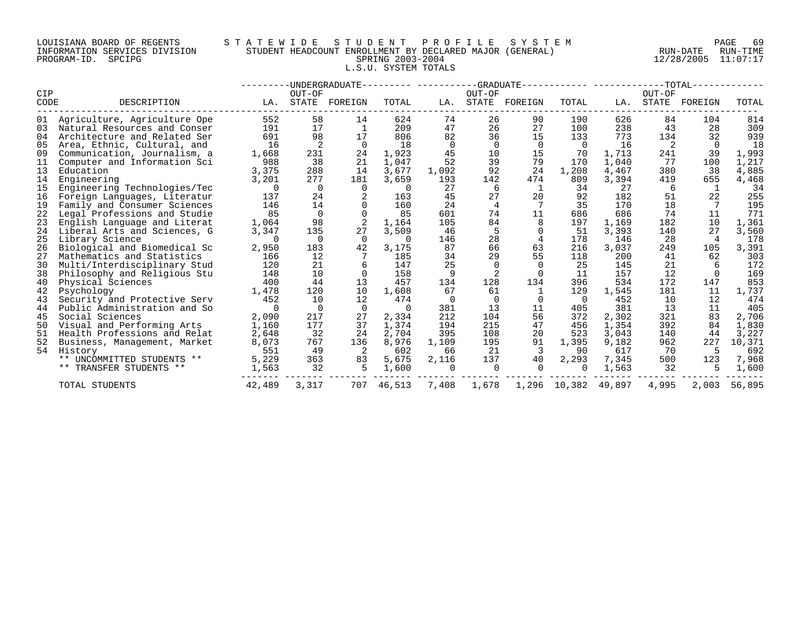#### LOUISIANA BOARD OF REGENTS S T A T E W I D E S T U D E N T P R O F I L E S Y S T E M PAGE 69 INFORMATION SERVICES DIVISION STUDENT HEADCOUNT ENROLLMENT BY DECLARED MAJOR (GENERAL) RUN-DATE RUN-TIME PROGRAM-ID. SPCIPG SPRING 2003-2004 12/28/2005 11:07:17 L.S.U. SYSTEM TOTALS

|             |                                 |          |                 | -UNDERGRADUATE--------- -----------GRADUATE- |          |                |          |               |              |        |                 | $-TOTAL--$ |        |
|-------------|---------------------------------|----------|-----------------|----------------------------------------------|----------|----------------|----------|---------------|--------------|--------|-----------------|------------|--------|
| CIP<br>CODE | DESCRIPTION                     | LA.      | OUT-OF<br>STATE | FOREIGN                                      | TOTAL    | LA.            | OUT-OF   | STATE FOREIGN | TOTAL        | LA.    | OUT-OF<br>STATE | FOREIGN    | TOTAL  |
|             | 01 Agriculture, Agriculture Ope | 552      | 58              | 14                                           | 624      | 74             | 26       | 90            | 190          | 626    | 84              | 104        | 814    |
| 03          | Natural Resources and Conser    | 191      | 17              | 1                                            | 209      | 47             | 26       | 27            | 100          | 238    | 43              | 28         | 309    |
| 04          | Architecture and Related Ser    | 691      | 98              | 17                                           | 806      | 82             | 36       | 15            | 133          | 773    | 134             | 32         | 939    |
| 05          | Area, Ethnic, Cultural, and     | 16       | 2               | $\Omega$                                     | 18       | $\overline{0}$ | 0        | 0             | 0            | 16     | 2               | $\Omega$   | 18     |
| 09          | Communication, Journalism, a    | 1,668    | 231             | 24                                           | 1,923    | 45             | 10       | 15            | 70           | 1,713  | 241             | 39         | 1,993  |
| 11          | Computer and Information Sci    | 988      | 38              | 21                                           | 1,047    | 52             | 39       | 79            | 170          | 1,040  | 77              | 100        | 1,217  |
| 13          | Education                       | 3,375    | 288             | 14                                           | 3,677    | 1,092          | 92       | 24            | 1,208        | 4,467  | 380             | 38         | 4,885  |
| 14          | Engineering                     | 3,201    | 277             | 181                                          | 3,659    | 193            | 142      | 474           | 809          | 3,394  | 419             | 655        | 4,468  |
| 15          | Engineering Technologies/Tec    | $\Omega$ | $\Omega$        | $\Omega$                                     | $\Omega$ | 27             | 6        |               | 34           | 27     | 6               |            | 34     |
| 16          | Foreign Languages, Literatur    | 137      | 24              |                                              | 163      | 45             | 27       | 20            | 92           | 182    | 51              | 22         | 255    |
| 19          | Family and Consumer Sciences    | 146      | 14              |                                              | 160      | 24             | 4        |               | 35           | 170    | 18              |            | 195    |
| 22          | Legal Professions and Studie    | 85       | $\Omega$        |                                              | 85       | 601            | 74       | 11            | 686          | 686    | 74              | 11         | 771    |
| 23          | English Language and Literat    | 1,064    | 98              |                                              | 1,164    | 105            | 84       |               | 197          | 1,169  | 182             | 10         | 1,361  |
| 24          | Liberal Arts and Sciences, G    | 3,347    | 135             | 27                                           | 3,509    | 46             |          |               | 51           | 3,393  | 140             | 27         | 3,560  |
| 25          | Library Science                 | $\Omega$ | $\Omega$        | $\Omega$                                     | $\Omega$ | 146            | 28       |               | 178          | 146    | 28              | 4          | 178    |
| 26          | Biological and Biomedical Sc    | 2,950    | 183             | 42                                           | 3,175    | 87             | 66       | 63            | 216          | 3,037  | 249             | 105        | 3,391  |
| 27          | Mathematics and Statistics      | 166      | 12              |                                              | 185      | 34             | 29       | 55            | 118          | 200    | 41              | 62         | 303    |
| 30          | Multi/Interdisciplinary Stud    | 120      | 21              |                                              | 147      | 25             |          |               | 25           | 145    | 21              |            | 172    |
| 38          | Philosophy and Religious Stu    | 148      | 10              |                                              | 158      | 9              |          |               | 11           | 157    | 12              |            | 169    |
| 40          | Physical Sciences               | 400      | 44              | 13                                           | 457      | 134            | 128      | 134           | 396          | 534    | 172             | 147        | 853    |
| 42          | Psychology                      | 1,478    | 120             | 10                                           | 1,608    | 67             | 61       |               | 129          | 1,545  | 181             | 11         | 1,737  |
| 43          | Security and Protective Serv    | 452      | 10              | 12                                           | 474      | $\Omega$       | $\Omega$ |               | - 0          | 452    | 10              | 12         | 474    |
| 44          | Public Administration and So    | $\Omega$ | $\Omega$        | $\Omega$                                     | $\Omega$ | 381            | 13       | 11            | 405          | 381    | 13              | 11         | 405    |
| 45          | Social Sciences                 | 2,090    | 217             | 27                                           | 2,334    | 212            | 104      | 56            | 372          | 2,302  | 321             | 83         | 2,706  |
| 50          | Visual and Performing Arts      | 1,160    | 177             | 37                                           | 1,374    | 194            | 215      | 47            | 456          | 1,354  | 392             | 84         | 1,830  |
| 51          | Health Professions and Relat    | 2,648    | 32              | 24                                           | 2,704    | 395            | 108      | 20            | 523          | 3,043  | 140             | 44         | 3,227  |
| 52          | Business, Management, Market    | 8,073    | 767             | 136                                          | 8,976    | 1,109          | 195      | 91            | 1,395        | 9,182  | 962             | 227        | 10,371 |
| 54          | History                         | 551      | 49              |                                              | 602      | 66             | 21       | 3             | 90           | 617    | 70              |            | 692    |
|             | ** UNCOMMITTED STUDENTS **      | 5,229    | 363             | 83                                           | 5,675    | 2,116          | 137      | 40            | 2,293        | 7,345  | 500             | 123        | 7,968  |
|             | ** TRANSFER STUDENTS **         | 1,563    | 32              | 5                                            | 1,600    | $\Omega$       | 0        |               | 0            | 1,563  | 32              |            | 1,600  |
|             | TOTAL STUDENTS                  | 42,489   | 3,317           | 707                                          | 46,513   | 7,408          | 1,678    |               | 1,296 10,382 | 49,897 | 4,995           | 2,003      | 56,895 |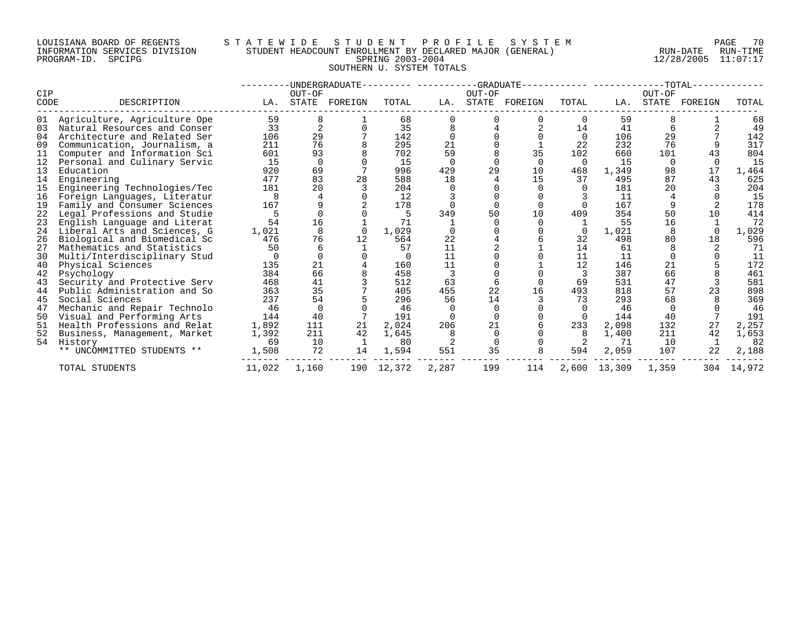#### LOUISIANA BOARD OF REGENTS S T A T E W I D E S T U D E N T P R O F I L E S Y S T E M PAGE 70 INFORMATION SERVICES DIVISION STUDENT HEADCOUNT ENROLLMENT BY DECLARED MAJOR (GENERAL) RUN-DATE RUN-TIME PROGRAM-ID. SPCIPG SPRING 2003-2004 12/28/2005 11:07:17 SOUTHERN U. SYSTEM TOTALS

|      |                              |        |          | -UNDERGRADUATE |            |          | $-GRADUATE$  |         |          |              |          | TOTAL-  |        |
|------|------------------------------|--------|----------|----------------|------------|----------|--------------|---------|----------|--------------|----------|---------|--------|
| CIP  |                              |        | OUT-OF   |                |            |          | OUT-OF       |         |          |              | OUT-OF   |         |        |
| CODE | DESCRIPTION                  | LA.    | STATE    | FOREIGN        | TOTAL      | LA.      | <b>STATE</b> | FOREIGN | TOTAL    | LA.          | STATE    | FOREIGN | TOTAL  |
| 01   | Agriculture, Agriculture Ope | 59     | 8        |                | 68         |          |              |         | 0        | 59           |          |         | 68     |
| 03   | Natural Resources and Conser | 33     |          |                | 35         |          |              |         | 14       | 41           |          |         | 49     |
| 04   | Architecture and Related Ser | 106    | 29       |                | 142        |          |              |         | $\Omega$ | 106          | 29       |         | 142    |
| 09   | Communication, Journalism, a | 211    | 76       |                | 295        | 21       |              |         | 22       | 232          | 76       |         | 317    |
|      | Computer and Information Sci | 601    | 93       |                | 702        | 59       |              | 35      | 102      | 660          | 101      | 43      | 804    |
| 12   | Personal and Culinary Servic | 15     | $\Omega$ |                | 15         | $\Omega$ |              |         | $\Omega$ | 15           | $\Omega$ |         | 15     |
| 13   | Education                    | 920    | 69       |                | 996        | 429      | 29           | 10      | 468      | 1,349        | 98       | 17      | 1,464  |
| 14   | Engineering                  | 477    | 83       | 28             | 588        | 18       |              | 15      | 37       | 495          | 87       | 43      | 625    |
| 15   | Engineering Technologies/Tec | 181    | 20       |                | 204        |          |              |         |          | 181          | 20       |         | 204    |
| 16   | Foreign Languages, Literatur |        |          |                | 12         |          |              |         |          | 11           |          |         | 15     |
| 19   | Family and Consumer Sciences | 167    |          |                | 178        |          |              |         |          | 167          |          |         | 178    |
| 22   | Legal Professions and Studie |        |          |                | 5          | 349      | 50           | 10      | 409      | 354          | 50       | 10      | 414    |
| 23   | English Language and Literat | 54     | 16       |                | 71         |          |              |         |          | 55           | 16       |         | 72     |
| 24   | Liberal Arts and Sciences, G | 1,021  |          |                | 1,029      |          |              |         |          | 1,021        |          |         | 1,029  |
| 26   | Biological and Biomedical Sc | 476    | 76       | 12             | 564        | 22       |              |         | 32       | 498          | 80       | 18      | 596    |
| 27   | Mathematics and Statistics   | 50     | 6        |                | 57         | 11       |              |         | 14       | 61           |          |         | 71     |
| 30   | Multi/Interdisciplinary Stud |        |          |                |            | 11       |              |         | 11       | 11           |          |         | 11     |
| 40   | Physical Sciences            | 135    | 21       |                | 160        | 11       |              |         | 12       | 146          | 21       |         | 172    |
| 42   | Psychology                   | 384    | 66       |                | 458        |          |              |         |          | 387          | 66       |         | 461    |
| 43   | Security and Protective Serv | 468    | 41       |                | 512        | 63       |              |         | 69       | 531          | 47       |         | 581    |
| 44   | Public Administration and So | 363    | 35       |                | 405        | 455      | 22           | 16      | 493      | 818          | 57       | 23      | 898    |
| 45   | Social Sciences              | 237    | 54       |                | 296        | 56       | 14           |         | 73       | 293          | 68       |         | 369    |
| 47   | Mechanic and Repair Technolo | 46     | $\Omega$ |                | 46         |          |              |         |          | 46           |          |         | 46     |
| 50   | Visual and Performing Arts   | 144    | 40       |                | 191        |          |              |         |          | 144          | 40       |         | 191    |
| 51   | Health Professions and Relat | 1,892  | 111      | 21             | 2,024      | 206      | 21           |         | 233      | 2,098        | 132      | 27      | 2,257  |
| 52   | Business, Management, Market | 1,392  | 211      | 42             | 1,645      |          |              |         |          | 1,400        | 211      | 42      | 1,653  |
| 54   | History                      | 69     | 10       |                | 80         |          |              |         |          | 71           | 10       |         | 82     |
|      | ** UNCOMMITTED STUDENTS **   | 1,508  | 72       | 14             | 1,594      | 551      | 35           |         | 594      | 2,059        | 107      | 22      | 2,188  |
|      | TOTAL STUDENTS               | 11,022 | 1,160    |                | 190 12,372 | 2,287    | 199          | 114     |          | 2,600 13,309 | 1,359    | 304     | 14,972 |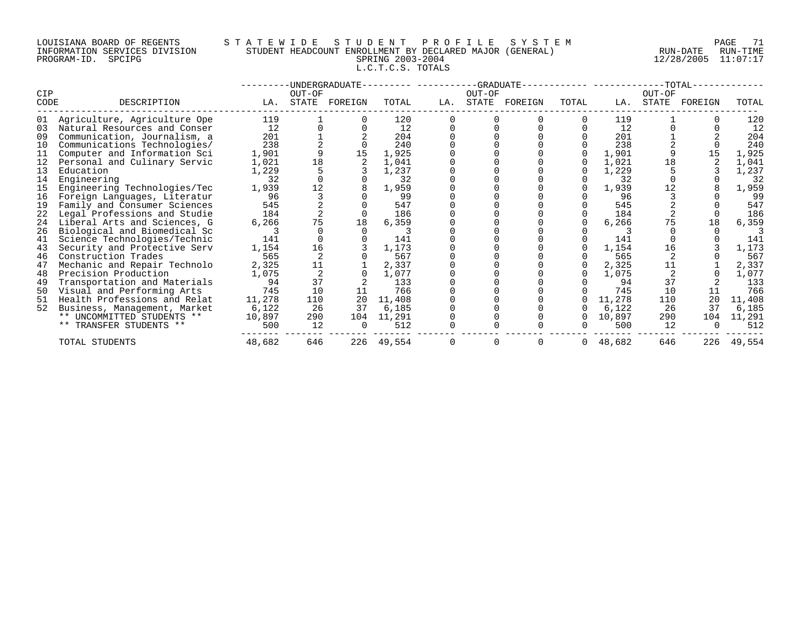## LOUISIANA BOARD OF REGENTS STATEWIDE STUDE STUDENT PROFILE SYSTEM PAGE 71<br>INFORMATION SERVICES DIVISION STUDENT HEADCOUNT ENROLLMENT BY DECLARED MAJOR (GENERAL) RUN-DATE RUN-TIME INFORMATION SERVICES DIVISION STUDENT HEADCOUNT ENROLLMENT BY DECLARED MAJOR (GENERAL)<br>PROGRAM-ID. SPCIPG SPRING 2003-2004 L.C.T.C.S. TOTALS

PROGRAM-ID. SPCIPG SPRING 2003-2004 12/28/2005 11:07:17

|             |                              |        |        | -UNDERGRADUATE- |        |     |        | --GRADUATE--  |       |        |        | $-TOTAL-$     |        |
|-------------|------------------------------|--------|--------|-----------------|--------|-----|--------|---------------|-------|--------|--------|---------------|--------|
| CIP<br>CODE | DESCRIPTION                  | LA.    | OUT-OF | STATE FOREIGN   | TOTAL  | LA. | OUT-OF | STATE FOREIGN | TOTAL | LA.    | OUT-OF | STATE FOREIGN | TOTAL  |
| 01          | Agriculture, Agriculture Ope | 119    |        |                 | 120    |     |        |               |       | 119    |        |               | 120    |
| 03          | Natural Resources and Conser | 12     |        |                 | 12     |     |        |               |       | 12     |        |               | 12     |
| 09          | Communication, Journalism, a | 201    |        |                 | 204    |     |        |               |       | 201    |        |               | 204    |
| 10          | Communications Technologies/ | 238    |        |                 | 240    |     |        |               |       | 238    |        |               | 240    |
| 11          | Computer and Information Sci | 1,901  |        |                 | 1,925  |     |        |               |       | 1,901  |        |               | 1,925  |
| 12          | Personal and Culinary Servic | 1,021  | 18     |                 | 1,041  |     |        |               |       | 1,021  | 18     |               | 1,041  |
| 13          | Education                    | 1,229  |        |                 | 1,237  |     |        |               |       | 1,229  |        |               | 1,237  |
| 14          | Engineering                  | 32     |        |                 | 32     |     |        |               |       | 32     |        |               | 32     |
| 15          | Engineering Technologies/Tec | 1,939  | 12     |                 | 1,959  |     |        |               |       | 1,939  |        |               | 1,959  |
| 16          | Foreign Languages, Literatur | 96     |        |                 | 99     |     |        |               |       | 96     |        |               | 99     |
| 19          | Family and Consumer Sciences | 545    |        |                 | 547    |     |        |               |       | 545    |        |               | 547    |
| 22          | Legal Professions and Studie | 184    |        |                 | 186    |     |        |               |       | 184    |        |               | 186    |
| 24          | Liberal Arts and Sciences, G | 6,266  | 75     | 18              | 6,359  |     |        |               |       | 6,266  |        | 18            | 6,359  |
| 26          | Biological and Biomedical Sc |        |        |                 |        |     |        |               |       |        |        |               |        |
| 41          | Science Technologies/Technic | 141    |        |                 | 141    |     |        |               |       | 141    |        |               | 141    |
| 43          | Security and Protective Serv | 1,154  | 16     |                 | 1,173  |     |        |               |       | 1,154  | 16     |               | 1,173  |
| 46          | Construction Trades          | 565    |        |                 | 567    |     |        |               |       | 565    |        |               | 567    |
| 47          | Mechanic and Repair Technolo | 2,325  | 11     |                 | 2,337  |     |        |               |       | 2,325  | 11     |               | 2,337  |
| 48          | Precision Production         | 1,075  |        |                 | 1,077  |     |        |               |       | 1,075  |        |               | 1,077  |
| 49          | Transportation and Materials | 94     | 37     |                 | 133    |     |        |               |       | 94     | 37     |               | 133    |
| 50          | Visual and Performing Arts   | 745    | 10     | 11              | 766    |     |        |               |       | 745    | 10     | 11            | 766    |
| 51          | Health Professions and Relat | 11,278 | 110    | 20              | 11,408 |     |        |               |       | 11,278 | 110    | 20            | 11,408 |
| 52          | Business, Management, Market | 6,122  | 26     | 37              | 6,185  |     |        |               |       | 6,122  | 26     | 37            | 6,185  |
|             | ** UNCOMMITTED STUDENTS **   | 10,897 | 290    | 104             | 11,291 |     |        |               |       | 10,897 | 290    | 104           | 11,291 |
|             | ** TRANSFER STUDENTS **      | 500    | 12     |                 | 512    |     |        |               |       | 500    | 12     |               | 512    |
|             | TOTAL STUDENTS               | 48,682 | 646    | 226             | 49,554 |     |        |               | 0     | 48,682 | 646    | 226           | 49,554 |